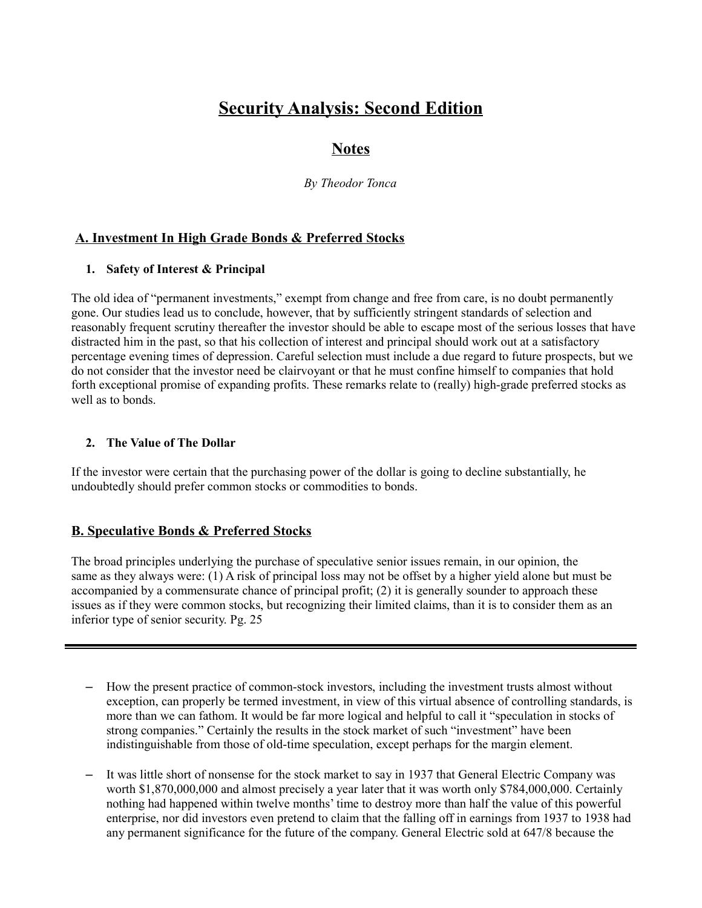# **Security Analysis: Second Edition**

# **Notes**

*By Theodor Tonca*

# **A. Investment In High Grade Bonds & Preferred Stocks**

# **1. Safety of Interest & Principal**

 The old idea of "permanent investments," exempt from change and free from care, is no doubt permanently gone. Our studies lead us to conclude, however, that by sufficiently stringent standards of selection and reasonably frequent scrutiny thereafter the investor should be able to escape most of the serious losses that have distracted him in the past, so that his collection of interest and principal should work out at a satisfactory percentage evening times of depression. Careful selection must include a due regard to future prospects, but we do not consider that the investor need be clairvoyant or that he must confine himself to companies that hold forth exceptional promise of expanding profits. These remarks relate to (really) high-grade preferred stocks as well as to bonds.

### **2. The Value of The Dollar**

 If the investor were certain that the purchasing power of the dollar is going to decline substantially, he undoubtedly should prefer common stocks or commodities to bonds.

# **B. Speculative Bonds & Preferred Stocks**

 The broad principles underlying the purchase of speculative senior issues remain, in our opinion, the same as they always were: (1) A risk of principal loss may not be offset by a higher yield alone but must be accompanied by a commensurate chance of principal profit; (2) it is generally sounder to approach these issues as if they were common stocks, but recognizing their limited claims, than it is to consider them as an inferior type of senior security. Pg. 25

- How the present practice of common-stock investors, including the investment trusts almost without exception, can properly be termed investment, in view of this virtual absence of controlling standards, is more than we can fathom. It would be far more logical and helpful to call it "speculation in stocks of strong companies." Certainly the results in the stock market of such "investment" have been indistinguishable from those of old-time speculation, except perhaps for the margin element.
- It was little short of nonsense for the stock market to say in 1937 that General Electric Company was worth \$1,870,000,000 and almost precisely a year later that it was worth only \$784,000,000. Certainly nothing had happened within twelve months' time to destroy more than half the value of this powerful enterprise, nor did investors even pretend to claim that the falling off in earnings from 1937 to 1938 had any permanent significance for the future of the company. General Electric sold at 647/8 because the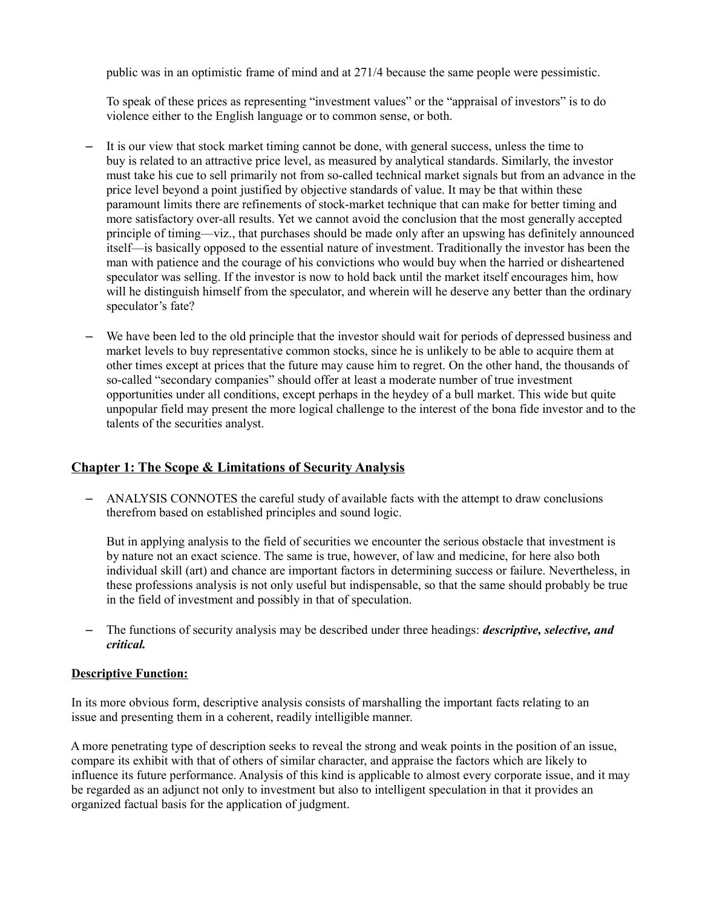public was in an optimistic frame of mind and at 271/4 because the same people were pessimistic.

To speak of these prices as representing "investment values" or the "appraisal of investors" is to do violence either to the English language or to common sense, or both.

- It is our view that stock market timing cannot be done, with general success, unless the time to buy is related to an attractive price level, as measured by analytical standards. Similarly, the investor must take his cue to sell primarily not from so-called technical market signals but from an advance in the price level beyond a point justified by objective standards of value. It may be that within these paramount limits there are refinements of stock-market technique that can make for better timing and more satisfactory over-all results. Yet we cannot avoid the conclusion that the most generally accepted principle of timing—viz., that purchases should be made only after an upswing has definitely announced itself—is basically opposed to the essential nature of investment. Traditionally the investor has been the man with patience and the courage of his convictions who would buy when the harried or disheartened speculator was selling. If the investor is now to hold back until the market itself encourages him, how will he distinguish himself from the speculator, and wherein will he deserve any better than the ordinary speculator's fate?
- We have been led to the old principle that the investor should wait for periods of depressed business and market levels to buy representative common stocks, since he is unlikely to be able to acquire them at other times except at prices that the future may cause him to regret. On the other hand, the thousands of so-called "secondary companies" should offer at least a moderate number of true investment opportunities under all conditions, except perhaps in the heydey of a bull market. This wide but quite unpopular field may present the more logical challenge to the interest of the bona fide investor and to the talents of the securities analyst.

# **Chapter 1: The Scope & Limitations of Security Analysis**

– ANALYSIS CONNOTES the careful study of available facts with the attempt to draw conclusions therefrom based on established principles and sound logic.

But in applying analysis to the field of securities we encounter the serious obstacle that investment is by nature not an exact science. The same is true, however, of law and medicine, for here also both individual skill (art) and chance are important factors in determining success or failure. Nevertheless, in these professions analysis is not only useful but indispensable, so that the same should probably be true in the field of investment and possibly in that of speculation.

– The functions of security analysis may be described under three headings: *descriptive, selective, and critical.*

### **Descriptive Function:**

 In its more obvious form, descriptive analysis consists of marshalling the important facts relating to an issue and presenting them in a coherent, readily intelligible manner.

 A more penetrating type of description seeks to reveal the strong and weak points in the position of an issue, compare its exhibit with that of others of similar character, and appraise the factors which are likely to influence its future performance. Analysis of this kind is applicable to almost every corporate issue, and it may be regarded as an adjunct not only to investment but also to intelligent speculation in that it provides an organized factual basis for the application of judgment.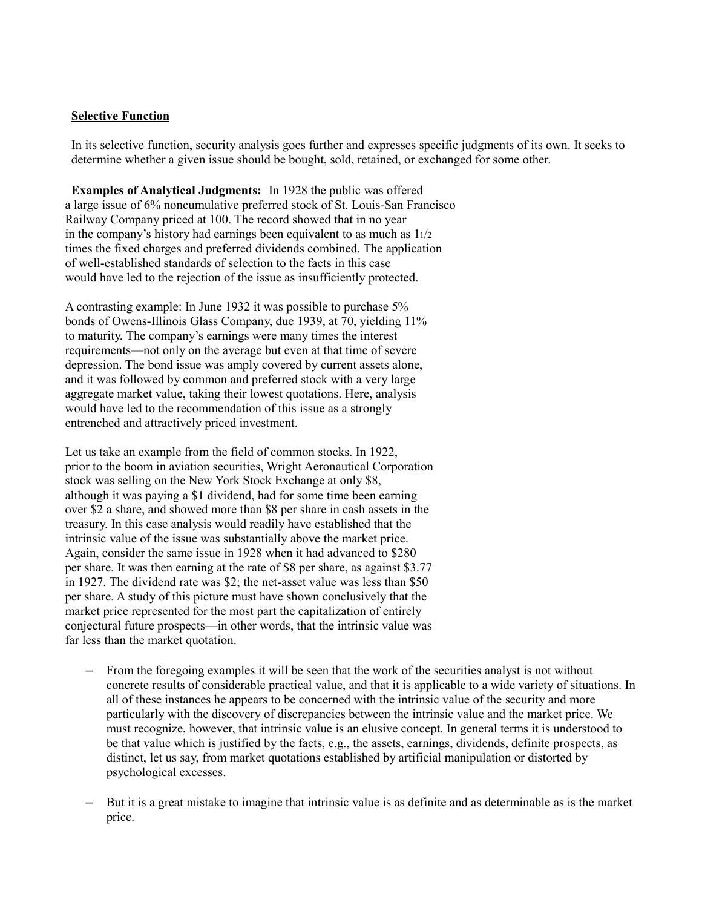### **Selective Function**

 In its selective function, security analysis goes further and expresses specific judgments of its own. It seeks to determine whether a given issue should be bought, sold, retained, or exchanged for some other.

 **Examples of Analytical Judgments:** In 1928 the public was offered a large issue of 6% noncumulative preferred stock of St. Louis-San Francisco Railway Company priced at 100. The record showed that in no year in the company's history had earnings been equivalent to as much as 11/<sup>2</sup> times the fixed charges and preferred dividends combined. The application of well-established standards of selection to the facts in this case would have led to the rejection of the issue as insufficiently protected.

A contrasting example: In June 1932 it was possible to purchase 5% bonds of Owens-Illinois Glass Company, due 1939, at 70, yielding 11% to maturity. The company's earnings were many times the interest requirements—not only on the average but even at that time of severe depression. The bond issue was amply covered by current assets alone, and it was followed by common and preferred stock with a very large aggregate market value, taking their lowest quotations. Here, analysis would have led to the recommendation of this issue as a strongly entrenched and attractively priced investment.

Let us take an example from the field of common stocks. In 1922, prior to the boom in aviation securities, Wright Aeronautical Corporation stock was selling on the New York Stock Exchange at only \$8, although it was paying a \$1 dividend, had for some time been earning over \$2 a share, and showed more than \$8 per share in cash assets in the treasury. In this case analysis would readily have established that the intrinsic value of the issue was substantially above the market price. Again, consider the same issue in 1928 when it had advanced to \$280 per share. It was then earning at the rate of \$8 per share, as against \$3.77 in 1927. The dividend rate was \$2; the net-asset value was less than \$50 per share. A study of this picture must have shown conclusively that the market price represented for the most part the capitalization of entirely conjectural future prospects—in other words, that the intrinsic value was far less than the market quotation.

- From the foregoing examples it will be seen that the work of the securities analyst is not without concrete results of considerable practical value, and that it is applicable to a wide variety of situations. In all of these instances he appears to be concerned with the intrinsic value of the security and more particularly with the discovery of discrepancies between the intrinsic value and the market price. We must recognize, however, that intrinsic value is an elusive concept. In general terms it is understood to be that value which is justified by the facts, e.g., the assets, earnings, dividends, definite prospects, as distinct, let us say, from market quotations established by artificial manipulation or distorted by psychological excesses.
- But it is a great mistake to imagine that intrinsic value is as definite and as determinable as is the market price.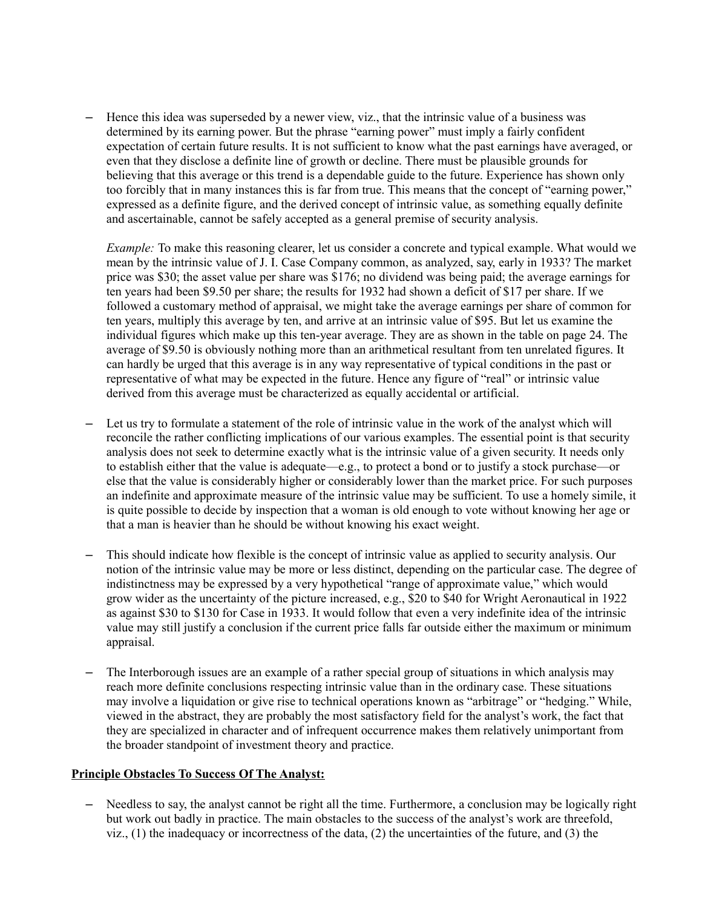– Hence this idea was superseded by a newer view, viz., that the intrinsic value of a business was determined by its earning power. But the phrase "earning power" must imply a fairly confident expectation of certain future results. It is not sufficient to know what the past earnings have averaged, or even that they disclose a definite line of growth or decline. There must be plausible grounds for believing that this average or this trend is a dependable guide to the future. Experience has shown only too forcibly that in many instances this is far from true. This means that the concept of "earning power," expressed as a definite figure, and the derived concept of intrinsic value, as something equally definite and ascertainable, cannot be safely accepted as a general premise of security analysis.

*Example:* To make this reasoning clearer, let us consider a concrete and typical example. What would we mean by the intrinsic value of J. I. Case Company common, as analyzed, say, early in 1933? The market price was \$30; the asset value per share was \$176; no dividend was being paid; the average earnings for ten years had been \$9.50 per share; the results for 1932 had shown a deficit of \$17 per share. If we followed a customary method of appraisal, we might take the average earnings per share of common for ten years, multiply this average by ten, and arrive at an intrinsic value of \$95. But let us examine the individual figures which make up this ten-year average. They are as shown in the table on page 24. The average of \$9.50 is obviously nothing more than an arithmetical resultant from ten unrelated figures. It can hardly be urged that this average is in any way representative of typical conditions in the past or representative of what may be expected in the future. Hence any figure of "real" or intrinsic value derived from this average must be characterized as equally accidental or artificial.

- Let us try to formulate a statement of the role of intrinsic value in the work of the analyst which will reconcile the rather conflicting implications of our various examples. The essential point is that security analysis does not seek to determine exactly what is the intrinsic value of a given security. It needs only to establish either that the value is adequate—e.g., to protect a bond or to justify a stock purchase—or else that the value is considerably higher or considerably lower than the market price. For such purposes an indefinite and approximate measure of the intrinsic value may be sufficient. To use a homely simile, it is quite possible to decide by inspection that a woman is old enough to vote without knowing her age or that a man is heavier than he should be without knowing his exact weight.
- This should indicate how flexible is the concept of intrinsic value as applied to security analysis. Our notion of the intrinsic value may be more or less distinct, depending on the particular case. The degree of indistinctness may be expressed by a very hypothetical "range of approximate value," which would grow wider as the uncertainty of the picture increased, e.g., \$20 to \$40 for Wright Aeronautical in 1922 as against \$30 to \$130 for Case in 1933. It would follow that even a very indefinite idea of the intrinsic value may still justify a conclusion if the current price falls far outside either the maximum or minimum appraisal.
- The Interborough issues are an example of a rather special group of situations in which analysis may reach more definite conclusions respecting intrinsic value than in the ordinary case. These situations may involve a liquidation or give rise to technical operations known as "arbitrage" or "hedging." While, viewed in the abstract, they are probably the most satisfactory field for the analyst's work, the fact that they are specialized in character and of infrequent occurrence makes them relatively unimportant from the broader standpoint of investment theory and practice.

### **Principle Obstacles To Success Of The Analyst:**

– Needless to say, the analyst cannot be right all the time. Furthermore, a conclusion may be logically right but work out badly in practice. The main obstacles to the success of the analyst's work are threefold, viz., (1) the inadequacy or incorrectness of the data, (2) the uncertainties of the future, and (3) the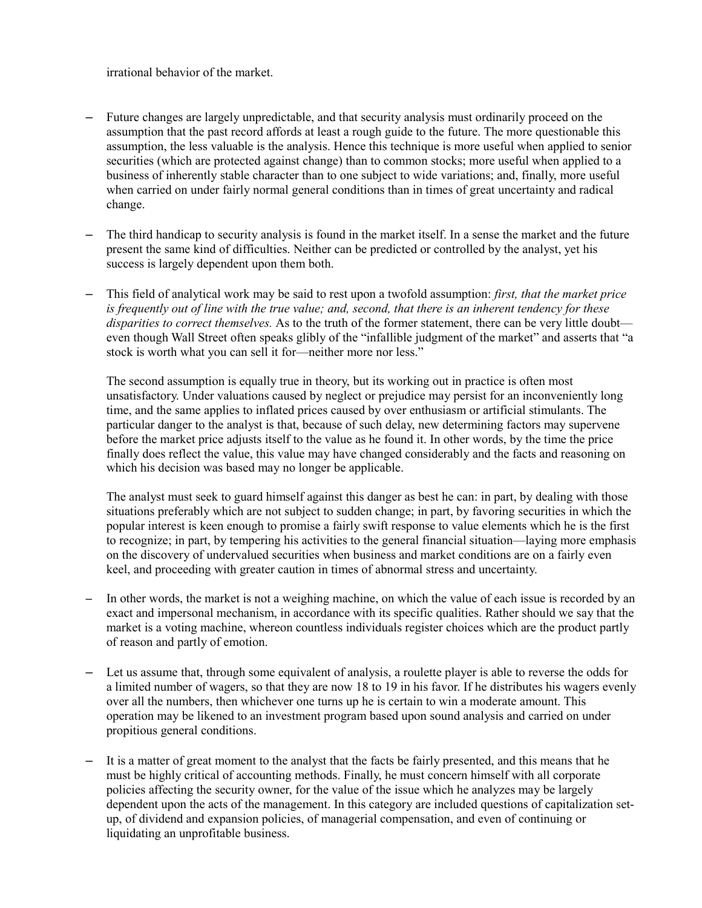### irrational behavior of the market.

- Future changes are largely unpredictable, and that security analysis must ordinarily proceed on the assumption that the past record affords at least a rough guide to the future. The more questionable this assumption, the less valuable is the analysis. Hence this technique is more useful when applied to senior securities (which are protected against change) than to common stocks; more useful when applied to a business of inherently stable character than to one subject to wide variations; and, finally, more useful when carried on under fairly normal general conditions than in times of great uncertainty and radical change.
- The third handicap to security analysis is found in the market itself. In a sense the market and the future present the same kind of difficulties. Neither can be predicted or controlled by the analyst, yet his success is largely dependent upon them both.
- This field of analytical work may be said to rest upon a twofold assumption: *first, that the market price is frequently out of line with the true value; and, second, that there is an inherent tendency for these disparities to correct themselves.* As to the truth of the former statement, there can be very little doubt even though Wall Street often speaks glibly of the "infallible judgment of the market" and asserts that "a stock is worth what you can sell it for—neither more nor less."

The second assumption is equally true in theory, but its working out in practice is often most unsatisfactory. Under valuations caused by neglect or prejudice may persist for an inconveniently long time, and the same applies to inflated prices caused by over enthusiasm or artificial stimulants. The particular danger to the analyst is that, because of such delay, new determining factors may supervene before the market price adjusts itself to the value as he found it. In other words, by the time the price finally does reflect the value, this value may have changed considerably and the facts and reasoning on which his decision was based may no longer be applicable.

The analyst must seek to guard himself against this danger as best he can: in part, by dealing with those situations preferably which are not subject to sudden change; in part, by favoring securities in which the popular interest is keen enough to promise a fairly swift response to value elements which he is the first to recognize; in part, by tempering his activities to the general financial situation—laying more emphasis on the discovery of undervalued securities when business and market conditions are on a fairly even keel, and proceeding with greater caution in times of abnormal stress and uncertainty.

- In other words, the market is not a weighing machine, on which the value of each issue is recorded by an exact and impersonal mechanism, in accordance with its specific qualities. Rather should we say that the market is a voting machine, whereon countless individuals register choices which are the product partly of reason and partly of emotion.
- Let us assume that, through some equivalent of analysis, a roulette player is able to reverse the odds for a limited number of wagers, so that they are now 18 to 19 in his favor. If he distributes his wagers evenly over all the numbers, then whichever one turns up he is certain to win a moderate amount. This operation may be likened to an investment program based upon sound analysis and carried on under propitious general conditions.
- It is a matter of great moment to the analyst that the facts be fairly presented, and this means that he must be highly critical of accounting methods. Finally, he must concern himself with all corporate policies affecting the security owner, for the value of the issue which he analyzes may be largely dependent upon the acts of the management. In this category are included questions of capitalization setup, of dividend and expansion policies, of managerial compensation, and even of continuing or liquidating an unprofitable business.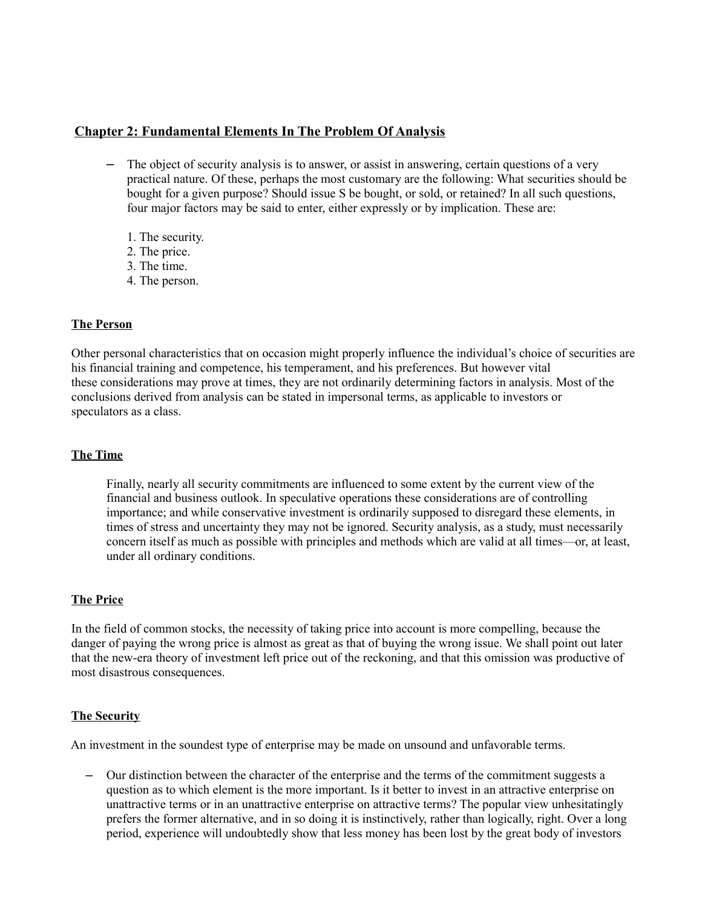## **Chapter 2: Fundamental Elements In The Problem Of Analysis**

- The object of security analysis is to answer, or assist in answering, certain questions of a very practical nature. Of these, perhaps the most customary are the following: What securities should be bought for a given purpose? Should issue S be bought, or sold, or retained? In all such questions, four major factors may be said to enter, either expressly or by implication. These are:
	- 1. The security.
	- 2. The price.
	- 3. The time.
	- 4. The person.

### **The Person**

 Other personal characteristics that on occasion might properly influence the individual's choice of securities are his financial training and competence, his temperament, and his preferences. But however vital these considerations may prove at times, they are not ordinarily determining factors in analysis. Most of the conclusions derived from analysis can be stated in impersonal terms, as applicable to investors or speculators as a class.

### **The Time**

Finally, nearly all security commitments are influenced to some extent by the current view of the financial and business outlook. In speculative operations these considerations are of controlling importance; and while conservative investment is ordinarily supposed to disregard these elements, in times of stress and uncertainty they may not be ignored. Security analysis, as a study, must necessarily concern itself as much as possible with principles and methods which are valid at all times—or, at least, under all ordinary conditions.

### **The Price**

 In the field of common stocks, the necessity of taking price into account is more compelling, because the danger of paying the wrong price is almost as great as that of buying the wrong issue. We shall point out later that the new-era theory of investment left price out of the reckoning, and that this omission was productive of most disastrous consequences.

### **The Security**

An investment in the soundest type of enterprise may be made on unsound and unfavorable terms.

– Our distinction between the character of the enterprise and the terms of the commitment suggests a question as to which element is the more important. Is it better to invest in an attractive enterprise on unattractive terms or in an unattractive enterprise on attractive terms? The popular view unhesitatingly prefers the former alternative, and in so doing it is instinctively, rather than logically, right. Over a long period, experience will undoubtedly show that less money has been lost by the great body of investors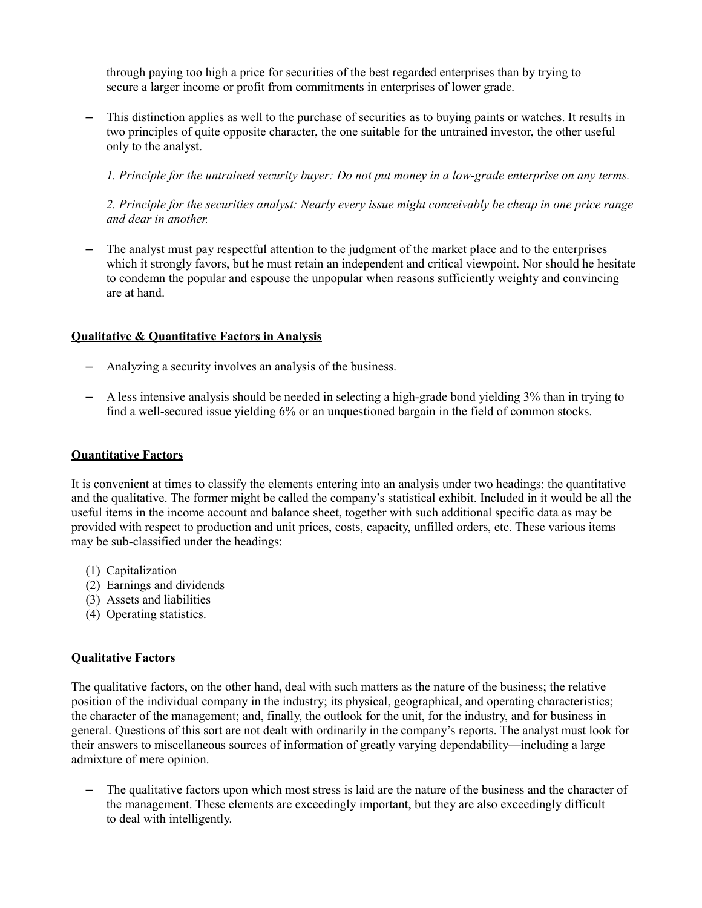through paying too high a price for securities of the best regarded enterprises than by trying to secure a larger income or profit from commitments in enterprises of lower grade.

– This distinction applies as well to the purchase of securities as to buying paints or watches. It results in two principles of quite opposite character, the one suitable for the untrained investor, the other useful only to the analyst.

*1. Principle for the untrained security buyer: Do not put money in a low-grade enterprise on any terms.*

*2. Principle for the securities analyst: Nearly every issue might conceivably be cheap in one price range and dear in another.*

– The analyst must pay respectful attention to the judgment of the market place and to the enterprises which it strongly favors, but he must retain an independent and critical viewpoint. Nor should he hesitate to condemn the popular and espouse the unpopular when reasons sufficiently weighty and convincing are at hand.

### **Qualitative & Quantitative Factors in Analysis**

- Analyzing a security involves an analysis of the business.
- A less intensive analysis should be needed in selecting a high-grade bond yielding 3% than in trying to find a well-secured issue yielding 6% or an unquestioned bargain in the field of common stocks.

### **Quantitative Factors**

 It is convenient at times to classify the elements entering into an analysis under two headings: the quantitative and the qualitative. The former might be called the company's statistical exhibit. Included in it would be all the useful items in the income account and balance sheet, together with such additional specific data as may be provided with respect to production and unit prices, costs, capacity, unfilled orders, etc. These various items may be sub-classified under the headings:

- (1) Capitalization
- (2) Earnings and dividends
- (3) Assets and liabilities
- (4) Operating statistics.

#### **Qualitative Factors**

 The qualitative factors, on the other hand, deal with such matters as the nature of the business; the relative position of the individual company in the industry; its physical, geographical, and operating characteristics; the character of the management; and, finally, the outlook for the unit, for the industry, and for business in general. Questions of this sort are not dealt with ordinarily in the company's reports. The analyst must look for their answers to miscellaneous sources of information of greatly varying dependability—including a large admixture of mere opinion.

– The qualitative factors upon which most stress is laid are the nature of the business and the character of the management. These elements are exceedingly important, but they are also exceedingly difficult to deal with intelligently.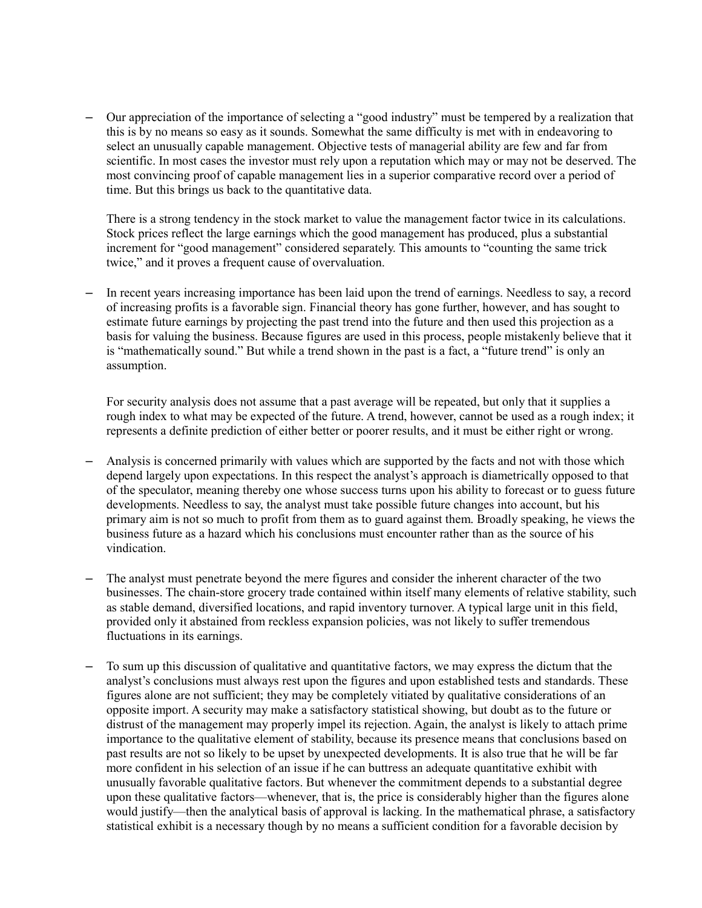– Our appreciation of the importance of selecting a "good industry" must be tempered by a realization that this is by no means so easy as it sounds. Somewhat the same difficulty is met with in endeavoring to select an unusually capable management. Objective tests of managerial ability are few and far from scientific. In most cases the investor must rely upon a reputation which may or may not be deserved. The most convincing proof of capable management lies in a superior comparative record over a period of time. But this brings us back to the quantitative data.

There is a strong tendency in the stock market to value the management factor twice in its calculations. Stock prices reflect the large earnings which the good management has produced, plus a substantial increment for "good management" considered separately. This amounts to "counting the same trick twice," and it proves a frequent cause of overvaluation.

– In recent years increasing importance has been laid upon the trend of earnings. Needless to say, a record of increasing profits is a favorable sign. Financial theory has gone further, however, and has sought to estimate future earnings by projecting the past trend into the future and then used this projection as a basis for valuing the business. Because figures are used in this process, people mistakenly believe that it is "mathematically sound." But while a trend shown in the past is a fact, a "future trend" is only an assumption.

For security analysis does not assume that a past average will be repeated, but only that it supplies a rough index to what may be expected of the future. A trend, however, cannot be used as a rough index; it represents a definite prediction of either better or poorer results, and it must be either right or wrong.

- Analysis is concerned primarily with values which are supported by the facts and not with those which depend largely upon expectations. In this respect the analyst's approach is diametrically opposed to that of the speculator, meaning thereby one whose success turns upon his ability to forecast or to guess future developments. Needless to say, the analyst must take possible future changes into account, but his primary aim is not so much to profit from them as to guard against them. Broadly speaking, he views the business future as a hazard which his conclusions must encounter rather than as the source of his vindication.
- The analyst must penetrate beyond the mere figures and consider the inherent character of the two businesses. The chain-store grocery trade contained within itself many elements of relative stability, such as stable demand, diversified locations, and rapid inventory turnover. A typical large unit in this field, provided only it abstained from reckless expansion policies, was not likely to suffer tremendous fluctuations in its earnings.
- To sum up this discussion of qualitative and quantitative factors, we may express the dictum that the analyst's conclusions must always rest upon the figures and upon established tests and standards. These figures alone are not sufficient; they may be completely vitiated by qualitative considerations of an opposite import. A security may make a satisfactory statistical showing, but doubt as to the future or distrust of the management may properly impel its rejection. Again, the analyst is likely to attach prime importance to the qualitative element of stability, because its presence means that conclusions based on past results are not so likely to be upset by unexpected developments. It is also true that he will be far more confident in his selection of an issue if he can buttress an adequate quantitative exhibit with unusually favorable qualitative factors. But whenever the commitment depends to a substantial degree upon these qualitative factors—whenever, that is, the price is considerably higher than the figures alone would justify—then the analytical basis of approval is lacking. In the mathematical phrase, a satisfactory statistical exhibit is a necessary though by no means a sufficient condition for a favorable decision by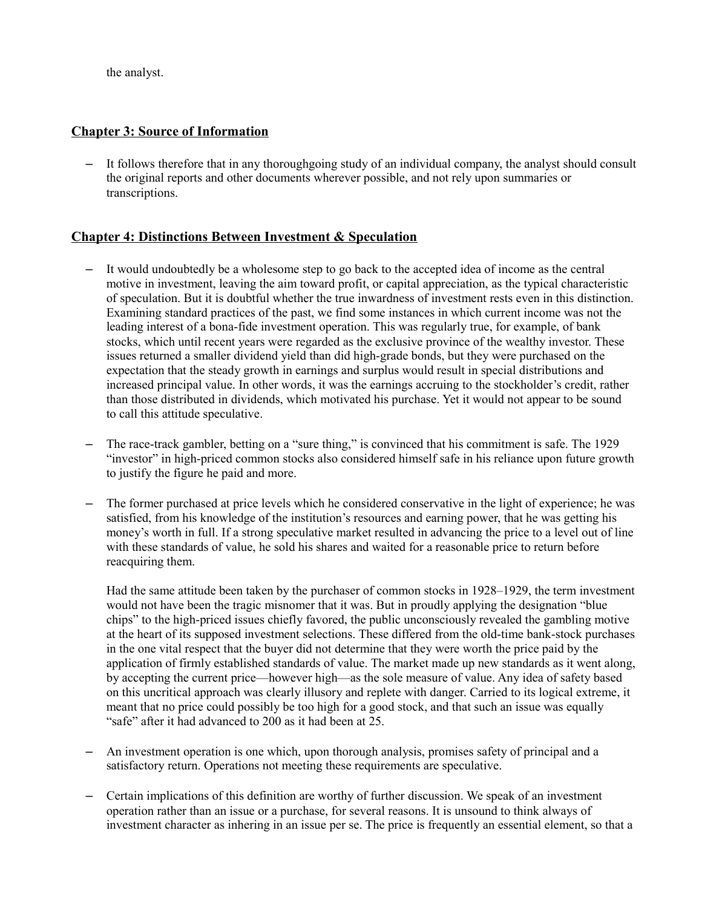the analyst.

# **Chapter 3: Source of Information**

– It follows therefore that in any thoroughgoing study of an individual company, the analyst should consult the original reports and other documents wherever possible, and not rely upon summaries or transcriptions.

# **Chapter 4: Distinctions Between Investment & Speculation**

- It would undoubtedly be a wholesome step to go back to the accepted idea of income as the central motive in investment, leaving the aim toward profit, or capital appreciation, as the typical characteristic of speculation. But it is doubtful whether the true inwardness of investment rests even in this distinction. Examining standard practices of the past, we find some instances in which current income was not the leading interest of a bona-fide investment operation. This was regularly true, for example, of bank stocks, which until recent years were regarded as the exclusive province of the wealthy investor. These issues returned a smaller dividend yield than did high-grade bonds, but they were purchased on the expectation that the steady growth in earnings and surplus would result in special distributions and increased principal value. In other words, it was the earnings accruing to the stockholder's credit, rather than those distributed in dividends, which motivated his purchase. Yet it would not appear to be sound to call this attitude speculative.
- The race-track gambler, betting on a "sure thing," is convinced that his commitment is safe. The 1929 "investor" in high-priced common stocks also considered himself safe in his reliance upon future growth to justify the figure he paid and more.
- The former purchased at price levels which he considered conservative in the light of experience; he was satisfied, from his knowledge of the institution's resources and earning power, that he was getting his money's worth in full. If a strong speculative market resulted in advancing the price to a level out of line with these standards of value, he sold his shares and waited for a reasonable price to return before reacquiring them.

Had the same attitude been taken by the purchaser of common stocks in 1928–1929, the term investment would not have been the tragic misnomer that it was. But in proudly applying the designation "blue chips" to the high-priced issues chiefly favored, the public unconsciously revealed the gambling motive at the heart of its supposed investment selections. These differed from the old-time bank-stock purchases in the one vital respect that the buyer did not determine that they were worth the price paid by the application of firmly established standards of value. The market made up new standards as it went along, by accepting the current price—however high—as the sole measure of value. Any idea of safety based on this uncritical approach was clearly illusory and replete with danger. Carried to its logical extreme, it meant that no price could possibly be too high for a good stock, and that such an issue was equally "safe" after it had advanced to 200 as it had been at 25.

- An investment operation is one which, upon thorough analysis, promises safety of principal and a satisfactory return. Operations not meeting these requirements are speculative.
- Certain implications of this definition are worthy of further discussion. We speak of an investment operation rather than an issue or a purchase, for several reasons. It is unsound to think always of investment character as inhering in an issue per se. The price is frequently an essential element, so that a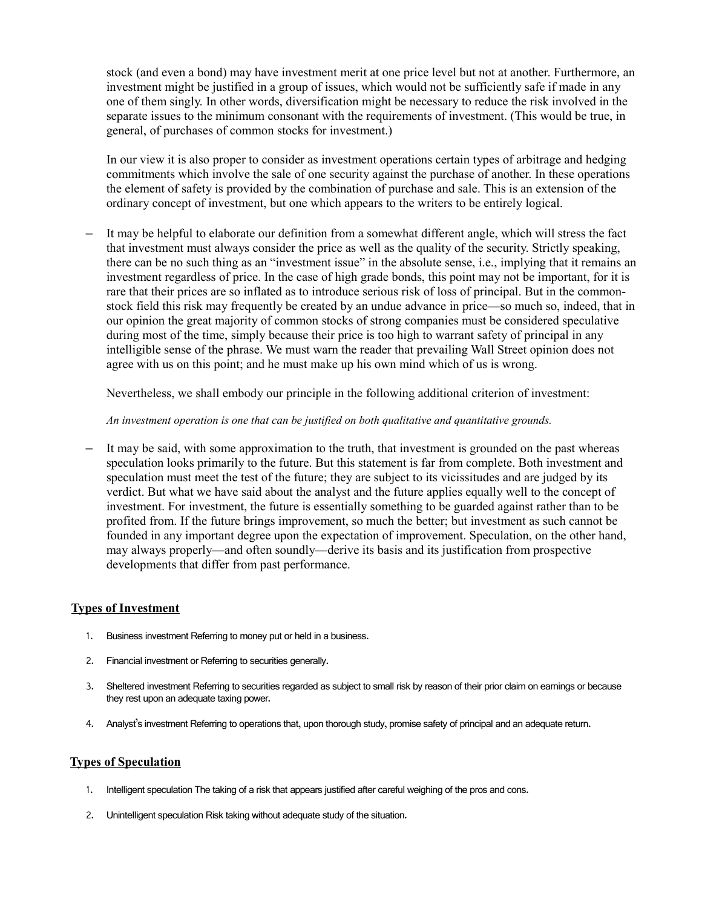stock (and even a bond) may have investment merit at one price level but not at another. Furthermore, an investment might be justified in a group of issues, which would not be sufficiently safe if made in any one of them singly. In other words, diversification might be necessary to reduce the risk involved in the separate issues to the minimum consonant with the requirements of investment. (This would be true, in general, of purchases of common stocks for investment.)

In our view it is also proper to consider as investment operations certain types of arbitrage and hedging commitments which involve the sale of one security against the purchase of another. In these operations the element of safety is provided by the combination of purchase and sale. This is an extension of the ordinary concept of investment, but one which appears to the writers to be entirely logical.

– It may be helpful to elaborate our definition from a somewhat different angle, which will stress the fact that investment must always consider the price as well as the quality of the security. Strictly speaking, there can be no such thing as an "investment issue" in the absolute sense, i.e., implying that it remains an investment regardless of price. In the case of high grade bonds, this point may not be important, for it is rare that their prices are so inflated as to introduce serious risk of loss of principal. But in the commonstock field this risk may frequently be created by an undue advance in price—so much so, indeed, that in our opinion the great majority of common stocks of strong companies must be considered speculative during most of the time, simply because their price is too high to warrant safety of principal in any intelligible sense of the phrase. We must warn the reader that prevailing Wall Street opinion does not agree with us on this point; and he must make up his own mind which of us is wrong.

Nevertheless, we shall embody our principle in the following additional criterion of investment:

#### *An investment operation is one that can be justified on both qualitative and quantitative grounds.*

– It may be said, with some approximation to the truth, that investment is grounded on the past whereas speculation looks primarily to the future. But this statement is far from complete. Both investment and speculation must meet the test of the future; they are subject to its vicissitudes and are judged by its verdict. But what we have said about the analyst and the future applies equally well to the concept of investment. For investment, the future is essentially something to be guarded against rather than to be profited from. If the future brings improvement, so much the better; but investment as such cannot be founded in any important degree upon the expectation of improvement. Speculation, on the other hand, may always properly—and often soundly—derive its basis and its justification from prospective developments that differ from past performance.

### **Types of Investment**

- 1. Business investment Referring to money put or held in a business.
- 2. Financial investment or Referring to securities generally.
- 3. Sheltered investment Referring to securities regarded as subject to small risk by reason of their prior claim on earnings or because they rest upon an adequate taxing power.
- 4. Analyst's investment Referring to operations that, upon thorough study, promise safety of principal and an adequate return.

### **Types of Speculation**

- 1. Intelligent speculation The taking of a risk that appears justified after careful weighing of the pros and cons.
- 2. Unintelligent speculation Risk taking without adequate study of the situation.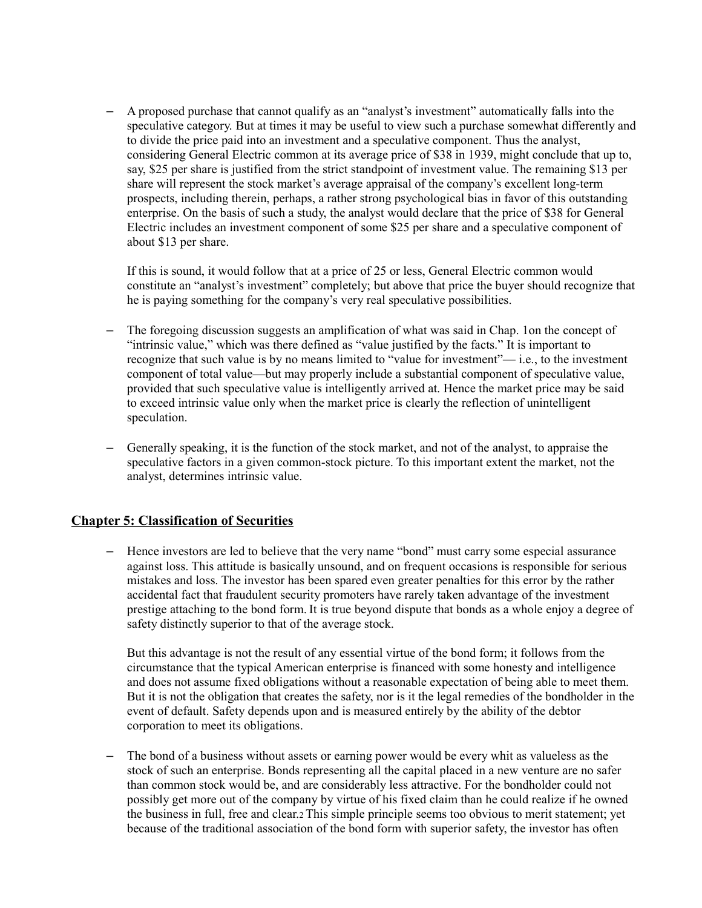– A proposed purchase that cannot qualify as an "analyst's investment" automatically falls into the speculative category. But at times it may be useful to view such a purchase somewhat differently and to divide the price paid into an investment and a speculative component. Thus the analyst, considering General Electric common at its average price of \$38 in 1939, might conclude that up to, say, \$25 per share is justified from the strict standpoint of investment value. The remaining \$13 per share will represent the stock market's average appraisal of the company's excellent long-term prospects, including therein, perhaps, a rather strong psychological bias in favor of this outstanding enterprise. On the basis of such a study, the analyst would declare that the price of \$38 for General Electric includes an investment component of some \$25 per share and a speculative component of about \$13 per share.

If this is sound, it would follow that at a price of 25 or less, General Electric common would constitute an "analyst's investment" completely; but above that price the buyer should recognize that he is paying something for the company's very real speculative possibilities.

- The foregoing discussion suggests an amplification of what was said in Chap. 1on the concept of "intrinsic value," which was there defined as "value justified by the facts." It is important to recognize that such value is by no means limited to "value for investment"— i.e., to the investment component of total value—but may properly include a substantial component of speculative value, provided that such speculative value is intelligently arrived at. Hence the market price may be said to exceed intrinsic value only when the market price is clearly the reflection of unintelligent speculation.
- Generally speaking, it is the function of the stock market, and not of the analyst, to appraise the speculative factors in a given common-stock picture. To this important extent the market, not the analyst, determines intrinsic value.

# **Chapter 5: Classification of Securities**

– Hence investors are led to believe that the very name "bond" must carry some especial assurance against loss. This attitude is basically unsound, and on frequent occasions is responsible for serious mistakes and loss. The investor has been spared even greater penalties for this error by the rather accidental fact that fraudulent security promoters have rarely taken advantage of the investment prestige attaching to the bond form. It is true beyond dispute that bonds as a whole enjoy a degree of safety distinctly superior to that of the average stock.

But this advantage is not the result of any essential virtue of the bond form; it follows from the circumstance that the typical American enterprise is financed with some honesty and intelligence and does not assume fixed obligations without a reasonable expectation of being able to meet them. But it is not the obligation that creates the safety, nor is it the legal remedies of the bondholder in the event of default. Safety depends upon and is measured entirely by the ability of the debtor corporation to meet its obligations.

– The bond of a business without assets or earning power would be every whit as valueless as the stock of such an enterprise. Bonds representing all the capital placed in a new venture are no safer than common stock would be, and are considerably less attractive. For the bondholder could not possibly get more out of the company by virtue of his fixed claim than he could realize if he owned the business in full, free and clear.2 This simple principle seems too obvious to merit statement; yet because of the traditional association of the bond form with superior safety, the investor has often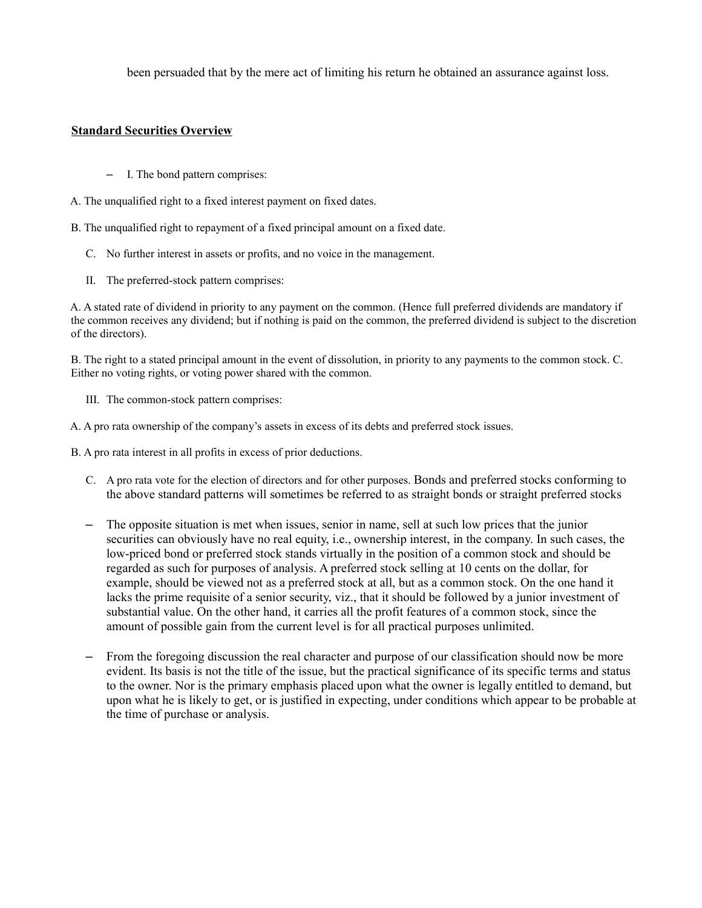been persuaded that by the mere act of limiting his return he obtained an assurance against loss.

### **Standard Securities Overview**

- I. The bond pattern comprises:
- A. The unqualified right to a fixed interest payment on fixed dates.

B. The unqualified right to repayment of a fixed principal amount on a fixed date.

- C. No further interest in assets or profits, and no voice in the management.
- II. The preferred-stock pattern comprises:

 A. A stated rate of dividend in priority to any payment on the common. (Hence full preferred dividends are mandatory if the common receives any dividend; but if nothing is paid on the common, the preferred dividend is subject to the discretion of the directors).

 B. The right to a stated principal amount in the event of dissolution, in priority to any payments to the common stock. C. Either no voting rights, or voting power shared with the common.

- III. The common-stock pattern comprises:
- A. A pro rata ownership of the company's assets in excess of its debts and preferred stock issues.
- B. A pro rata interest in all profits in excess of prior deductions.
	- C. A pro rata vote for the election of directors and for other purposes. Bonds and preferred stocks conforming to the above standard patterns will sometimes be referred to as straight bonds or straight preferred stocks
	- The opposite situation is met when issues, senior in name, sell at such low prices that the junior securities can obviously have no real equity, i.e., ownership interest, in the company. In such cases, the low-priced bond or preferred stock stands virtually in the position of a common stock and should be regarded as such for purposes of analysis. A preferred stock selling at 10 cents on the dollar, for example, should be viewed not as a preferred stock at all, but as a common stock. On the one hand it lacks the prime requisite of a senior security, viz., that it should be followed by a junior investment of substantial value. On the other hand, it carries all the profit features of a common stock, since the amount of possible gain from the current level is for all practical purposes unlimited.
	- From the foregoing discussion the real character and purpose of our classification should now be more evident. Its basis is not the title of the issue, but the practical significance of its specific terms and status to the owner. Nor is the primary emphasis placed upon what the owner is legally entitled to demand, but upon what he is likely to get, or is justified in expecting, under conditions which appear to be probable at the time of purchase or analysis.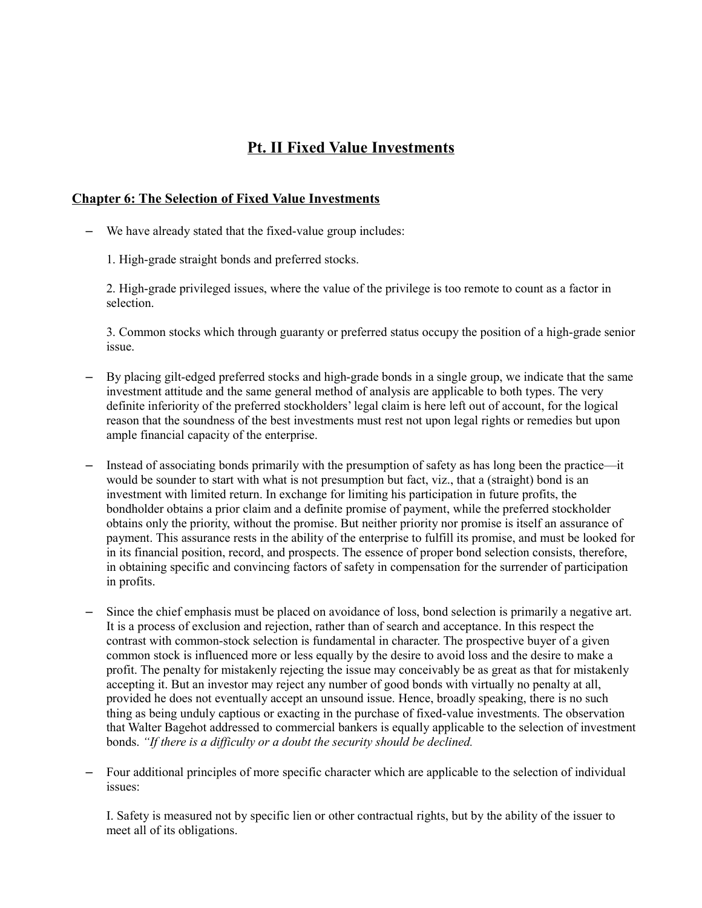# **Pt. II Fixed Value Investments**

## **Chapter 6: The Selection of Fixed Value Investments**

- We have already stated that the fixed-value group includes:
	- 1. High-grade straight bonds and preferred stocks.

2. High-grade privileged issues, where the value of the privilege is too remote to count as a factor in selection.

3. Common stocks which through guaranty or preferred status occupy the position of a high-grade senior issue.

- By placing gilt-edged preferred stocks and high-grade bonds in a single group, we indicate that the same investment attitude and the same general method of analysis are applicable to both types. The very definite inferiority of the preferred stockholders' legal claim is here left out of account, for the logical reason that the soundness of the best investments must rest not upon legal rights or remedies but upon ample financial capacity of the enterprise.
- Instead of associating bonds primarily with the presumption of safety as has long been the practice—it would be sounder to start with what is not presumption but fact, viz., that a (straight) bond is an investment with limited return. In exchange for limiting his participation in future profits, the bondholder obtains a prior claim and a definite promise of payment, while the preferred stockholder obtains only the priority, without the promise. But neither priority nor promise is itself an assurance of payment. This assurance rests in the ability of the enterprise to fulfill its promise, and must be looked for in its financial position, record, and prospects. The essence of proper bond selection consists, therefore, in obtaining specific and convincing factors of safety in compensation for the surrender of participation in profits.
- Since the chief emphasis must be placed on avoidance of loss, bond selection is primarily a negative art. It is a process of exclusion and rejection, rather than of search and acceptance. In this respect the contrast with common-stock selection is fundamental in character. The prospective buyer of a given common stock is influenced more or less equally by the desire to avoid loss and the desire to make a profit. The penalty for mistakenly rejecting the issue may conceivably be as great as that for mistakenly accepting it. But an investor may reject any number of good bonds with virtually no penalty at all, provided he does not eventually accept an unsound issue. Hence, broadly speaking, there is no such thing as being unduly captious or exacting in the purchase of fixed-value investments. The observation that Walter Bagehot addressed to commercial bankers is equally applicable to the selection of investment bonds. *"If there is a difficulty or a doubt the security should be declined.*
- Four additional principles of more specific character which are applicable to the selection of individual issues:

I. Safety is measured not by specific lien or other contractual rights, but by the ability of the issuer to meet all of its obligations.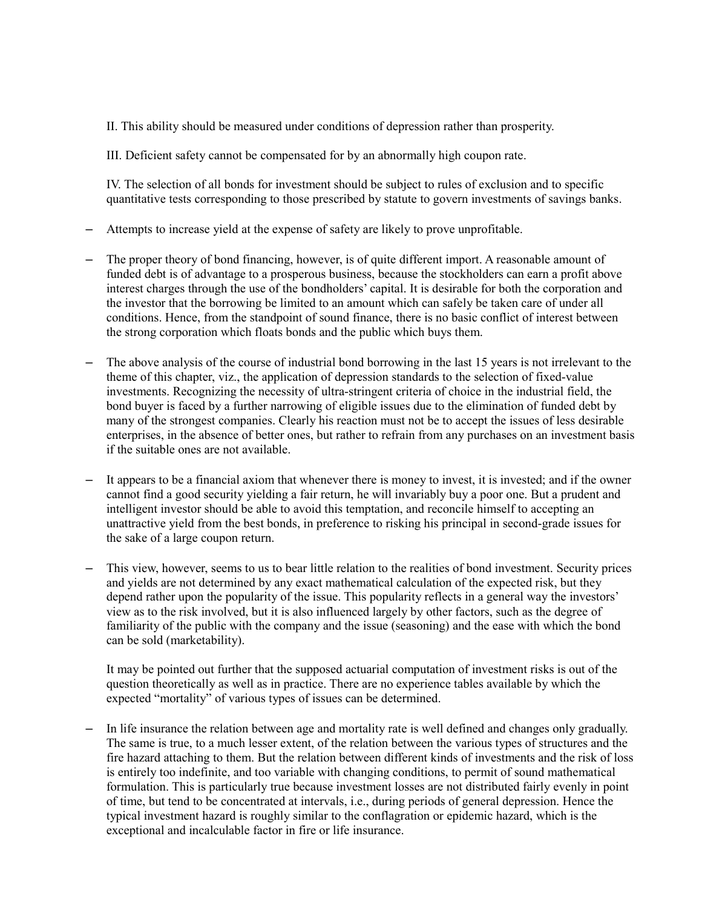II. This ability should be measured under conditions of depression rather than prosperity.

III. Deficient safety cannot be compensated for by an abnormally high coupon rate.

IV. The selection of all bonds for investment should be subject to rules of exclusion and to specific quantitative tests corresponding to those prescribed by statute to govern investments of savings banks.

- Attempts to increase yield at the expense of safety are likely to prove unprofitable.
- The proper theory of bond financing, however, is of quite different import. A reasonable amount of funded debt is of advantage to a prosperous business, because the stockholders can earn a profit above interest charges through the use of the bondholders' capital. It is desirable for both the corporation and the investor that the borrowing be limited to an amount which can safely be taken care of under all conditions. Hence, from the standpoint of sound finance, there is no basic conflict of interest between the strong corporation which floats bonds and the public which buys them.
- The above analysis of the course of industrial bond borrowing in the last 15 years is not irrelevant to the theme of this chapter, viz., the application of depression standards to the selection of fixed-value investments. Recognizing the necessity of ultra-stringent criteria of choice in the industrial field, the bond buyer is faced by a further narrowing of eligible issues due to the elimination of funded debt by many of the strongest companies. Clearly his reaction must not be to accept the issues of less desirable enterprises, in the absence of better ones, but rather to refrain from any purchases on an investment basis if the suitable ones are not available.
- It appears to be a financial axiom that whenever there is money to invest, it is invested; and if the owner cannot find a good security yielding a fair return, he will invariably buy a poor one. But a prudent and intelligent investor should be able to avoid this temptation, and reconcile himself to accepting an unattractive yield from the best bonds, in preference to risking his principal in second-grade issues for the sake of a large coupon return.
- This view, however, seems to us to bear little relation to the realities of bond investment. Security prices and yields are not determined by any exact mathematical calculation of the expected risk, but they depend rather upon the popularity of the issue. This popularity reflects in a general way the investors' view as to the risk involved, but it is also influenced largely by other factors, such as the degree of familiarity of the public with the company and the issue (seasoning) and the ease with which the bond can be sold (marketability).

It may be pointed out further that the supposed actuarial computation of investment risks is out of the question theoretically as well as in practice. There are no experience tables available by which the expected "mortality" of various types of issues can be determined.

– In life insurance the relation between age and mortality rate is well defined and changes only gradually. The same is true, to a much lesser extent, of the relation between the various types of structures and the fire hazard attaching to them. But the relation between different kinds of investments and the risk of loss is entirely too indefinite, and too variable with changing conditions, to permit of sound mathematical formulation. This is particularly true because investment losses are not distributed fairly evenly in point of time, but tend to be concentrated at intervals, i.e., during periods of general depression. Hence the typical investment hazard is roughly similar to the conflagration or epidemic hazard, which is the exceptional and incalculable factor in fire or life insurance.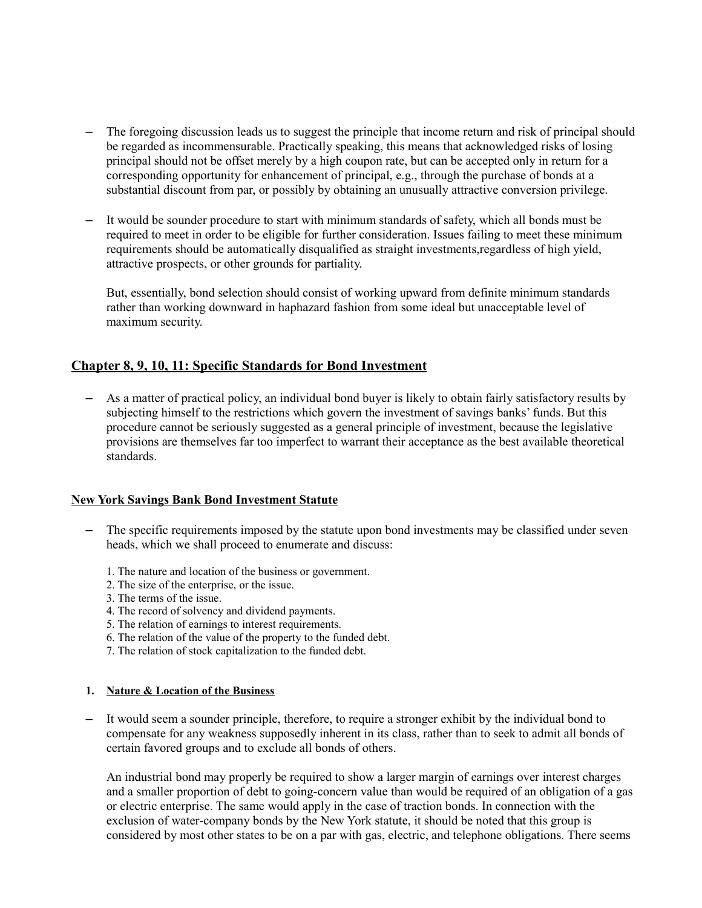- The foregoing discussion leads us to suggest the principle that income return and risk of principal should be regarded as incommensurable. Practically speaking, this means that acknowledged risks of losing principal should not be offset merely by a high coupon rate, but can be accepted only in return for a corresponding opportunity for enhancement of principal, e.g., through the purchase of bonds at a substantial discount from par, or possibly by obtaining an unusually attractive conversion privilege.
- It would be sounder procedure to start with minimum standards of safety, which all bonds must be required to meet in order to be eligible for further consideration. Issues failing to meet these minimum requirements should be automatically disqualified as straight investments,regardless of high yield, attractive prospects, or other grounds for partiality.

But, essentially, bond selection should consist of working upward from definite minimum standards rather than working downward in haphazard fashion from some ideal but unacceptable level of maximum security.

# **Chapter 8, 9, 10, 11: Specific Standards for Bond Investment**

– As a matter of practical policy, an individual bond buyer is likely to obtain fairly satisfactory results by subjecting himself to the restrictions which govern the investment of savings banks' funds. But this procedure cannot be seriously suggested as a general principle of investment, because the legislative provisions are themselves far too imperfect to warrant their acceptance as the best available theoretical standards.

### **New York Savings Bank Bond Investment Statute**

- The specific requirements imposed by the statute upon bond investments may be classified under seven heads, which we shall proceed to enumerate and discuss:
	- 1. The nature and location of the business or government.
	- 2. The size of the enterprise, or the issue.
	- 3. The terms of the issue.
	- 4. The record of solvency and dividend payments.
	- 5. The relation of earnings to interest requirements.
	- 6. The relation of the value of the property to the funded debt.
	- 7. The relation of stock capitalization to the funded debt.

#### **1. Nature & Location of the Business**

– It would seem a sounder principle, therefore, to require a stronger exhibit by the individual bond to compensate for any weakness supposedly inherent in its class, rather than to seek to admit all bonds of certain favored groups and to exclude all bonds of others.

An industrial bond may properly be required to show a larger margin of earnings over interest charges and a smaller proportion of debt to going-concern value than would be required of an obligation of a gas or electric enterprise. The same would apply in the case of traction bonds. In connection with the exclusion of water-company bonds by the New York statute, it should be noted that this group is considered by most other states to be on a par with gas, electric, and telephone obligations. There seems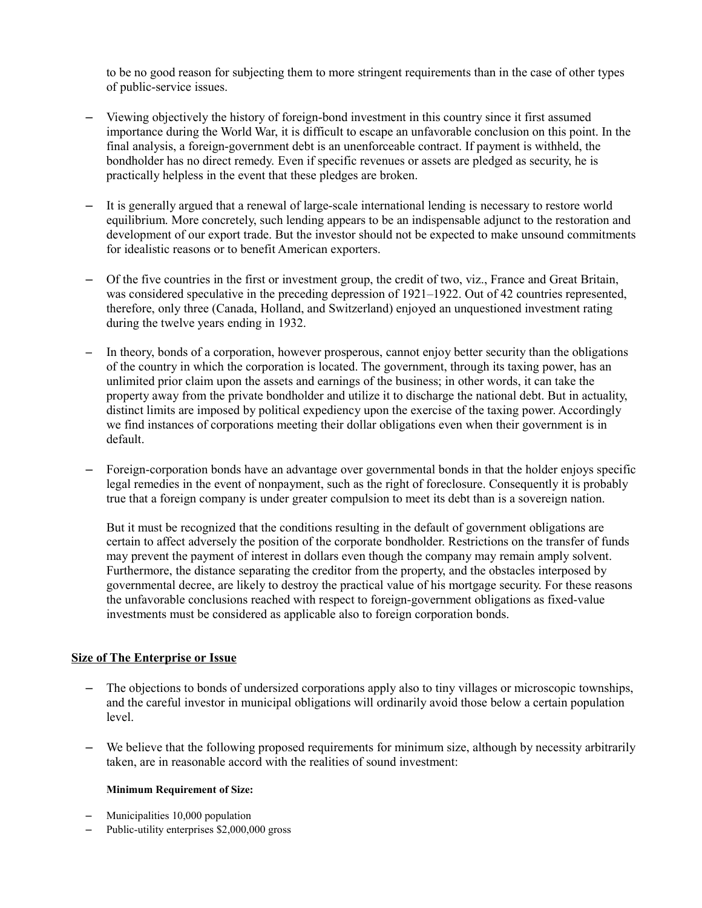to be no good reason for subjecting them to more stringent requirements than in the case of other types of public-service issues.

- Viewing objectively the history of foreign-bond investment in this country since it first assumed importance during the World War, it is difficult to escape an unfavorable conclusion on this point. In the final analysis, a foreign-government debt is an unenforceable contract. If payment is withheld, the bondholder has no direct remedy. Even if specific revenues or assets are pledged as security, he is practically helpless in the event that these pledges are broken.
- It is generally argued that a renewal of large-scale international lending is necessary to restore world equilibrium. More concretely, such lending appears to be an indispensable adjunct to the restoration and development of our export trade. But the investor should not be expected to make unsound commitments for idealistic reasons or to benefit American exporters.
- Of the five countries in the first or investment group, the credit of two, viz., France and Great Britain, was considered speculative in the preceding depression of 1921–1922. Out of 42 countries represented, therefore, only three (Canada, Holland, and Switzerland) enjoyed an unquestioned investment rating during the twelve years ending in 1932.
- In theory, bonds of a corporation, however prosperous, cannot enjoy better security than the obligations of the country in which the corporation is located. The government, through its taxing power, has an unlimited prior claim upon the assets and earnings of the business; in other words, it can take the property away from the private bondholder and utilize it to discharge the national debt. But in actuality, distinct limits are imposed by political expediency upon the exercise of the taxing power. Accordingly we find instances of corporations meeting their dollar obligations even when their government is in default.
- Foreign-corporation bonds have an advantage over governmental bonds in that the holder enjoys specific legal remedies in the event of nonpayment, such as the right of foreclosure. Consequently it is probably true that a foreign company is under greater compulsion to meet its debt than is a sovereign nation.

But it must be recognized that the conditions resulting in the default of government obligations are certain to affect adversely the position of the corporate bondholder. Restrictions on the transfer of funds may prevent the payment of interest in dollars even though the company may remain amply solvent. Furthermore, the distance separating the creditor from the property, and the obstacles interposed by governmental decree, are likely to destroy the practical value of his mortgage security. For these reasons the unfavorable conclusions reached with respect to foreign-government obligations as fixed-value investments must be considered as applicable also to foreign corporation bonds.

### **Size of The Enterprise or Issue**

- The objections to bonds of undersized corporations apply also to tiny villages or microscopic townships, and the careful investor in municipal obligations will ordinarily avoid those below a certain population level.
- We believe that the following proposed requirements for minimum size, although by necessity arbitrarily taken, are in reasonable accord with the realities of sound investment:

#### **Minimum Requirement of Size:**

- Municipalities 10,000 population
- Public-utility enterprises \$2,000,000 gross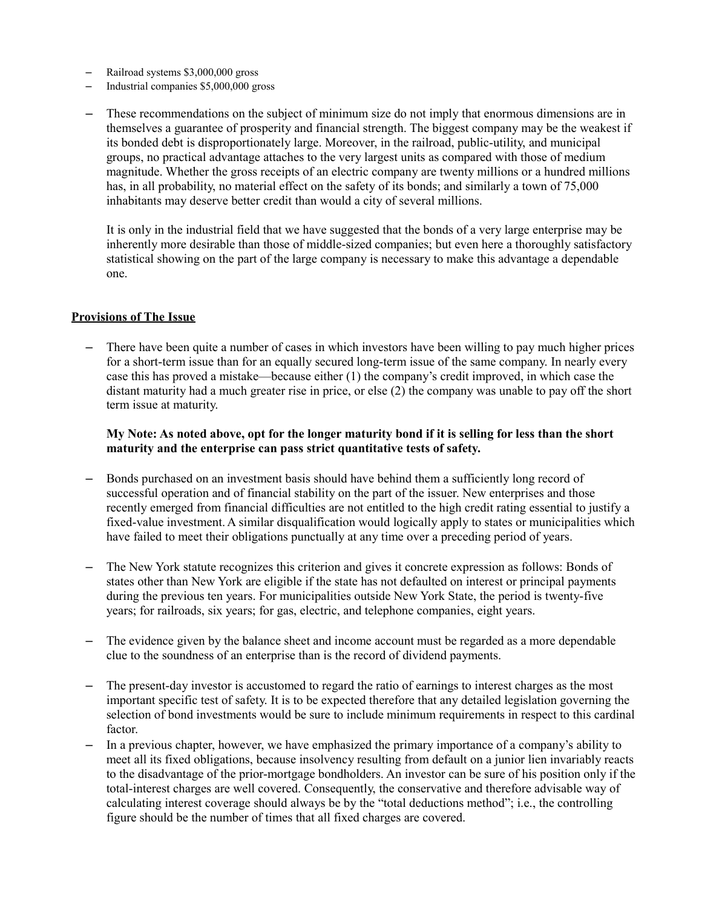- Railroad systems \$3,000,000 gross
- Industrial companies \$5,000,000 gross
- These recommendations on the subject of minimum size do not imply that enormous dimensions are in themselves a guarantee of prosperity and financial strength. The biggest company may be the weakest if its bonded debt is disproportionately large. Moreover, in the railroad, public-utility, and municipal groups, no practical advantage attaches to the very largest units as compared with those of medium magnitude. Whether the gross receipts of an electric company are twenty millions or a hundred millions has, in all probability, no material effect on the safety of its bonds; and similarly a town of 75,000 inhabitants may deserve better credit than would a city of several millions.

It is only in the industrial field that we have suggested that the bonds of a very large enterprise may be inherently more desirable than those of middle-sized companies; but even here a thoroughly satisfactory statistical showing on the part of the large company is necessary to make this advantage a dependable one.

### **Provisions of The Issue**

– There have been quite a number of cases in which investors have been willing to pay much higher prices for a short-term issue than for an equally secured long-term issue of the same company. In nearly every case this has proved a mistake—because either (1) the company's credit improved, in which case the distant maturity had a much greater rise in price, or else (2) the company was unable to pay off the short term issue at maturity.

### **My Note: As noted above, opt for the longer maturity bond if it is selling for less than the short maturity and the enterprise can pass strict quantitative tests of safety.**

- Bonds purchased on an investment basis should have behind them a sufficiently long record of successful operation and of financial stability on the part of the issuer. New enterprises and those recently emerged from financial difficulties are not entitled to the high credit rating essential to justify a fixed-value investment.A similar disqualification would logically apply to states or municipalities which have failed to meet their obligations punctually at any time over a preceding period of years.
- The New York statute recognizes this criterion and gives it concrete expression as follows: Bonds of states other than New York are eligible if the state has not defaulted on interest or principal payments during the previous ten years. For municipalities outside New York State, the period is twenty-five years; for railroads, six years; for gas, electric, and telephone companies, eight years.
- The evidence given by the balance sheet and income account must be regarded as a more dependable clue to the soundness of an enterprise than is the record of dividend payments.
- The present-day investor is accustomed to regard the ratio of earnings to interest charges as the most important specific test of safety. It is to be expected therefore that any detailed legislation governing the selection of bond investments would be sure to include minimum requirements in respect to this cardinal factor.
- In a previous chapter, however, we have emphasized the primary importance of a company's ability to meet all its fixed obligations, because insolvency resulting from default on a junior lien invariably reacts to the disadvantage of the prior-mortgage bondholders. An investor can be sure of his position only if the total-interest charges are well covered. Consequently, the conservative and therefore advisable way of calculating interest coverage should always be by the "total deductions method"; i.e., the controlling figure should be the number of times that all fixed charges are covered.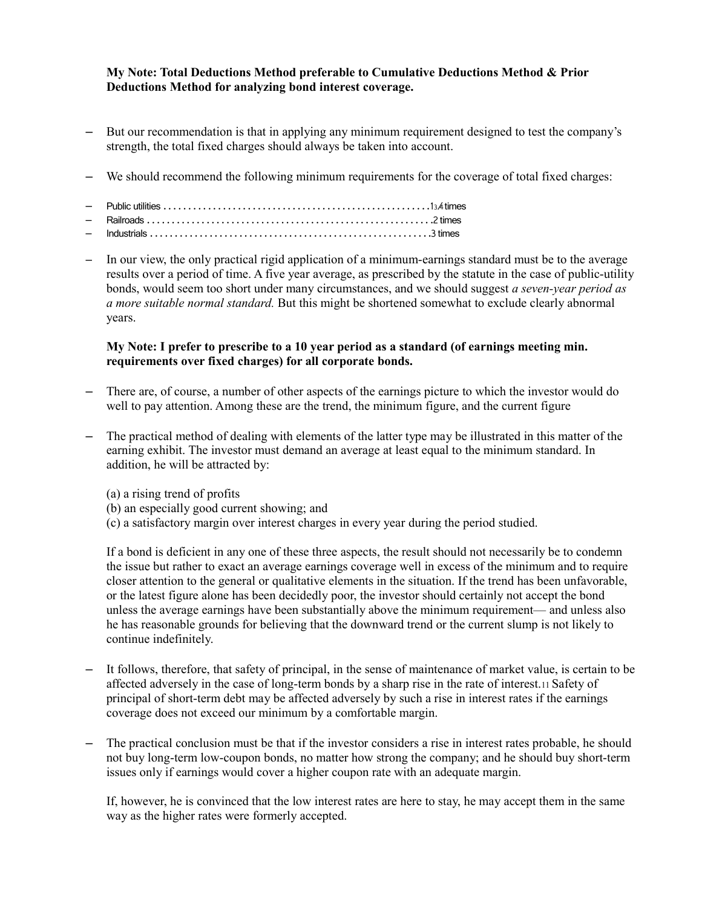## **My Note: Total Deductions Method preferable to Cumulative Deductions Method & Prior Deductions Method for analyzing bond interest coverage.**

- But our recommendation is that in applying any minimum requirement designed to test the company's strength, the total fixed charges should always be taken into account.
- We should recommend the following minimum requirements for the coverage of total fixed charges:
- Public utilities . . . . . . . . . . . . . . . . . . . . . . . . . . . . . . . . . . . . . . . . . . . . . . . . . . . . . .13/4 times
- Railroads . . . . . . . . . . . . . . . . . . . . . . . . . . . . . . . . . . . . . . . . . . . . . . . . . . . . . . . . . .2 times
- Industrials . . . . . . . . . . . . . . . . . . . . . . . . . . . . . . . . . . . . . . . . . . . . . . . . . . . . . . . . .3 times
- In our view, the only practical rigid application of a minimum-earnings standard must be to the average results over a period of time. A five year average, as prescribed by the statute in the case of public-utility bonds, would seem too short under many circumstances, and we should suggest *a seven-year period as a more suitable normal standard.* But this might be shortened somewhat to exclude clearly abnormal years.

### **My Note: I prefer to prescribe to a 10 year period as a standard (of earnings meeting min. requirements over fixed charges) for all corporate bonds.**

- There are, of course, a number of other aspects of the earnings picture to which the investor would do well to pay attention. Among these are the trend, the minimum figure, and the current figure
- The practical method of dealing with elements of the latter type may be illustrated in this matter of the earning exhibit. The investor must demand an average at least equal to the minimum standard. In addition, he will be attracted by:
	- (a) a rising trend of profits
	- (b) an especially good current showing; and
	- (c) a satisfactory margin over interest charges in every year during the period studied.

If a bond is deficient in any one of these three aspects, the result should not necessarily be to condemn the issue but rather to exact an average earnings coverage well in excess of the minimum and to require closer attention to the general or qualitative elements in the situation. If the trend has been unfavorable, or the latest figure alone has been decidedly poor, the investor should certainly not accept the bond unless the average earnings have been substantially above the minimum requirement— and unless also he has reasonable grounds for believing that the downward trend or the current slump is not likely to continue indefinitely.

- It follows, therefore, that safety of principal, in the sense of maintenance of market value, is certain to be affected adversely in the case of long-term bonds by a sharp rise in the rate of interest.11 Safety of principal of short-term debt may be affected adversely by such a rise in interest rates if the earnings coverage does not exceed our minimum by a comfortable margin.
- The practical conclusion must be that if the investor considers a rise in interest rates probable, he should not buy long-term low-coupon bonds, no matter how strong the company; and he should buy short-term issues only if earnings would cover a higher coupon rate with an adequate margin.

If, however, he is convinced that the low interest rates are here to stay, he may accept them in the same way as the higher rates were formerly accepted.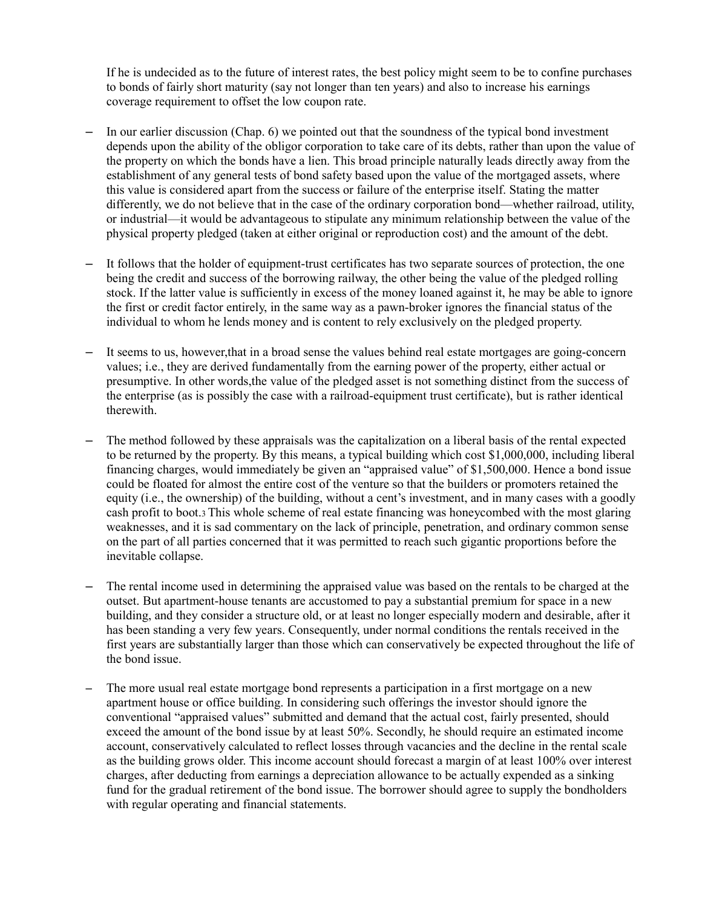If he is undecided as to the future of interest rates, the best policy might seem to be to confine purchases to bonds of fairly short maturity (say not longer than ten years) and also to increase his earnings coverage requirement to offset the low coupon rate.

- In our earlier discussion (Chap. 6) we pointed out that the soundness of the typical bond investment depends upon the ability of the obligor corporation to take care of its debts, rather than upon the value of the property on which the bonds have a lien. This broad principle naturally leads directly away from the establishment of any general tests of bond safety based upon the value of the mortgaged assets, where this value is considered apart from the success or failure of the enterprise itself. Stating the matter differently, we do not believe that in the case of the ordinary corporation bond—whether railroad, utility, or industrial—it would be advantageous to stipulate any minimum relationship between the value of the physical property pledged (taken at either original or reproduction cost) and the amount of the debt.
- It follows that the holder of equipment-trust certificates has two separate sources of protection, the one being the credit and success of the borrowing railway, the other being the value of the pledged rolling stock. If the latter value is sufficiently in excess of the money loaned against it, he may be able to ignore the first or credit factor entirely, in the same way as a pawn-broker ignores the financial status of the individual to whom he lends money and is content to rely exclusively on the pledged property.
- It seems to us, however,that in a broad sense the values behind real estate mortgages are going-concern values; i.e., they are derived fundamentally from the earning power of the property, either actual or presumptive. In other words,the value of the pledged asset is not something distinct from the success of the enterprise (as is possibly the case with a railroad-equipment trust certificate), but is rather identical therewith.
- The method followed by these appraisals was the capitalization on a liberal basis of the rental expected to be returned by the property. By this means, a typical building which cost \$1,000,000, including liberal financing charges, would immediately be given an "appraised value" of \$1,500,000. Hence a bond issue could be floated for almost the entire cost of the venture so that the builders or promoters retained the equity (i.e., the ownership) of the building, without a cent's investment, and in many cases with a goodly cash profit to boot.3 This whole scheme of real estate financing was honeycombed with the most glaring weaknesses, and it is sad commentary on the lack of principle, penetration, and ordinary common sense on the part of all parties concerned that it was permitted to reach such gigantic proportions before the inevitable collapse.
- The rental income used in determining the appraised value was based on the rentals to be charged at the outset. But apartment-house tenants are accustomed to pay a substantial premium for space in a new building, and they consider a structure old, or at least no longer especially modern and desirable, after it has been standing a very few years. Consequently, under normal conditions the rentals received in the first years are substantially larger than those which can conservatively be expected throughout the life of the bond issue.
- The more usual real estate mortgage bond represents a participation in a first mortgage on a new apartment house or office building. In considering such offerings the investor should ignore the conventional "appraised values" submitted and demand that the actual cost, fairly presented, should exceed the amount of the bond issue by at least 50%. Secondly, he should require an estimated income account, conservatively calculated to reflect losses through vacancies and the decline in the rental scale as the building grows older. This income account should forecast a margin of at least 100% over interest charges, after deducting from earnings a depreciation allowance to be actually expended as a sinking fund for the gradual retirement of the bond issue. The borrower should agree to supply the bondholders with regular operating and financial statements.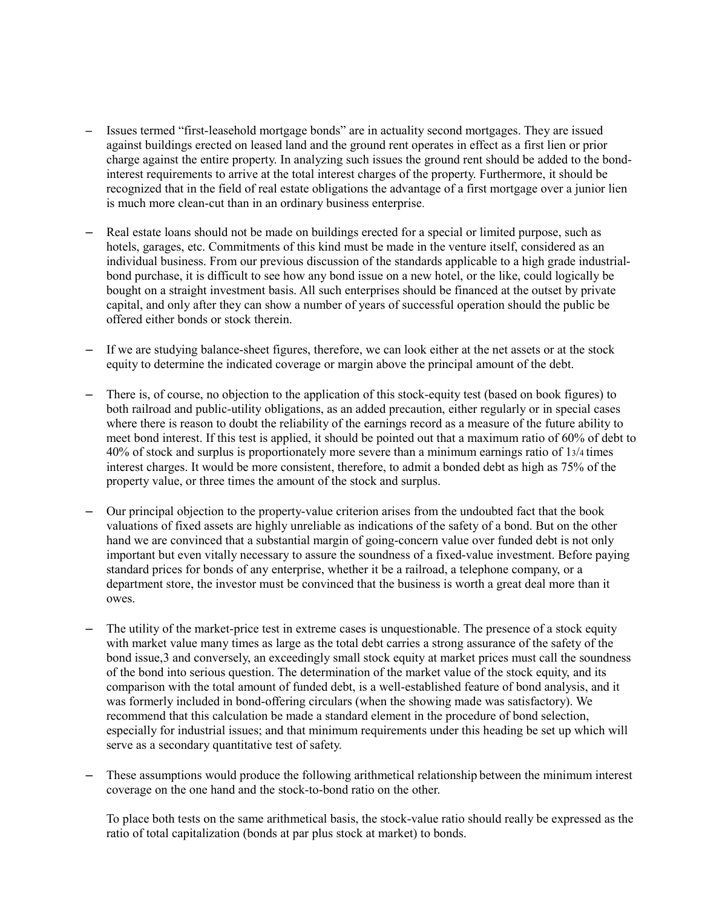- Issues termed "first-leasehold mortgage bonds" are in actuality second mortgages. They are issued against buildings erected on leased land and the ground rent operates in effect as a first lien or prior charge against the entire property. In analyzing such issues the ground rent should be added to the bondinterest requirements to arrive at the total interest charges of the property. Furthermore, it should be recognized that in the field of real estate obligations the advantage of a first mortgage over a junior lien is much more clean-cut than in an ordinary business enterprise.
- Real estate loans should not be made on buildings erected for a special or limited purpose, such as hotels, garages, etc. Commitments of this kind must be made in the venture itself, considered as an individual business. From our previous discussion of the standards applicable to a high grade industrialbond purchase, it is difficult to see how any bond issue on a new hotel, or the like, could logically be bought on a straight investment basis. All such enterprises should be financed at the outset by private capital, and only after they can show a number of years of successful operation should the public be offered either bonds or stock therein.
- If we are studying balance-sheet figures, therefore, we can look either at the net assets or at the stock equity to determine the indicated coverage or margin above the principal amount of the debt.
- There is, of course, no objection to the application of this stock-equity test (based on book figures) to both railroad and public-utility obligations, as an added precaution, either regularly or in special cases where there is reason to doubt the reliability of the earnings record as a measure of the future ability to meet bond interest. If this test is applied, it should be pointed out that a maximum ratio of 60% of debt to 40% of stock and surplus is proportionately more severe than a minimum earnings ratio of 13/4 times interest charges. It would be more consistent, therefore, to admit a bonded debt as high as 75% of the property value, or three times the amount of the stock and surplus.
- Our principal objection to the property-value criterion arises from the undoubted fact that the book valuations of fixed assets are highly unreliable as indications of the safety of a bond. But on the other hand we are convinced that a substantial margin of going-concern value over funded debt is not only important but even vitally necessary to assure the soundness of a fixed-value investment. Before paying standard prices for bonds of any enterprise, whether it be a railroad, a telephone company, or a department store, the investor must be convinced that the business is worth a great deal more than it owes.
- The utility of the market-price test in extreme cases is unquestionable. The presence of a stock equity with market value many times as large as the total debt carries a strong assurance of the safety of the bond issue,3 and conversely, an exceedingly small stock equity at market prices must call the soundness of the bond into serious question. The determination of the market value of the stock equity, and its comparison with the total amount of funded debt, is a well-established feature of bond analysis, and it was formerly included in bond-offering circulars (when the showing made was satisfactory). We recommend that this calculation be made a standard element in the procedure of bond selection, especially for industrial issues; and that minimum requirements under this heading be set up which will serve as a secondary quantitative test of safety.
- These assumptions would produce the following arithmetical relationship between the minimum interest coverage on the one hand and the stock-to-bond ratio on the other.

To place both tests on the same arithmetical basis, the stock-value ratio should really be expressed as the ratio of total capitalization (bonds at par plus stock at market) to bonds.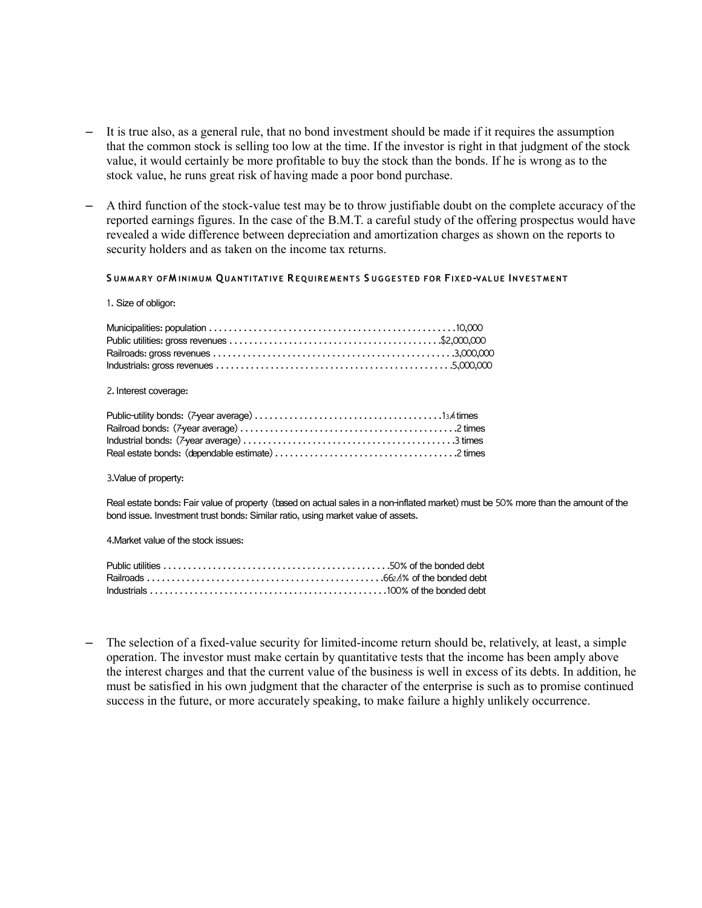- It is true also, as a general rule, that no bond investment should be made if it requires the assumption that the common stock is selling too low at the time. If the investor is right in that judgment of the stock value, it would certainly be more profitable to buy the stock than the bonds. If he is wrong as to the stock value, he runs great risk of having made a poor bond purchase.
- A third function of the stock-value test may be to throw justifiable doubt on the complete accuracy of the reported earnings figures. In the case of the B.M.T. a careful study of the offering prospectus would have revealed a wide difference between depreciation and amortization charges as shown on the reports to security holders and as taken on the income tax returns.

#### **S U M M A RY OFM INI M U M QUANTITATIVE R EQUI RE M E NT S S U G G E S TED FOR FIX ED-VALUE IN VE ST M E NT**

#### 1. Size of obligor:

#### 2. Interest coverage:

#### 3.Value of property:

Real estate bonds: Fair value of property (based on actual sales in a non-inflated market) must be 50% more than the amount of the bond issue. Investment trust bonds: Similar ratio, using market value of assets.

4.Market value of the stock issues:

– The selection of a fixed-value security for limited-income return should be, relatively, at least, a simple operation. The investor must make certain by quantitative tests that the income has been amply above the interest charges and that the current value of the business is well in excess of its debts. In addition, he must be satisfied in his own judgment that the character of the enterprise is such as to promise continued success in the future, or more accurately speaking, to make failure a highly unlikely occurrence.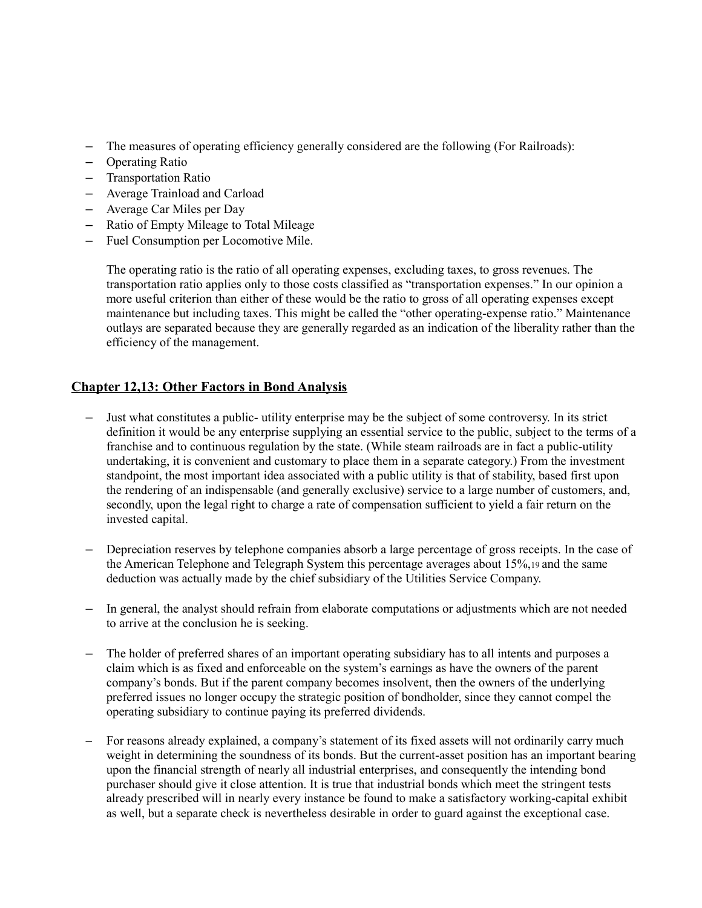- The measures of operating efficiency generally considered are the following (For Railroads):
- Operating Ratio
- Transportation Ratio
- Average Trainload and Carload
- Average Car Miles per Day
- Ratio of Empty Mileage to Total Mileage
- Fuel Consumption per Locomotive Mile.

The operating ratio is the ratio of all operating expenses, excluding taxes, to gross revenues. The transportation ratio applies only to those costs classified as "transportation expenses." In our opinion a more useful criterion than either of these would be the ratio to gross of all operating expenses except maintenance but including taxes. This might be called the "other operating-expense ratio." Maintenance outlays are separated because they are generally regarded as an indication of the liberality rather than the efficiency of the management.

# **Chapter 12,13: Other Factors in Bond Analysis**

- Just what constitutes a public- utility enterprise may be the subject of some controversy. In its strict definition it would be any enterprise supplying an essential service to the public, subject to the terms of a franchise and to continuous regulation by the state. (While steam railroads are in fact a public-utility undertaking, it is convenient and customary to place them in a separate category.) From the investment standpoint, the most important idea associated with a public utility is that of stability, based first upon the rendering of an indispensable (and generally exclusive) service to a large number of customers, and, secondly, upon the legal right to charge a rate of compensation sufficient to yield a fair return on the invested capital.
- Depreciation reserves by telephone companies absorb a large percentage of gross receipts. In the case of the American Telephone and Telegraph System this percentage averages about 15%,19 and the same deduction was actually made by the chief subsidiary of the Utilities Service Company.
- In general, the analyst should refrain from elaborate computations or adjustments which are not needed to arrive at the conclusion he is seeking.
- The holder of preferred shares of an important operating subsidiary has to all intents and purposes a claim which is as fixed and enforceable on the system's earnings as have the owners of the parent company's bonds. But if the parent company becomes insolvent, then the owners of the underlying preferred issues no longer occupy the strategic position of bondholder, since they cannot compel the operating subsidiary to continue paying its preferred dividends.
- For reasons already explained, a company's statement of its fixed assets will not ordinarily carry much weight in determining the soundness of its bonds. But the current-asset position has an important bearing upon the financial strength of nearly all industrial enterprises, and consequently the intending bond purchaser should give it close attention. It is true that industrial bonds which meet the stringent tests already prescribed will in nearly every instance be found to make a satisfactory working-capital exhibit as well, but a separate check is nevertheless desirable in order to guard against the exceptional case.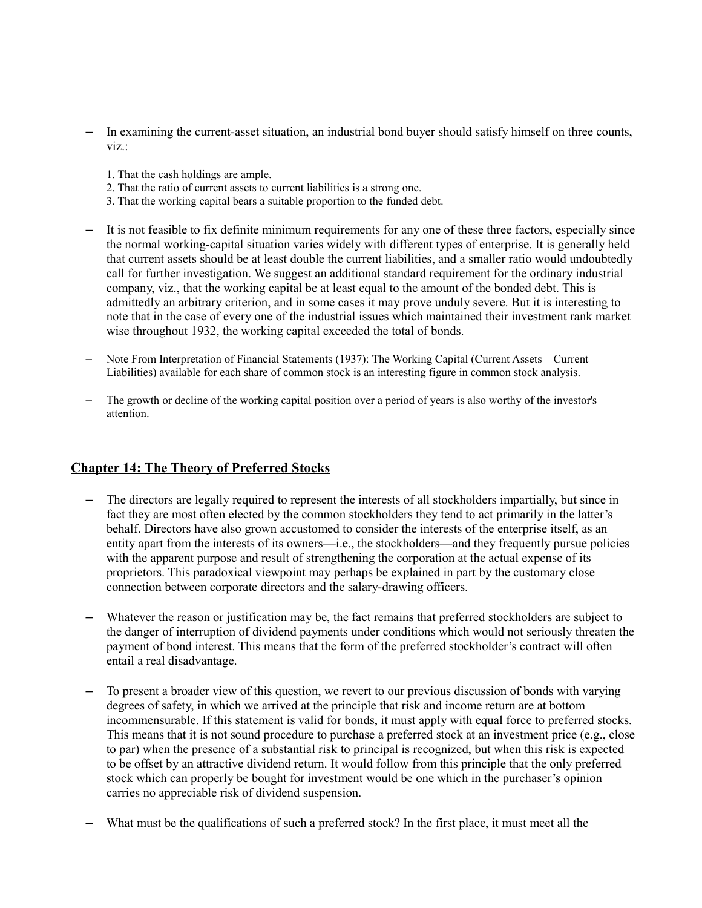- In examining the current-asset situation, an industrial bond buyer should satisfy himself on three counts, viz.:
	- 1. That the cash holdings are ample.
	- 2. That the ratio of current assets to current liabilities is a strong one.
	- 3. That the working capital bears a suitable proportion to the funded debt.
- It is not feasible to fix definite minimum requirements for any one of these three factors, especially since the normal working-capital situation varies widely with different types of enterprise. It is generally held that current assets should be at least double the current liabilities, and a smaller ratio would undoubtedly call for further investigation. We suggest an additional standard requirement for the ordinary industrial company, viz., that the working capital be at least equal to the amount of the bonded debt. This is admittedly an arbitrary criterion, and in some cases it may prove unduly severe. But it is interesting to note that in the case of every one of the industrial issues which maintained their investment rank market wise throughout 1932, the working capital exceeded the total of bonds.
- Note From Interpretation of Financial Statements (1937): The Working Capital (Current Assets Current Liabilities) available for each share of common stock is an interesting figure in common stock analysis.
- The growth or decline of the working capital position over a period of years is also worthy of the investor's attention.

# **Chapter 14: The Theory of Preferred Stocks**

- The directors are legally required to represent the interests of all stockholders impartially, but since in fact they are most often elected by the common stockholders they tend to act primarily in the latter's behalf. Directors have also grown accustomed to consider the interests of the enterprise itself, as an entity apart from the interests of its owners—i.e., the stockholders—and they frequently pursue policies with the apparent purpose and result of strengthening the corporation at the actual expense of its proprietors. This paradoxical viewpoint may perhaps be explained in part by the customary close connection between corporate directors and the salary-drawing officers.
- Whatever the reason or justification may be, the fact remains that preferred stockholders are subject to the danger of interruption of dividend payments under conditions which would not seriously threaten the payment of bond interest. This means that the form of the preferred stockholder's contract will often entail a real disadvantage.
- To present a broader view of this question, we revert to our previous discussion of bonds with varying degrees of safety, in which we arrived at the principle that risk and income return are at bottom incommensurable. If this statement is valid for bonds, it must apply with equal force to preferred stocks. This means that it is not sound procedure to purchase a preferred stock at an investment price (e.g., close to par) when the presence of a substantial risk to principal is recognized, but when this risk is expected to be offset by an attractive dividend return. It would follow from this principle that the only preferred stock which can properly be bought for investment would be one which in the purchaser's opinion carries no appreciable risk of dividend suspension.
- What must be the qualifications of such a preferred stock? In the first place, it must meet all the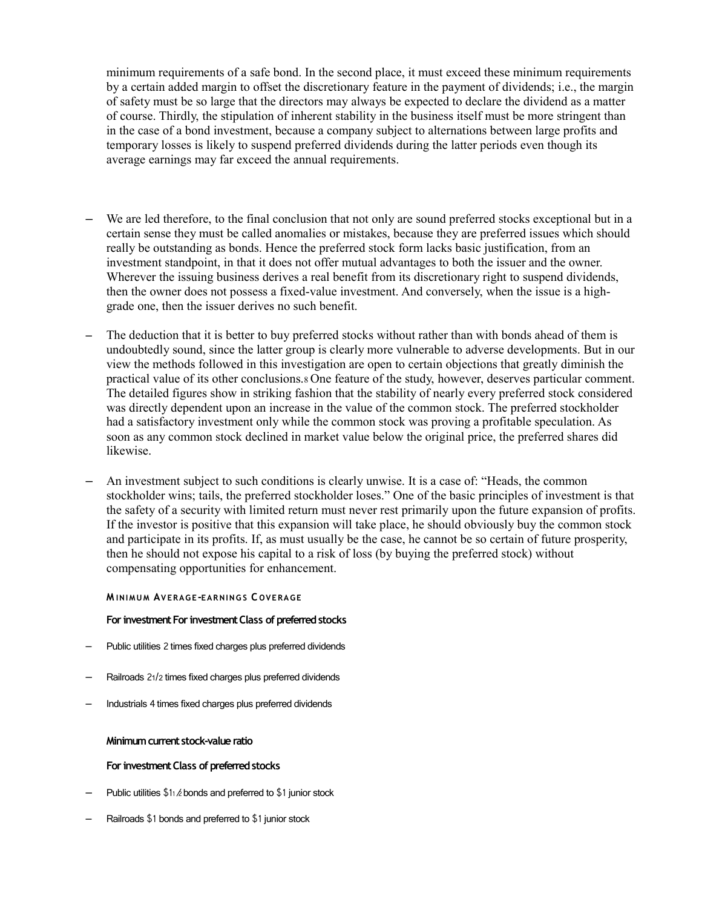minimum requirements of a safe bond. In the second place, it must exceed these minimum requirements by a certain added margin to offset the discretionary feature in the payment of dividends; i.e., the margin of safety must be so large that the directors may always be expected to declare the dividend as a matter of course. Thirdly, the stipulation of inherent stability in the business itself must be more stringent than in the case of a bond investment, because a company subject to alternations between large profits and temporary losses is likely to suspend preferred dividends during the latter periods even though its average earnings may far exceed the annual requirements.

- We are led therefore, to the final conclusion that not only are sound preferred stocks exceptional but in a certain sense they must be called anomalies or mistakes, because they are preferred issues which should really be outstanding as bonds. Hence the preferred stock form lacks basic justification, from an investment standpoint, in that it does not offer mutual advantages to both the issuer and the owner. Wherever the issuing business derives a real benefit from its discretionary right to suspend dividends, then the owner does not possess a fixed-value investment. And conversely, when the issue is a highgrade one, then the issuer derives no such benefit.
- The deduction that it is better to buy preferred stocks without rather than with bonds ahead of them is undoubtedly sound, since the latter group is clearly more vulnerable to adverse developments. But in our view the methods followed in this investigation are open to certain objections that greatly diminish the practical value of its other conclusions.8 One feature of the study, however, deserves particular comment. The detailed figures show in striking fashion that the stability of nearly every preferred stock considered was directly dependent upon an increase in the value of the common stock. The preferred stockholder had a satisfactory investment only while the common stock was proving a profitable speculation. As soon as any common stock declined in market value below the original price, the preferred shares did likewise.
- An investment subject to such conditions is clearly unwise. It is a case of: "Heads, the common stockholder wins; tails, the preferred stockholder loses." One of the basic principles of investment is that the safety of a security with limited return must never rest primarily upon the future expansion of profits. If the investor is positive that this expansion will take place, he should obviously buy the common stock and participate in its profits. If, as must usually be the case, he cannot be so certain of future prosperity, then he should not expose his capital to a risk of loss (by buying the preferred stock) without compensating opportunities for enhancement.

#### **M INI M U M AV E RAG E -EA R NIN G S C OVE RA GE**

#### **For investment For investment Class of preferred stocks**

- Public utilities 2 times fixed charges plus preferred dividends
- Railroads 21/2 times fixed charges plus preferred dividends
- Industrials 4 times fixed charges plus preferred dividends

#### **Minimum current stock-value ratio**

#### **For investment Class of preferred stocks**

- Public utilities  $$11/2$  bonds and preferred to  $$1$  junior stock
- Railroads \$1 bonds and preferred to \$1 junior stock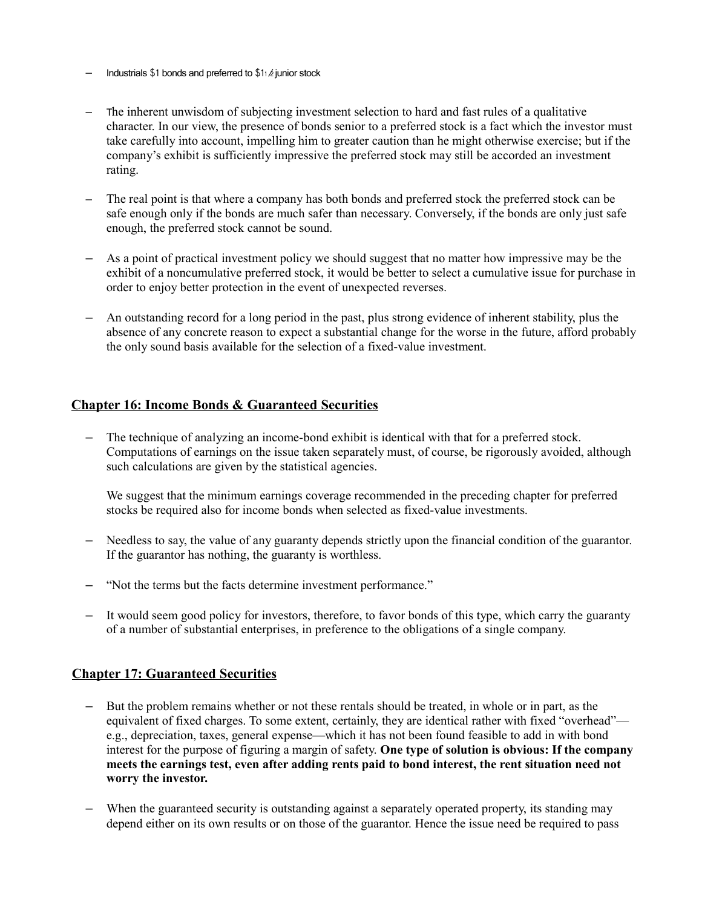- Industrials \$1 bonds and preferred to  $$1<sub>1</sub>/2$  junior stock
- The inherent unwisdom of subjecting investment selection to hard and fast rules of a qualitative character. In our view, the presence of bonds senior to a preferred stock is a fact which the investor must take carefully into account, impelling him to greater caution than he might otherwise exercise; but if the company's exhibit is sufficiently impressive the preferred stock may still be accorded an investment rating.
- The real point is that where a company has both bonds and preferred stock the preferred stock can be safe enough only if the bonds are much safer than necessary. Conversely, if the bonds are only just safe enough, the preferred stock cannot be sound.
- As a point of practical investment policy we should suggest that no matter how impressive may be the exhibit of a noncumulative preferred stock, it would be better to select a cumulative issue for purchase in order to enjoy better protection in the event of unexpected reverses.
- An outstanding record for a long period in the past, plus strong evidence of inherent stability, plus the absence of any concrete reason to expect a substantial change for the worse in the future, afford probably the only sound basis available for the selection of a fixed-value investment.

# **Chapter 16: Income Bonds & Guaranteed Securities**

– The technique of analyzing an income-bond exhibit is identical with that for a preferred stock. Computations of earnings on the issue taken separately must, of course, be rigorously avoided, although such calculations are given by the statistical agencies.

We suggest that the minimum earnings coverage recommended in the preceding chapter for preferred stocks be required also for income bonds when selected as fixed-value investments.

- Needless to say, the value of any guaranty depends strictly upon the financial condition of the guarantor. If the guarantor has nothing, the guaranty is worthless.
- "Not the terms but the facts determine investment performance."
- It would seem good policy for investors, therefore, to favor bonds of this type, which carry the guaranty of a number of substantial enterprises, in preference to the obligations of a single company.

# **Chapter 17: Guaranteed Securities**

- But the problem remains whether or not these rentals should be treated, in whole or in part, as the equivalent of fixed charges. To some extent, certainly, they are identical rather with fixed "overhead" e.g., depreciation, taxes, general expense—which it has not been found feasible to add in with bond interest for the purpose of figuring a margin of safety. **One type of solution is obvious: If the company meets the earnings test, even after adding rents paid to bond interest, the rent situation need not worry the investor.**
- When the guaranteed security is outstanding against a separately operated property, its standing may depend either on its own results or on those of the guarantor. Hence the issue need be required to pass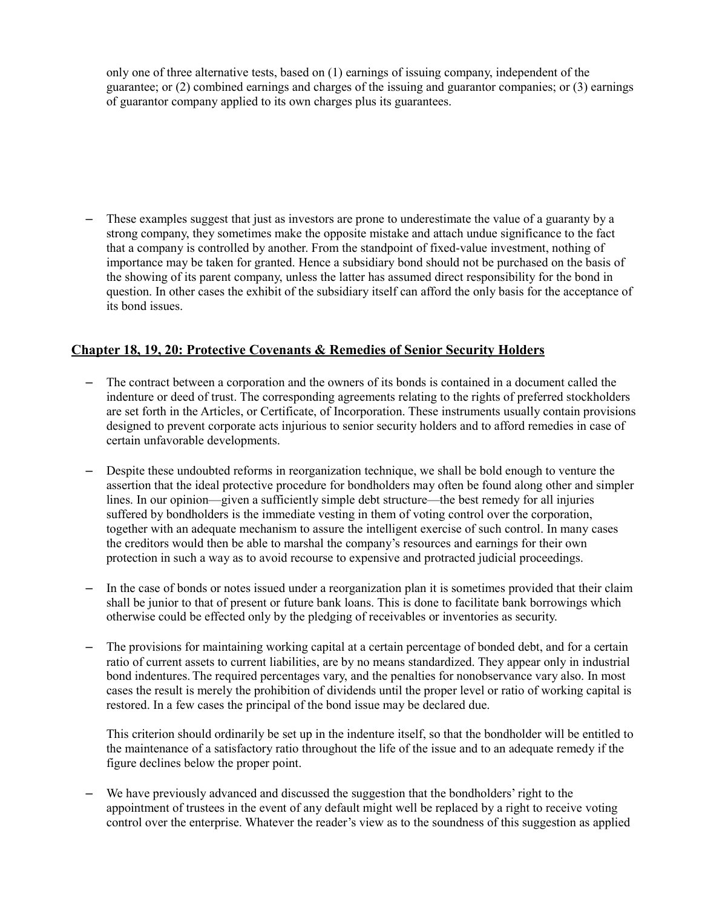only one of three alternative tests, based on (1) earnings of issuing company, independent of the guarantee; or (2) combined earnings and charges of the issuing and guarantor companies; or (3) earnings of guarantor company applied to its own charges plus its guarantees.

– These examples suggest that just as investors are prone to underestimate the value of a guaranty by a strong company, they sometimes make the opposite mistake and attach undue significance to the fact that a company is controlled by another. From the standpoint of fixed-value investment, nothing of importance may be taken for granted. Hence a subsidiary bond should not be purchased on the basis of the showing of its parent company, unless the latter has assumed direct responsibility for the bond in question. In other cases the exhibit of the subsidiary itself can afford the only basis for the acceptance of its bond issues.

# **Chapter 18, 19, 20: Protective Covenants & Remedies of Senior Security Holders**

- The contract between a corporation and the owners of its bonds is contained in a document called the indenture or deed of trust. The corresponding agreements relating to the rights of preferred stockholders are set forth in the Articles, or Certificate, of Incorporation. These instruments usually contain provisions designed to prevent corporate acts injurious to senior security holders and to afford remedies in case of certain unfavorable developments.
- Despite these undoubted reforms in reorganization technique, we shall be bold enough to venture the assertion that the ideal protective procedure for bondholders may often be found along other and simpler lines. In our opinion—given a sufficiently simple debt structure—the best remedy for all injuries suffered by bondholders is the immediate vesting in them of voting control over the corporation, together with an adequate mechanism to assure the intelligent exercise of such control. In many cases the creditors would then be able to marshal the company's resources and earnings for their own protection in such a way as to avoid recourse to expensive and protracted judicial proceedings.
- In the case of bonds or notes issued under a reorganization plan it is sometimes provided that their claim shall be junior to that of present or future bank loans. This is done to facilitate bank borrowings which otherwise could be effected only by the pledging of receivables or inventories as security.
- The provisions for maintaining working capital at a certain percentage of bonded debt, and for a certain ratio of current assets to current liabilities, are by no means standardized. They appear only in industrial bond indentures. The required percentages vary, and the penalties for nonobservance vary also. In most cases the result is merely the prohibition of dividends until the proper level or ratio of working capital is restored. In a few cases the principal of the bond issue may be declared due.

This criterion should ordinarily be set up in the indenture itself, so that the bondholder will be entitled to the maintenance of a satisfactory ratio throughout the life of the issue and to an adequate remedy if the figure declines below the proper point.

– We have previously advanced and discussed the suggestion that the bondholders' right to the appointment of trustees in the event of any default might well be replaced by a right to receive voting control over the enterprise. Whatever the reader's view as to the soundness of this suggestion as applied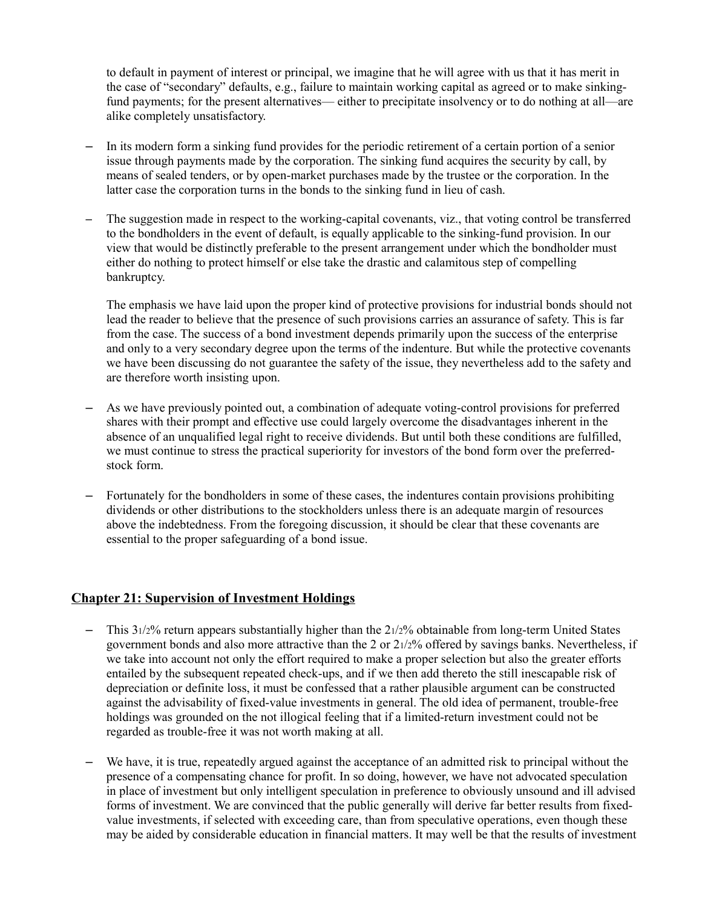to default in payment of interest or principal, we imagine that he will agree with us that it has merit in the case of "secondary" defaults, e.g., failure to maintain working capital as agreed or to make sinkingfund payments; for the present alternatives— either to precipitate insolvency or to do nothing at all—are alike completely unsatisfactory.

- In its modern form a sinking fund provides for the periodic retirement of a certain portion of a senior issue through payments made by the corporation. The sinking fund acquires the security by call, by means of sealed tenders, or by open-market purchases made by the trustee or the corporation. In the latter case the corporation turns in the bonds to the sinking fund in lieu of cash.
- The suggestion made in respect to the working-capital covenants, viz., that voting control be transferred to the bondholders in the event of default, is equally applicable to the sinking-fund provision. In our view that would be distinctly preferable to the present arrangement under which the bondholder must either do nothing to protect himself or else take the drastic and calamitous step of compelling bankruptcy.

The emphasis we have laid upon the proper kind of protective provisions for industrial bonds should not lead the reader to believe that the presence of such provisions carries an assurance of safety. This is far from the case. The success of a bond investment depends primarily upon the success of the enterprise and only to a very secondary degree upon the terms of the indenture. But while the protective covenants we have been discussing do not guarantee the safety of the issue, they nevertheless add to the safety and are therefore worth insisting upon.

- As we have previously pointed out, a combination of adequate voting-control provisions for preferred shares with their prompt and effective use could largely overcome the disadvantages inherent in the absence of an unqualified legal right to receive dividends. But until both these conditions are fulfilled, we must continue to stress the practical superiority for investors of the bond form over the preferredstock form.
- Fortunately for the bondholders in some of these cases, the indentures contain provisions prohibiting dividends or other distributions to the stockholders unless there is an adequate margin of resources above the indebtedness. From the foregoing discussion, it should be clear that these covenants are essential to the proper safeguarding of a bond issue.

# **Chapter 21: Supervision of Investment Holdings**

- $-$  This 31/2% return appears substantially higher than the 21/2% obtainable from long-term United States government bonds and also more attractive than the 2 or  $21/2\%$  offered by savings banks. Nevertheless, if we take into account not only the effort required to make a proper selection but also the greater efforts entailed by the subsequent repeated check-ups, and if we then add thereto the still inescapable risk of depreciation or definite loss, it must be confessed that a rather plausible argument can be constructed against the advisability of fixed-value investments in general. The old idea of permanent, trouble-free holdings was grounded on the not illogical feeling that if a limited-return investment could not be regarded as trouble-free it was not worth making at all.
- We have, it is true, repeatedly argued against the acceptance of an admitted risk to principal without the presence of a compensating chance for profit. In so doing, however, we have not advocated speculation in place of investment but only intelligent speculation in preference to obviously unsound and ill advised forms of investment. We are convinced that the public generally will derive far better results from fixedvalue investments, if selected with exceeding care, than from speculative operations, even though these may be aided by considerable education in financial matters. It may well be that the results of investment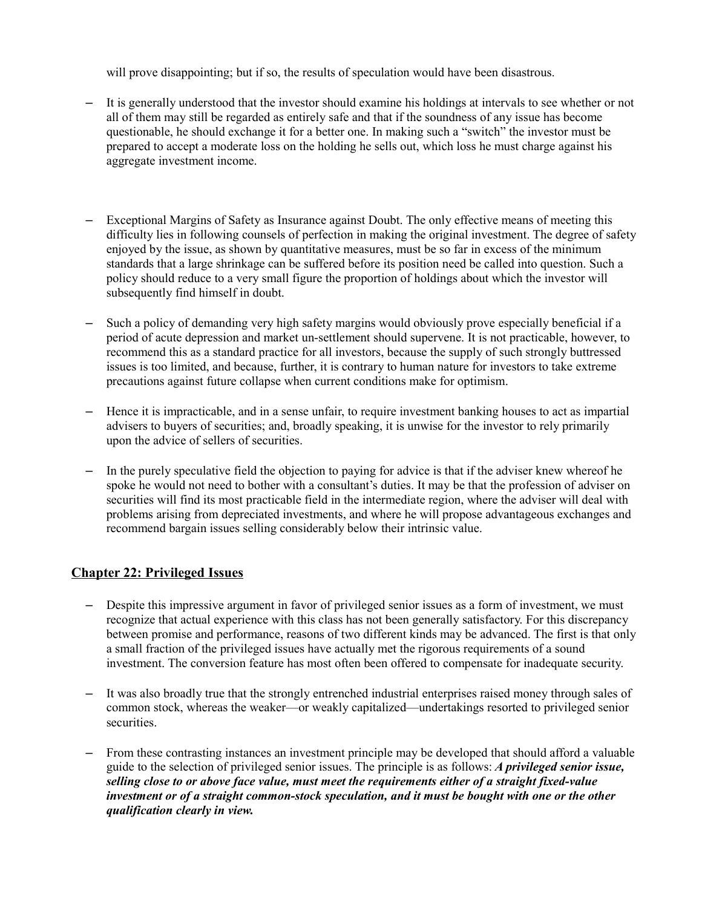will prove disappointing; but if so, the results of speculation would have been disastrous.

- It is generally understood that the investor should examine his holdings at intervals to see whether or not all of them may still be regarded as entirely safe and that if the soundness of any issue has become questionable, he should exchange it for a better one. In making such a "switch" the investor must be prepared to accept a moderate loss on the holding he sells out, which loss he must charge against his aggregate investment income.
- Exceptional Margins of Safety as Insurance against Doubt. The only effective means of meeting this difficulty lies in following counsels of perfection in making the original investment. The degree of safety enjoyed by the issue, as shown by quantitative measures, must be so far in excess of the minimum standards that a large shrinkage can be suffered before its position need be called into question. Such a policy should reduce to a very small figure the proportion of holdings about which the investor will subsequently find himself in doubt.
- Such a policy of demanding very high safety margins would obviously prove especially beneficial if a period of acute depression and market un-settlement should supervene. It is not practicable, however, to recommend this as a standard practice for all investors, because the supply of such strongly buttressed issues is too limited, and because, further, it is contrary to human nature for investors to take extreme precautions against future collapse when current conditions make for optimism.
- Hence it is impracticable, and in a sense unfair, to require investment banking houses to act as impartial advisers to buyers of securities; and, broadly speaking, it is unwise for the investor to rely primarily upon the advice of sellers of securities.
- In the purely speculative field the objection to paying for advice is that if the adviser knew whereof he spoke he would not need to bother with a consultant's duties. It may be that the profession of adviser on securities will find its most practicable field in the intermediate region, where the adviser will deal with problems arising from depreciated investments, and where he will propose advantageous exchanges and recommend bargain issues selling considerably below their intrinsic value.

# **Chapter 22: Privileged Issues**

- Despite this impressive argument in favor of privileged senior issues as a form of investment, we must recognize that actual experience with this class has not been generally satisfactory. For this discrepancy between promise and performance, reasons of two different kinds may be advanced. The first is that only a small fraction of the privileged issues have actually met the rigorous requirements of a sound investment. The conversion feature has most often been offered to compensate for inadequate security.
- It was also broadly true that the strongly entrenched industrial enterprises raised money through sales of common stock, whereas the weaker—or weakly capitalized—undertakings resorted to privileged senior securities.
- From these contrasting instances an investment principle may be developed that should afford a valuable guide to the selection of privileged senior issues. The principle is as follows: *A privileged senior issue, selling close to or above face value, must meet the requirements either of a straight fixed-value investment or of a straight common-stock speculation, and it must be bought with one or the other qualification clearly in view.*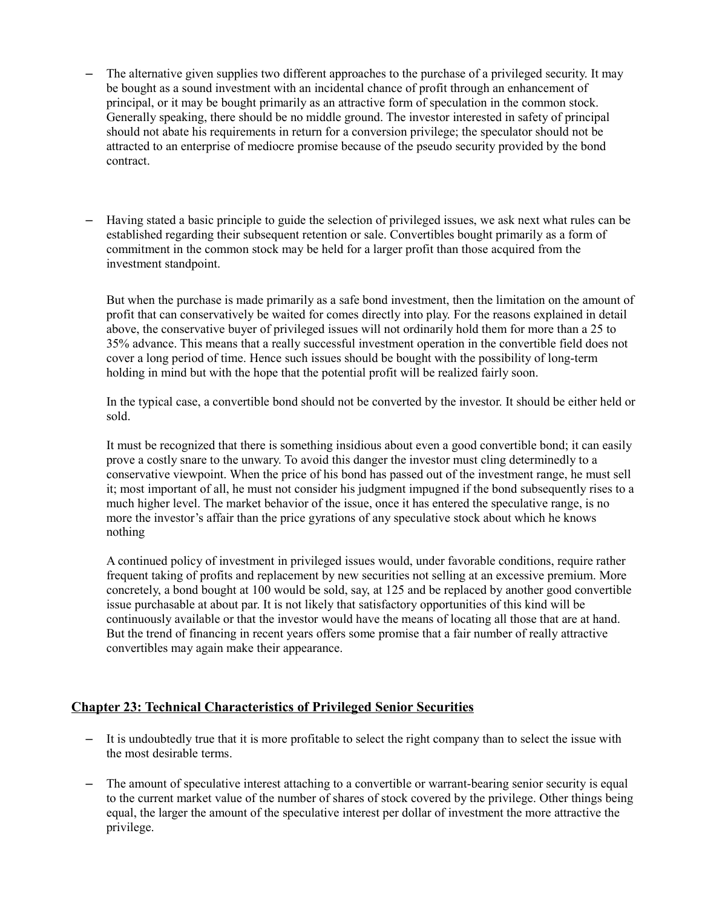- The alternative given supplies two different approaches to the purchase of a privileged security. It may be bought as a sound investment with an incidental chance of profit through an enhancement of principal, or it may be bought primarily as an attractive form of speculation in the common stock. Generally speaking, there should be no middle ground. The investor interested in safety of principal should not abate his requirements in return for a conversion privilege; the speculator should not be attracted to an enterprise of mediocre promise because of the pseudo security provided by the bond contract.
- Having stated a basic principle to guide the selection of privileged issues, we ask next what rules can be established regarding their subsequent retention or sale. Convertibles bought primarily as a form of commitment in the common stock may be held for a larger profit than those acquired from the investment standpoint.

But when the purchase is made primarily as a safe bond investment, then the limitation on the amount of profit that can conservatively be waited for comes directly into play. For the reasons explained in detail above, the conservative buyer of privileged issues will not ordinarily hold them for more than a 25 to 35% advance. This means that a really successful investment operation in the convertible field does not cover a long period of time. Hence such issues should be bought with the possibility of long-term holding in mind but with the hope that the potential profit will be realized fairly soon.

In the typical case, a convertible bond should not be converted by the investor. It should be either held or sold.

It must be recognized that there is something insidious about even a good convertible bond; it can easily prove a costly snare to the unwary. To avoid this danger the investor must cling determinedly to a conservative viewpoint. When the price of his bond has passed out of the investment range, he must sell it; most important of all, he must not consider his judgment impugned if the bond subsequently rises to a much higher level. The market behavior of the issue, once it has entered the speculative range, is no more the investor's affair than the price gyrations of any speculative stock about which he knows nothing

A continued policy of investment in privileged issues would, under favorable conditions, require rather frequent taking of profits and replacement by new securities not selling at an excessive premium. More concretely, a bond bought at 100 would be sold, say, at 125 and be replaced by another good convertible issue purchasable at about par. It is not likely that satisfactory opportunities of this kind will be continuously available or that the investor would have the means of locating all those that are at hand. But the trend of financing in recent years offers some promise that a fair number of really attractive convertibles may again make their appearance.

# **Chapter 23: Technical Characteristics of Privileged Senior Securities**

- It is undoubtedly true that it is more profitable to select the right company than to select the issue with the most desirable terms.
- The amount of speculative interest attaching to a convertible or warrant-bearing senior security is equal to the current market value of the number of shares of stock covered by the privilege. Other things being equal, the larger the amount of the speculative interest per dollar of investment the more attractive the privilege.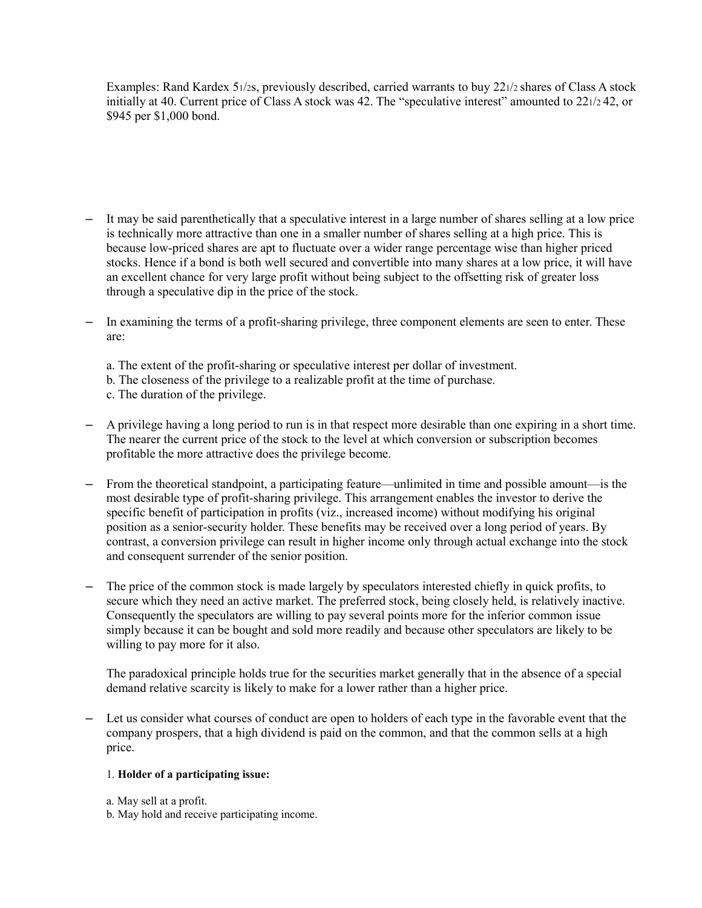Examples: Rand Kardex 51/2s, previously described, carried warrants to buy 221/2 shares of Class A stock initially at 40. Current price of Class A stock was 42. The "speculative interest" amounted to 221/2 42, or \$945 per \$1,000 bond.

- It may be said parenthetically that a speculative interest in a large number of shares selling at a low price is technically more attractive than one in a smaller number of shares selling at a high price. This is because low-priced shares are apt to fluctuate over a wider range percentage wise than higher priced stocks. Hence if a bond is both well secured and convertible into many shares at a low price, it will have an excellent chance for very large profit without being subject to the offsetting risk of greater loss through a speculative dip in the price of the stock.
- In examining the terms of a profit-sharing privilege, three component elements are seen to enter. These are:
	- a. The extent of the profit-sharing or speculative interest per dollar of investment.
	- b. The closeness of the privilege to a realizable profit at the time of purchase.
	- c. The duration of the privilege.
- A privilege having a long period to run is in that respect more desirable than one expiring in a short time. The nearer the current price of the stock to the level at which conversion or subscription becomes profitable the more attractive does the privilege become.
- From the theoretical standpoint, a participating feature—unlimited in time and possible amount—is the most desirable type of profit-sharing privilege. This arrangement enables the investor to derive the specific benefit of participation in profits (viz., increased income) without modifying his original position as a senior-security holder. These benefits may be received over a long period of years. By contrast, a conversion privilege can result in higher income only through actual exchange into the stock and consequent surrender of the senior position.
- The price of the common stock is made largely by speculators interested chiefly in quick profits, to secure which they need an active market. The preferred stock, being closely held, is relatively inactive. Consequently the speculators are willing to pay several points more for the inferior common issue simply because it can be bought and sold more readily and because other speculators are likely to be willing to pay more for it also.

The paradoxical principle holds true for the securities market generally that in the absence of a special demand relative scarcity is likely to make for a lower rather than a higher price.

– Let us consider what courses of conduct are open to holders of each type in the favorable event that the company prospers, that a high dividend is paid on the common, and that the common sells at a high price.

#### 1. **Holder of a participating issue:**

- a. May sell at a profit.
- b. May hold and receive participating income.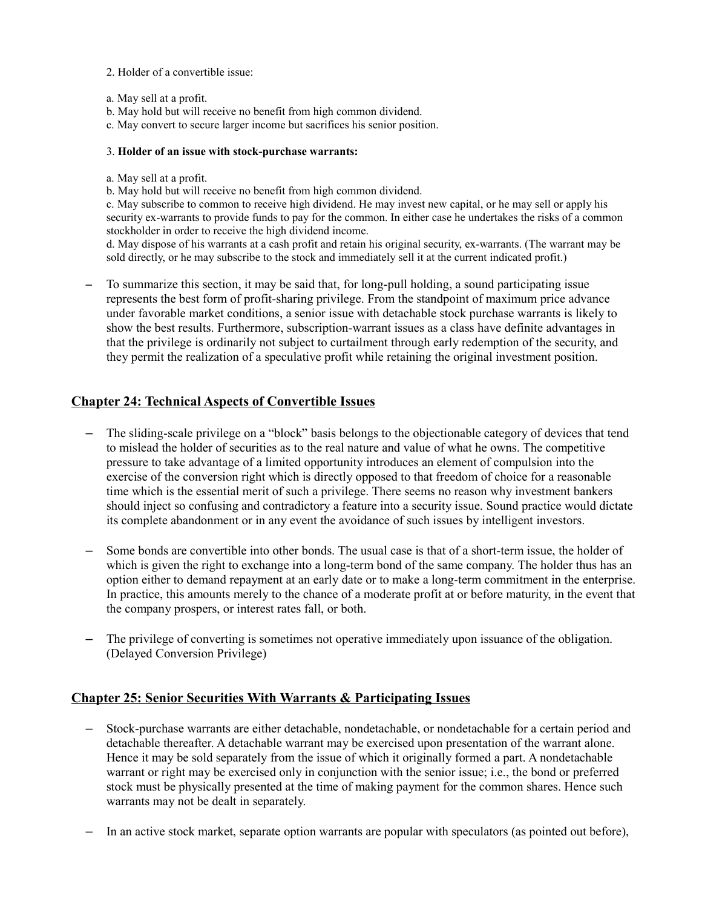- 2. Holder of a convertible issue:
- a. May sell at a profit.
- b. May hold but will receive no benefit from high common dividend.
- c. May convert to secure larger income but sacrifices his senior position.

### 3. **Holder of an issue with stock-purchase warrants:**

- a. May sell at a profit.
- b. May hold but will receive no benefit from high common dividend.

c. May subscribe to common to receive high dividend. He may invest new capital, or he may sell or apply his security ex-warrants to provide funds to pay for the common. In either case he undertakes the risks of a common stockholder in order to receive the high dividend income.

d. May dispose of his warrants at a cash profit and retain his original security, ex-warrants. (The warrant may be sold directly, or he may subscribe to the stock and immediately sell it at the current indicated profit.)

– To summarize this section, it may be said that, for long-pull holding, a sound participating issue represents the best form of profit-sharing privilege. From the standpoint of maximum price advance under favorable market conditions, a senior issue with detachable stock purchase warrants is likely to show the best results. Furthermore, subscription-warrant issues as a class have definite advantages in that the privilege is ordinarily not subject to curtailment through early redemption of the security, and they permit the realization of a speculative profit while retaining the original investment position.

# **Chapter 24: Technical Aspects of Convertible Issues**

- The sliding-scale privilege on a "block" basis belongs to the objectionable category of devices that tend to mislead the holder of securities as to the real nature and value of what he owns. The competitive pressure to take advantage of a limited opportunity introduces an element of compulsion into the exercise of the conversion right which is directly opposed to that freedom of choice for a reasonable time which is the essential merit of such a privilege. There seems no reason why investment bankers should inject so confusing and contradictory a feature into a security issue. Sound practice would dictate its complete abandonment or in any event the avoidance of such issues by intelligent investors.
- Some bonds are convertible into other bonds. The usual case is that of a short-term issue, the holder of which is given the right to exchange into a long-term bond of the same company. The holder thus has an option either to demand repayment at an early date or to make a long-term commitment in the enterprise. In practice, this amounts merely to the chance of a moderate profit at or before maturity, in the event that the company prospers, or interest rates fall, or both.
- The privilege of converting is sometimes not operative immediately upon issuance of the obligation. (Delayed Conversion Privilege)

# **Chapter 25: Senior Securities With Warrants & Participating Issues**

- Stock-purchase warrants are either detachable, nondetachable, or nondetachable for a certain period and detachable thereafter. A detachable warrant may be exercised upon presentation of the warrant alone. Hence it may be sold separately from the issue of which it originally formed a part. A nondetachable warrant or right may be exercised only in conjunction with the senior issue; i.e., the bond or preferred stock must be physically presented at the time of making payment for the common shares. Hence such warrants may not be dealt in separately.
- In an active stock market, separate option warrants are popular with speculators (as pointed out before),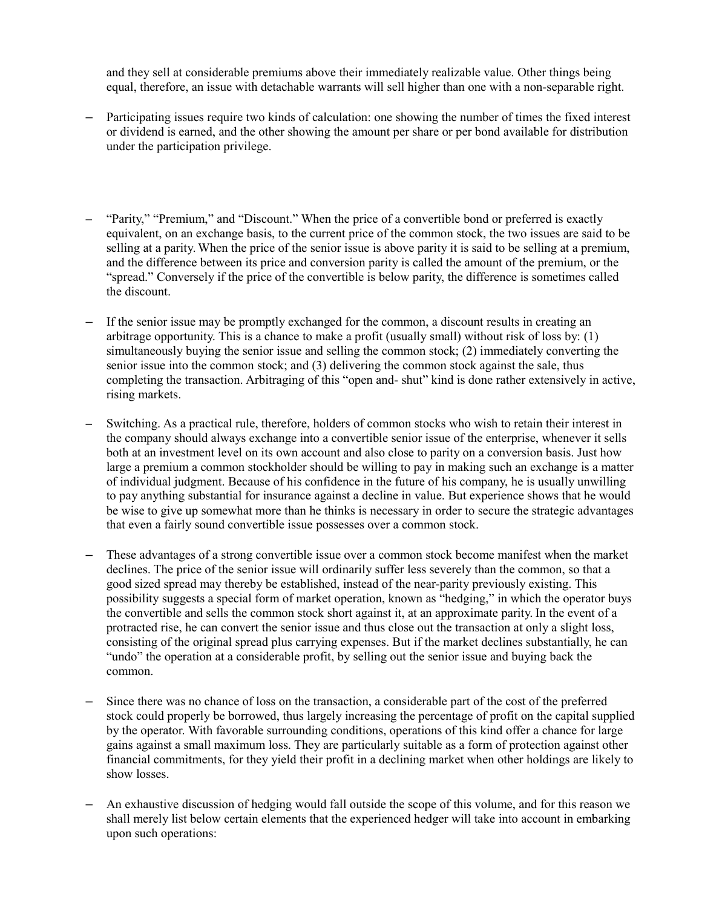and they sell at considerable premiums above their immediately realizable value. Other things being equal, therefore, an issue with detachable warrants will sell higher than one with a non-separable right.

- Participating issues require two kinds of calculation: one showing the number of times the fixed interest or dividend is earned, and the other showing the amount per share or per bond available for distribution under the participation privilege.
- "Parity," "Premium," and "Discount." When the price of a convertible bond or preferred is exactly equivalent, on an exchange basis, to the current price of the common stock, the two issues are said to be selling at a parity. When the price of the senior issue is above parity it is said to be selling at a premium, and the difference between its price and conversion parity is called the amount of the premium, or the "spread." Conversely if the price of the convertible is below parity, the difference is sometimes called the discount.
- If the senior issue may be promptly exchanged for the common, a discount results in creating an arbitrage opportunity. This is a chance to make a profit (usually small) without risk of loss by: (1) simultaneously buying the senior issue and selling the common stock; (2) immediately converting the senior issue into the common stock; and (3) delivering the common stock against the sale, thus completing the transaction. Arbitraging of this "open and- shut" kind is done rather extensively in active, rising markets.
- Switching. As a practical rule, therefore, holders of common stocks who wish to retain their interest in the company should always exchange into a convertible senior issue of the enterprise, whenever it sells both at an investment level on its own account and also close to parity on a conversion basis. Just how large a premium a common stockholder should be willing to pay in making such an exchange is a matter of individual judgment. Because of his confidence in the future of his company, he is usually unwilling to pay anything substantial for insurance against a decline in value. But experience shows that he would be wise to give up somewhat more than he thinks is necessary in order to secure the strategic advantages that even a fairly sound convertible issue possesses over a common stock.
- These advantages of a strong convertible issue over a common stock become manifest when the market declines. The price of the senior issue will ordinarily suffer less severely than the common, so that a good sized spread may thereby be established, instead of the near-parity previously existing. This possibility suggests a special form of market operation, known as "hedging," in which the operator buys the convertible and sells the common stock short against it, at an approximate parity. In the event of a protracted rise, he can convert the senior issue and thus close out the transaction at only a slight loss, consisting of the original spread plus carrying expenses. But if the market declines substantially, he can "undo" the operation at a considerable profit, by selling out the senior issue and buying back the common.
- Since there was no chance of loss on the transaction, a considerable part of the cost of the preferred stock could properly be borrowed, thus largely increasing the percentage of profit on the capital supplied by the operator. With favorable surrounding conditions, operations of this kind offer a chance for large gains against a small maximum loss. They are particularly suitable as a form of protection against other financial commitments, for they yield their profit in a declining market when other holdings are likely to show losses.
- An exhaustive discussion of hedging would fall outside the scope of this volume, and for this reason we shall merely list below certain elements that the experienced hedger will take into account in embarking upon such operations: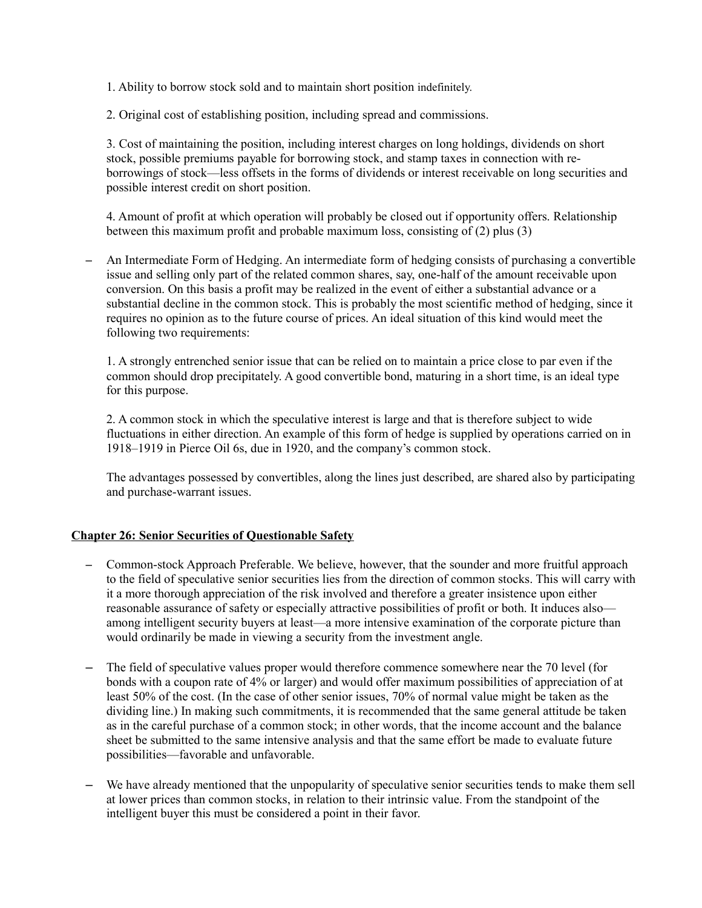- 1. Ability to borrow stock sold and to maintain short position indefinitely.
- 2. Original cost of establishing position, including spread and commissions.

3. Cost of maintaining the position, including interest charges on long holdings, dividends on short stock, possible premiums payable for borrowing stock, and stamp taxes in connection with reborrowings of stock—less offsets in the forms of dividends or interest receivable on long securities and possible interest credit on short position.

4. Amount of profit at which operation will probably be closed out if opportunity offers. Relationship between this maximum profit and probable maximum loss, consisting of (2) plus (3)

– An Intermediate Form of Hedging. An intermediate form of hedging consists of purchasing a convertible issue and selling only part of the related common shares, say, one-half of the amount receivable upon conversion. On this basis a profit may be realized in the event of either a substantial advance or a substantial decline in the common stock. This is probably the most scientific method of hedging, since it requires no opinion as to the future course of prices. An ideal situation of this kind would meet the following two requirements:

1. A strongly entrenched senior issue that can be relied on to maintain a price close to par even if the common should drop precipitately. A good convertible bond, maturing in a short time, is an ideal type for this purpose.

2. A common stock in which the speculative interest is large and that is therefore subject to wide fluctuations in either direction. An example of this form of hedge is supplied by operations carried on in 1918–1919 in Pierce Oil 6s, due in 1920, and the company's common stock.

The advantages possessed by convertibles, along the lines just described, are shared also by participating and purchase-warrant issues.

### **Chapter 26: Senior Securities of Questionable Safety**

- Common-stock Approach Preferable. We believe, however, that the sounder and more fruitful approach to the field of speculative senior securities lies from the direction of common stocks. This will carry with it a more thorough appreciation of the risk involved and therefore a greater insistence upon either reasonable assurance of safety or especially attractive possibilities of profit or both. It induces also among intelligent security buyers at least—a more intensive examination of the corporate picture than would ordinarily be made in viewing a security from the investment angle.
- The field of speculative values proper would therefore commence somewhere near the 70 level (for bonds with a coupon rate of 4% or larger) and would offer maximum possibilities of appreciation of at least 50% of the cost. (In the case of other senior issues, 70% of normal value might be taken as the dividing line.) In making such commitments, it is recommended that the same general attitude be taken as in the careful purchase of a common stock; in other words, that the income account and the balance sheet be submitted to the same intensive analysis and that the same effort be made to evaluate future possibilities—favorable and unfavorable.
- We have already mentioned that the unpopularity of speculative senior securities tends to make them sell at lower prices than common stocks, in relation to their intrinsic value. From the standpoint of the intelligent buyer this must be considered a point in their favor.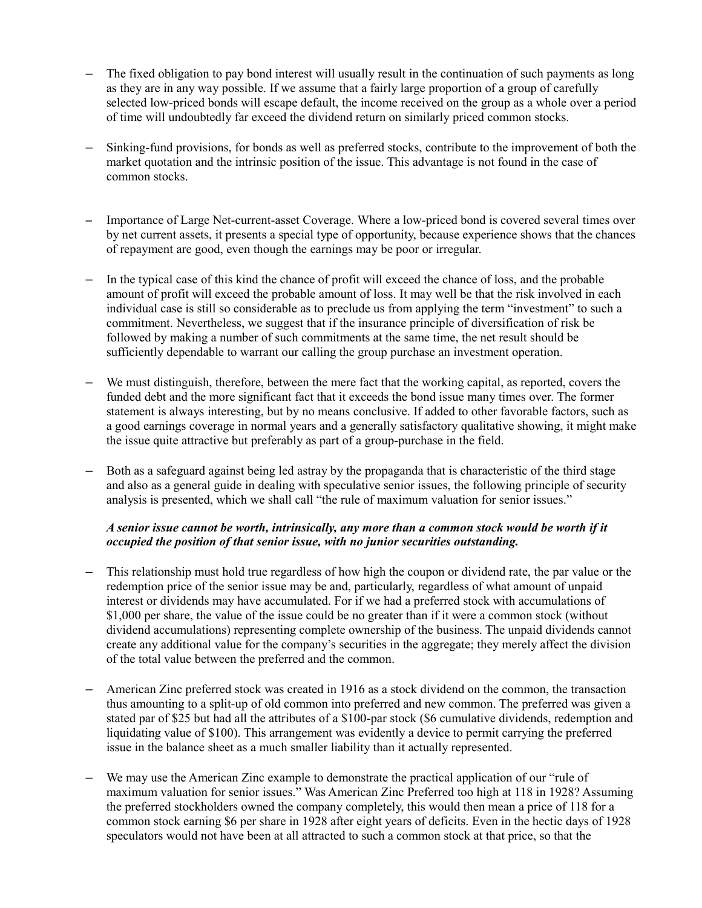- The fixed obligation to pay bond interest will usually result in the continuation of such payments as long as they are in any way possible. If we assume that a fairly large proportion of a group of carefully selected low-priced bonds will escape default, the income received on the group as a whole over a period of time will undoubtedly far exceed the dividend return on similarly priced common stocks.
- Sinking-fund provisions, for bonds as well as preferred stocks, contribute to the improvement of both the market quotation and the intrinsic position of the issue. This advantage is not found in the case of common stocks.
- Importance of Large Net-current-asset Coverage. Where a low-priced bond is covered several times over by net current assets, it presents a special type of opportunity, because experience shows that the chances of repayment are good, even though the earnings may be poor or irregular.
- In the typical case of this kind the chance of profit will exceed the chance of loss, and the probable amount of profit will exceed the probable amount of loss. It may well be that the risk involved in each individual case is still so considerable as to preclude us from applying the term "investment" to such a commitment. Nevertheless, we suggest that if the insurance principle of diversification of risk be followed by making a number of such commitments at the same time, the net result should be sufficiently dependable to warrant our calling the group purchase an investment operation.
- We must distinguish, therefore, between the mere fact that the working capital, as reported, covers the funded debt and the more significant fact that it exceeds the bond issue many times over. The former statement is always interesting, but by no means conclusive. If added to other favorable factors, such as a good earnings coverage in normal years and a generally satisfactory qualitative showing, it might make the issue quite attractive but preferably as part of a group-purchase in the field.
- Both as a safeguard against being led astray by the propaganda that is characteristic of the third stage and also as a general guide in dealing with speculative senior issues, the following principle of security analysis is presented, which we shall call "the rule of maximum valuation for senior issues."

# *A senior issue cannot be worth, intrinsically, any more than a common stock would be worth if it occupied the position of that senior issue, with no junior securities outstanding.*

- This relationship must hold true regardless of how high the coupon or dividend rate, the par value or the redemption price of the senior issue may be and, particularly, regardless of what amount of unpaid interest or dividends may have accumulated. For if we had a preferred stock with accumulations of \$1,000 per share, the value of the issue could be no greater than if it were a common stock (without dividend accumulations) representing complete ownership of the business. The unpaid dividends cannot create any additional value for the company's securities in the aggregate; they merely affect the division of the total value between the preferred and the common.
- American Zinc preferred stock was created in 1916 as a stock dividend on the common, the transaction thus amounting to a split-up of old common into preferred and new common. The preferred was given a stated par of \$25 but had all the attributes of a \$100-par stock (\$6 cumulative dividends, redemption and liquidating value of \$100). This arrangement was evidently a device to permit carrying the preferred issue in the balance sheet as a much smaller liability than it actually represented.
- We may use the American Zinc example to demonstrate the practical application of our "rule of maximum valuation for senior issues." Was American Zinc Preferred too high at 118 in 1928? Assuming the preferred stockholders owned the company completely, this would then mean a price of 118 for a common stock earning \$6 per share in 1928 after eight years of deficits. Even in the hectic days of 1928 speculators would not have been at all attracted to such a common stock at that price, so that the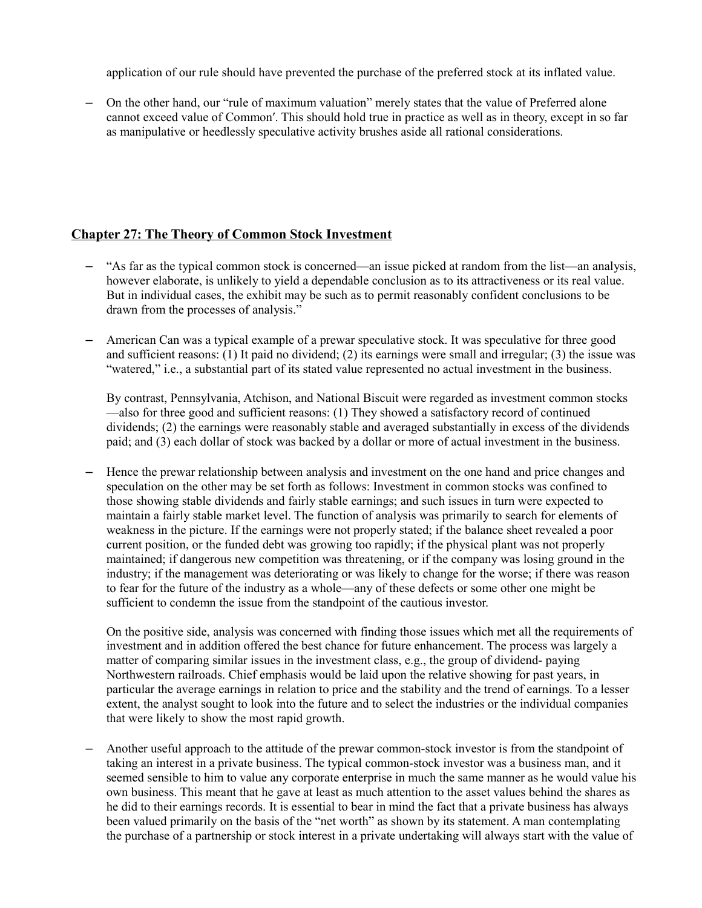application of our rule should have prevented the purchase of the preferred stock at its inflated value.

– On the other hand, our "rule of maximum valuation" merely states that the value of Preferred alone cannot exceed value of Common′. This should hold true in practice as well as in theory, except in so far as manipulative or heedlessly speculative activity brushes aside all rational considerations.

# **Chapter 27: The Theory of Common Stock Investment**

- "As far as the typical common stock is concerned—an issue picked at random from the list—an analysis, however elaborate, is unlikely to yield a dependable conclusion as to its attractiveness or its real value. But in individual cases, the exhibit may be such as to permit reasonably confident conclusions to be drawn from the processes of analysis."
- American Can was a typical example of a prewar speculative stock. It was speculative for three good and sufficient reasons: (1) It paid no dividend; (2) its earnings were small and irregular; (3) the issue was "watered," i.e., a substantial part of its stated value represented no actual investment in the business.

By contrast, Pennsylvania, Atchison, and National Biscuit were regarded as investment common stocks —also for three good and sufficient reasons: (1) They showed a satisfactory record of continued dividends; (2) the earnings were reasonably stable and averaged substantially in excess of the dividends paid; and (3) each dollar of stock was backed by a dollar or more of actual investment in the business.

– Hence the prewar relationship between analysis and investment on the one hand and price changes and speculation on the other may be set forth as follows: Investment in common stocks was confined to those showing stable dividends and fairly stable earnings; and such issues in turn were expected to maintain a fairly stable market level. The function of analysis was primarily to search for elements of weakness in the picture. If the earnings were not properly stated; if the balance sheet revealed a poor current position, or the funded debt was growing too rapidly; if the physical plant was not properly maintained; if dangerous new competition was threatening, or if the company was losing ground in the industry; if the management was deteriorating or was likely to change for the worse; if there was reason to fear for the future of the industry as a whole—any of these defects or some other one might be sufficient to condemn the issue from the standpoint of the cautious investor.

On the positive side, analysis was concerned with finding those issues which met all the requirements of investment and in addition offered the best chance for future enhancement. The process was largely a matter of comparing similar issues in the investment class, e.g., the group of dividend- paying Northwestern railroads. Chief emphasis would be laid upon the relative showing for past years, in particular the average earnings in relation to price and the stability and the trend of earnings. To a lesser extent, the analyst sought to look into the future and to select the industries or the individual companies that were likely to show the most rapid growth.

– Another useful approach to the attitude of the prewar common-stock investor is from the standpoint of taking an interest in a private business. The typical common-stock investor was a business man, and it seemed sensible to him to value any corporate enterprise in much the same manner as he would value his own business. This meant that he gave at least as much attention to the asset values behind the shares as he did to their earnings records. It is essential to bear in mind the fact that a private business has always been valued primarily on the basis of the "net worth" as shown by its statement. A man contemplating the purchase of a partnership or stock interest in a private undertaking will always start with the value of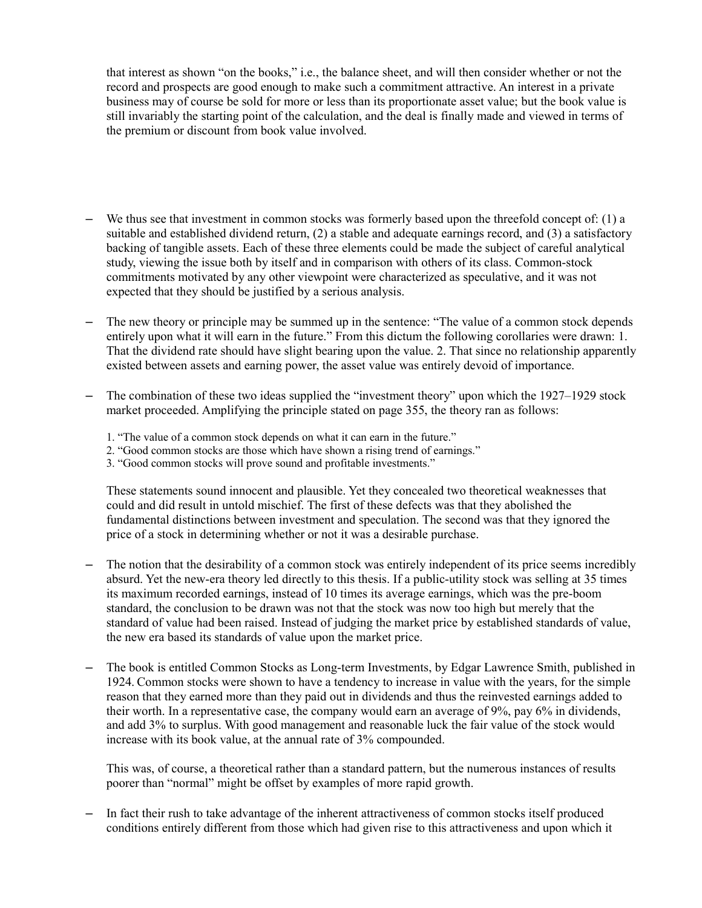that interest as shown "on the books," i.e., the balance sheet, and will then consider whether or not the record and prospects are good enough to make such a commitment attractive. An interest in a private business may of course be sold for more or less than its proportionate asset value; but the book value is still invariably the starting point of the calculation, and the deal is finally made and viewed in terms of the premium or discount from book value involved.

- We thus see that investment in common stocks was formerly based upon the threefold concept of: (1) a suitable and established dividend return, (2) a stable and adequate earnings record, and (3) a satisfactory backing of tangible assets. Each of these three elements could be made the subject of careful analytical study, viewing the issue both by itself and in comparison with others of its class. Common-stock commitments motivated by any other viewpoint were characterized as speculative, and it was not expected that they should be justified by a serious analysis.
- The new theory or principle may be summed up in the sentence: "The value of a common stock depends entirely upon what it will earn in the future." From this dictum the following corollaries were drawn: 1. That the dividend rate should have slight bearing upon the value. 2. That since no relationship apparently existed between assets and earning power, the asset value was entirely devoid of importance.
- The combination of these two ideas supplied the "investment theory" upon which the 1927–1929 stock market proceeded. Amplifying the principle stated on page 355, the theory ran as follows:
	- 1. "The value of a common stock depends on what it can earn in the future."
	- 2. "Good common stocks are those which have shown a rising trend of earnings."
	- 3. "Good common stocks will prove sound and profitable investments."

These statements sound innocent and plausible. Yet they concealed two theoretical weaknesses that could and did result in untold mischief. The first of these defects was that they abolished the fundamental distinctions between investment and speculation. The second was that they ignored the price of a stock in determining whether or not it was a desirable purchase.

- The notion that the desirability of a common stock was entirely independent of its price seems incredibly absurd. Yet the new-era theory led directly to this thesis. If a public-utility stock was selling at 35 times its maximum recorded earnings, instead of 10 times its average earnings, which was the pre-boom standard, the conclusion to be drawn was not that the stock was now too high but merely that the standard of value had been raised. Instead of judging the market price by established standards of value, the new era based its standards of value upon the market price.
- The book is entitled Common Stocks as Long-term Investments, by Edgar Lawrence Smith, published in 1924. Common stocks were shown to have a tendency to increase in value with the years, for the simple reason that they earned more than they paid out in dividends and thus the reinvested earnings added to their worth. In a representative case, the company would earn an average of 9%, pay 6% in dividends, and add 3% to surplus. With good management and reasonable luck the fair value of the stock would increase with its book value, at the annual rate of 3% compounded.

This was, of course, a theoretical rather than a standard pattern, but the numerous instances of results poorer than "normal" might be offset by examples of more rapid growth.

– In fact their rush to take advantage of the inherent attractiveness of common stocks itself produced conditions entirely different from those which had given rise to this attractiveness and upon which it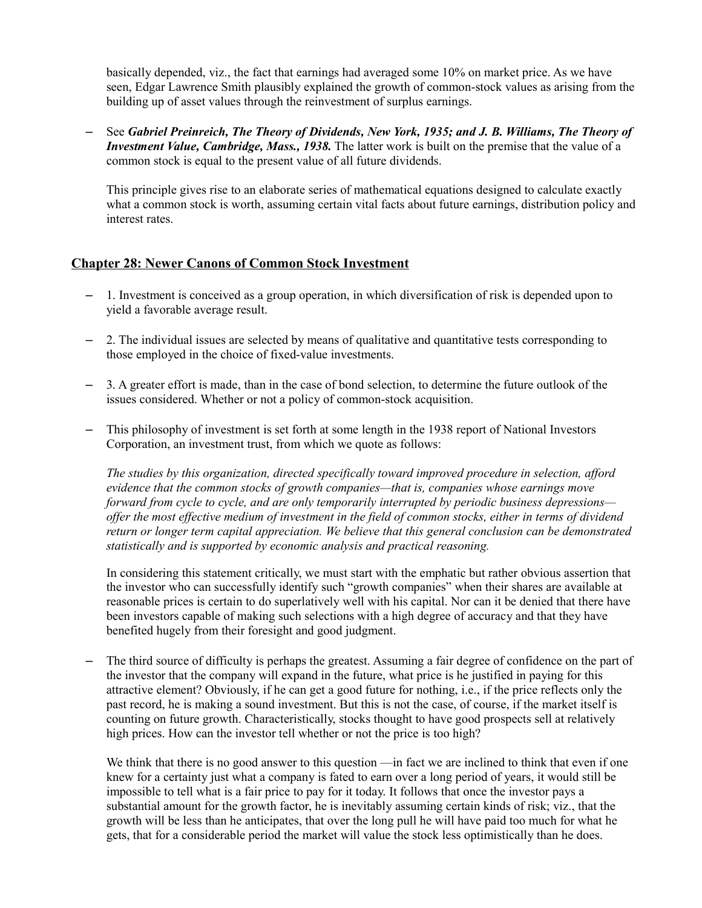basically depended, viz., the fact that earnings had averaged some 10% on market price. As we have seen, Edgar Lawrence Smith plausibly explained the growth of common-stock values as arising from the building up of asset values through the reinvestment of surplus earnings.

– See *Gabriel Preinreich, The Theory of Dividends, New York, 1935; and J. B. Williams, The Theory of Investment Value, Cambridge, Mass., 1938.* The latter work is built on the premise that the value of a common stock is equal to the present value of all future dividends.

This principle gives rise to an elaborate series of mathematical equations designed to calculate exactly what a common stock is worth, assuming certain vital facts about future earnings, distribution policy and interest rates.

### **Chapter 28: Newer Canons of Common Stock Investment**

- 1. Investment is conceived as a group operation, in which diversification of risk is depended upon to yield a favorable average result.
- 2. The individual issues are selected by means of qualitative and quantitative tests corresponding to those employed in the choice of fixed-value investments.
- 3. A greater effort is made, than in the case of bond selection, to determine the future outlook of the issues considered. Whether or not a policy of common-stock acquisition.
- This philosophy of investment is set forth at some length in the 1938 report of National Investors Corporation, an investment trust, from which we quote as follows:

*The studies by this organization, directed specifically toward improved procedure in selection, afford evidence that the common stocks of growth companies—that is, companies whose earnings move forward from cycle to cycle, and are only temporarily interrupted by periodic business depressions offer the most effective medium of investment in the field of common stocks, either in terms of dividend return or longer term capital appreciation. We believe that this general conclusion can be demonstrated statistically and is supported by economic analysis and practical reasoning.*

In considering this statement critically, we must start with the emphatic but rather obvious assertion that the investor who can successfully identify such "growth companies" when their shares are available at reasonable prices is certain to do superlatively well with his capital. Nor can it be denied that there have been investors capable of making such selections with a high degree of accuracy and that they have benefited hugely from their foresight and good judgment.

– The third source of difficulty is perhaps the greatest. Assuming a fair degree of confidence on the part of the investor that the company will expand in the future, what price is he justified in paying for this attractive element? Obviously, if he can get a good future for nothing, i.e., if the price reflects only the past record, he is making a sound investment. But this is not the case, of course, if the market itself is counting on future growth. Characteristically, stocks thought to have good prospects sell at relatively high prices. How can the investor tell whether or not the price is too high?

We think that there is no good answer to this question —in fact we are inclined to think that even if one knew for a certainty just what a company is fated to earn over a long period of years, it would still be impossible to tell what is a fair price to pay for it today. It follows that once the investor pays a substantial amount for the growth factor, he is inevitably assuming certain kinds of risk; viz., that the growth will be less than he anticipates, that over the long pull he will have paid too much for what he gets, that for a considerable period the market will value the stock less optimistically than he does.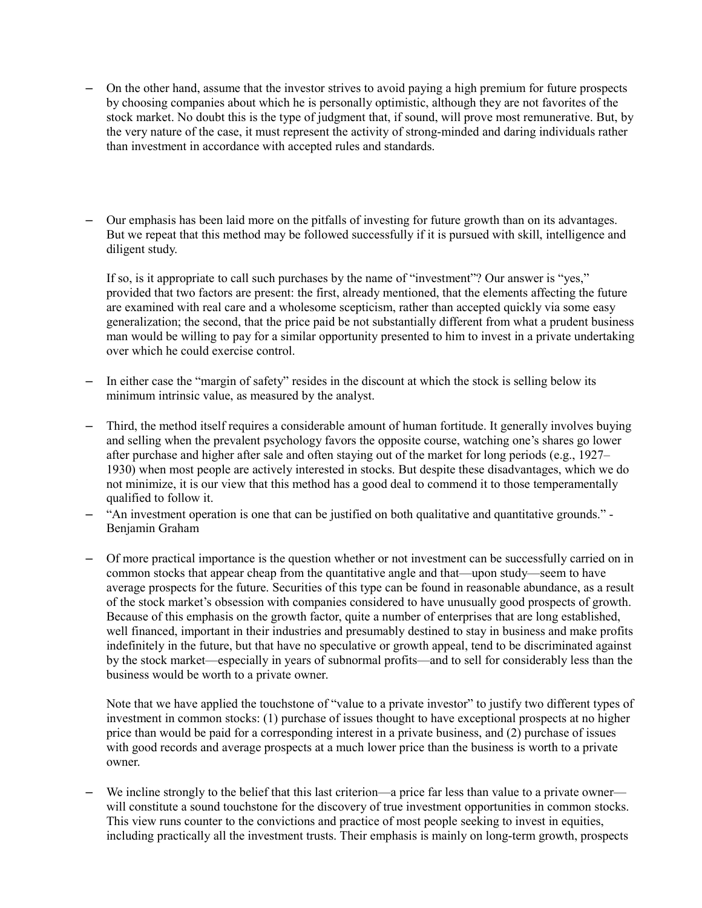- On the other hand, assume that the investor strives to avoid paying a high premium for future prospects by choosing companies about which he is personally optimistic, although they are not favorites of the stock market. No doubt this is the type of judgment that, if sound, will prove most remunerative. But, by the very nature of the case, it must represent the activity of strong-minded and daring individuals rather than investment in accordance with accepted rules and standards.
- Our emphasis has been laid more on the pitfalls of investing for future growth than on its advantages. But we repeat that this method may be followed successfully if it is pursued with skill, intelligence and diligent study.

If so, is it appropriate to call such purchases by the name of "investment"? Our answer is "yes," provided that two factors are present: the first, already mentioned, that the elements affecting the future are examined with real care and a wholesome scepticism, rather than accepted quickly via some easy generalization; the second, that the price paid be not substantially different from what a prudent business man would be willing to pay for a similar opportunity presented to him to invest in a private undertaking over which he could exercise control.

- In either case the "margin of safety" resides in the discount at which the stock is selling below its minimum intrinsic value, as measured by the analyst.
- Third, the method itself requires a considerable amount of human fortitude. It generally involves buying and selling when the prevalent psychology favors the opposite course, watching one's shares go lower after purchase and higher after sale and often staying out of the market for long periods (e.g., 1927– 1930) when most people are actively interested in stocks. But despite these disadvantages, which we do not minimize, it is our view that this method has a good deal to commend it to those temperamentally qualified to follow it.
- "An investment operation is one that can be justified on both qualitative and quantitative grounds." Benjamin Graham
- Of more practical importance is the question whether or not investment can be successfully carried on in common stocks that appear cheap from the quantitative angle and that—upon study—seem to have average prospects for the future. Securities of this type can be found in reasonable abundance, as a result of the stock market's obsession with companies considered to have unusually good prospects of growth. Because of this emphasis on the growth factor, quite a number of enterprises that are long established, well financed, important in their industries and presumably destined to stay in business and make profits indefinitely in the future, but that have no speculative or growth appeal, tend to be discriminated against by the stock market—especially in years of subnormal profits—and to sell for considerably less than the business would be worth to a private owner.

Note that we have applied the touchstone of "value to a private investor" to justify two different types of investment in common stocks: (1) purchase of issues thought to have exceptional prospects at no higher price than would be paid for a corresponding interest in a private business, and (2) purchase of issues with good records and average prospects at a much lower price than the business is worth to a private owner.

– We incline strongly to the belief that this last criterion—a price far less than value to a private owner will constitute a sound touchstone for the discovery of true investment opportunities in common stocks. This view runs counter to the convictions and practice of most people seeking to invest in equities, including practically all the investment trusts. Their emphasis is mainly on long-term growth, prospects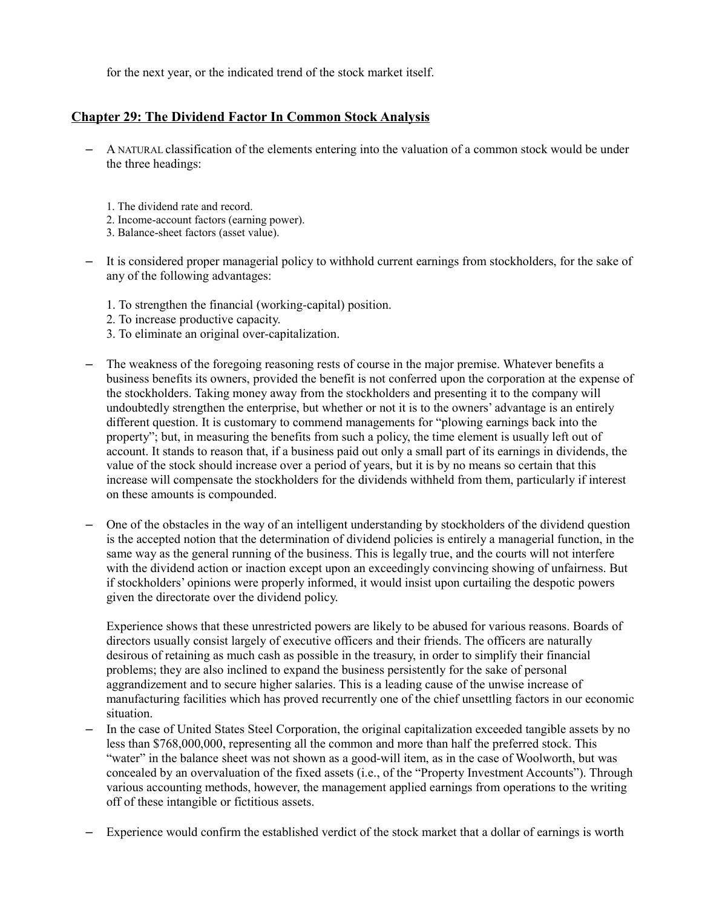for the next year, or the indicated trend of the stock market itself.

### **Chapter 29: The Dividend Factor In Common Stock Analysis**

- A NATURAL classification of the elements entering into the valuation of a common stock would be under the three headings:
	- 1. The dividend rate and record.
	- 2. Income-account factors (earning power).
	- 3. Balance-sheet factors (asset value).
- It is considered proper managerial policy to withhold current earnings from stockholders, for the sake of any of the following advantages:
	- 1. To strengthen the financial (working-capital) position.
	- 2. To increase productive capacity.
	- 3. To eliminate an original over-capitalization.
- The weakness of the foregoing reasoning rests of course in the major premise. Whatever benefits a business benefits its owners, provided the benefit is not conferred upon the corporation at the expense of the stockholders. Taking money away from the stockholders and presenting it to the company will undoubtedly strengthen the enterprise, but whether or not it is to the owners' advantage is an entirely different question. It is customary to commend managements for "plowing earnings back into the property"; but, in measuring the benefits from such a policy, the time element is usually left out of account. It stands to reason that, if a business paid out only a small part of its earnings in dividends, the value of the stock should increase over a period of years, but it is by no means so certain that this increase will compensate the stockholders for the dividends withheld from them, particularly if interest on these amounts is compounded.
- One of the obstacles in the way of an intelligent understanding by stockholders of the dividend question is the accepted notion that the determination of dividend policies is entirely a managerial function, in the same way as the general running of the business. This is legally true, and the courts will not interfere with the dividend action or inaction except upon an exceedingly convincing showing of unfairness. But if stockholders' opinions were properly informed, it would insist upon curtailing the despotic powers given the directorate over the dividend policy.

Experience shows that these unrestricted powers are likely to be abused for various reasons. Boards of directors usually consist largely of executive officers and their friends. The officers are naturally desirous of retaining as much cash as possible in the treasury, in order to simplify their financial problems; they are also inclined to expand the business persistently for the sake of personal aggrandizement and to secure higher salaries. This is a leading cause of the unwise increase of manufacturing facilities which has proved recurrently one of the chief unsettling factors in our economic situation.

- In the case of United States Steel Corporation, the original capitalization exceeded tangible assets by no less than \$768,000,000, representing all the common and more than half the preferred stock. This "water" in the balance sheet was not shown as a good-will item, as in the case of Woolworth, but was concealed by an overvaluation of the fixed assets (i.e., of the "Property Investment Accounts"). Through various accounting methods, however, the management applied earnings from operations to the writing off of these intangible or fictitious assets.
- Experience would confirm the established verdict of the stock market that a dollar of earnings is worth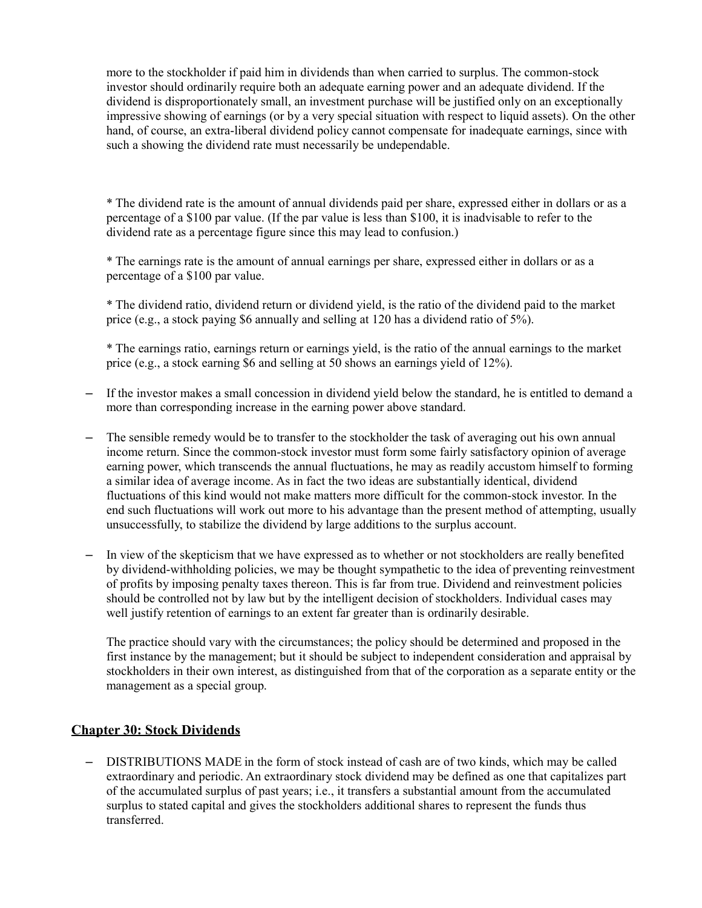more to the stockholder if paid him in dividends than when carried to surplus. The common-stock investor should ordinarily require both an adequate earning power and an adequate dividend. If the dividend is disproportionately small, an investment purchase will be justified only on an exceptionally impressive showing of earnings (or by a very special situation with respect to liquid assets). On the other hand, of course, an extra-liberal dividend policy cannot compensate for inadequate earnings, since with such a showing the dividend rate must necessarily be undependable.

\* The dividend rate is the amount of annual dividends paid per share, expressed either in dollars or as a percentage of a \$100 par value. (If the par value is less than \$100, it is inadvisable to refer to the dividend rate as a percentage figure since this may lead to confusion.)

\* The earnings rate is the amount of annual earnings per share, expressed either in dollars or as a percentage of a \$100 par value.

\* The dividend ratio, dividend return or dividend yield, is the ratio of the dividend paid to the market price (e.g., a stock paying \$6 annually and selling at 120 has a dividend ratio of 5%).

\* The earnings ratio, earnings return or earnings yield, is the ratio of the annual earnings to the market price (e.g., a stock earning \$6 and selling at 50 shows an earnings yield of 12%).

- If the investor makes a small concession in dividend yield below the standard, he is entitled to demand a more than corresponding increase in the earning power above standard.
- The sensible remedy would be to transfer to the stockholder the task of averaging out his own annual income return. Since the common-stock investor must form some fairly satisfactory opinion of average earning power, which transcends the annual fluctuations, he may as readily accustom himself to forming a similar idea of average income. As in fact the two ideas are substantially identical, dividend fluctuations of this kind would not make matters more difficult for the common-stock investor. In the end such fluctuations will work out more to his advantage than the present method of attempting, usually unsuccessfully, to stabilize the dividend by large additions to the surplus account.
- In view of the skepticism that we have expressed as to whether or not stockholders are really benefited by dividend-withholding policies, we may be thought sympathetic to the idea of preventing reinvestment of profits by imposing penalty taxes thereon. This is far from true. Dividend and reinvestment policies should be controlled not by law but by the intelligent decision of stockholders. Individual cases may well justify retention of earnings to an extent far greater than is ordinarily desirable.

The practice should vary with the circumstances; the policy should be determined and proposed in the first instance by the management; but it should be subject to independent consideration and appraisal by stockholders in their own interest, as distinguished from that of the corporation as a separate entity or the management as a special group.

#### **Chapter 30: Stock Dividends**

– DISTRIBUTIONS MADE in the form of stock instead of cash are of two kinds, which may be called extraordinary and periodic. An extraordinary stock dividend may be defined as one that capitalizes part of the accumulated surplus of past years; i.e., it transfers a substantial amount from the accumulated surplus to stated capital and gives the stockholders additional shares to represent the funds thus transferred.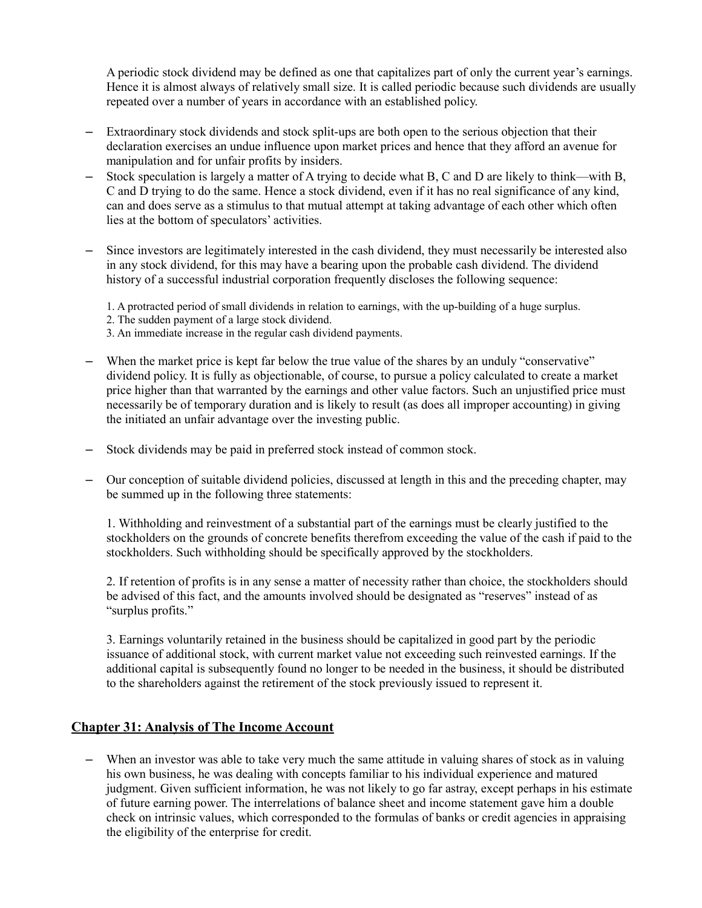A periodic stock dividend may be defined as one that capitalizes part of only the current year's earnings. Hence it is almost always of relatively small size. It is called periodic because such dividends are usually repeated over a number of years in accordance with an established policy.

- Extraordinary stock dividends and stock split-ups are both open to the serious objection that their declaration exercises an undue influence upon market prices and hence that they afford an avenue for manipulation and for unfair profits by insiders.
- Stock speculation is largely a matter of A trying to decide what B, C and D are likely to think—with B, C and D trying to do the same. Hence a stock dividend, even if it has no real significance of any kind, can and does serve as a stimulus to that mutual attempt at taking advantage of each other which often lies at the bottom of speculators' activities.
- Since investors are legitimately interested in the cash dividend, they must necessarily be interested also in any stock dividend, for this may have a bearing upon the probable cash dividend. The dividend history of a successful industrial corporation frequently discloses the following sequence:
	- 1. A protracted period of small dividends in relation to earnings, with the up-building of a huge surplus.
	- 2. The sudden payment of a large stock dividend.
	- 3. An immediate increase in the regular cash dividend payments.
- When the market price is kept far below the true value of the shares by an unduly "conservative" dividend policy. It is fully as objectionable, of course, to pursue a policy calculated to create a market price higher than that warranted by the earnings and other value factors. Such an unjustified price must necessarily be of temporary duration and is likely to result (as does all improper accounting) in giving the initiated an unfair advantage over the investing public.
- Stock dividends may be paid in preferred stock instead of common stock.
- Our conception of suitable dividend policies, discussed at length in this and the preceding chapter, may be summed up in the following three statements:

1. Withholding and reinvestment of a substantial part of the earnings must be clearly justified to the stockholders on the grounds of concrete benefits therefrom exceeding the value of the cash if paid to the stockholders. Such withholding should be specifically approved by the stockholders.

2. If retention of profits is in any sense a matter of necessity rather than choice, the stockholders should be advised of this fact, and the amounts involved should be designated as "reserves" instead of as "surplus profits."

3. Earnings voluntarily retained in the business should be capitalized in good part by the periodic issuance of additional stock, with current market value not exceeding such reinvested earnings. If the additional capital is subsequently found no longer to be needed in the business, it should be distributed to the shareholders against the retirement of the stock previously issued to represent it.

### **Chapter 31: Analysis of The Income Account**

– When an investor was able to take very much the same attitude in valuing shares of stock as in valuing his own business, he was dealing with concepts familiar to his individual experience and matured judgment. Given sufficient information, he was not likely to go far astray, except perhaps in his estimate of future earning power. The interrelations of balance sheet and income statement gave him a double check on intrinsic values, which corresponded to the formulas of banks or credit agencies in appraising the eligibility of the enterprise for credit.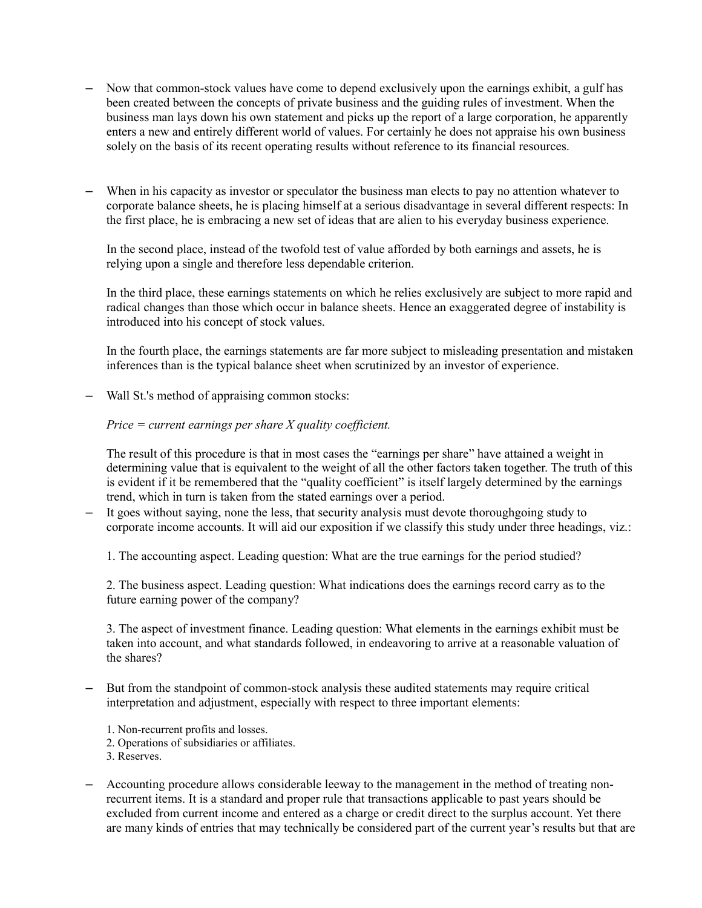- Now that common-stock values have come to depend exclusively upon the earnings exhibit, a gulf has been created between the concepts of private business and the guiding rules of investment. When the business man lays down his own statement and picks up the report of a large corporation, he apparently enters a new and entirely different world of values. For certainly he does not appraise his own business solely on the basis of its recent operating results without reference to its financial resources.
- When in his capacity as investor or speculator the business man elects to pay no attention whatever to corporate balance sheets, he is placing himself at a serious disadvantage in several different respects: In the first place, he is embracing a new set of ideas that are alien to his everyday business experience.

In the second place, instead of the twofold test of value afforded by both earnings and assets, he is relying upon a single and therefore less dependable criterion.

In the third place, these earnings statements on which he relies exclusively are subject to more rapid and radical changes than those which occur in balance sheets. Hence an exaggerated degree of instability is introduced into his concept of stock values.

In the fourth place, the earnings statements are far more subject to misleading presentation and mistaken inferences than is the typical balance sheet when scrutinized by an investor of experience.

– Wall St.'s method of appraising common stocks:

#### *Price = current earnings per share X quality coefficient.*

The result of this procedure is that in most cases the "earnings per share" have attained a weight in determining value that is equivalent to the weight of all the other factors taken together. The truth of this is evident if it be remembered that the "quality coefficient" is itself largely determined by the earnings trend, which in turn is taken from the stated earnings over a period.

– It goes without saying, none the less, that security analysis must devote thoroughgoing study to corporate income accounts. It will aid our exposition if we classify this study under three headings, viz.:

1. The accounting aspect. Leading question: What are the true earnings for the period studied?

2. The business aspect. Leading question: What indications does the earnings record carry as to the future earning power of the company?

3. The aspect of investment finance. Leading question: What elements in the earnings exhibit must be taken into account, and what standards followed, in endeavoring to arrive at a reasonable valuation of the shares?

- But from the standpoint of common-stock analysis these audited statements may require critical interpretation and adjustment, especially with respect to three important elements:
	- 1. Non-recurrent profits and losses.
	- 2. Operations of subsidiaries or affiliates.
	- 3. Reserves.
- Accounting procedure allows considerable leeway to the management in the method of treating nonrecurrent items. It is a standard and proper rule that transactions applicable to past years should be excluded from current income and entered as a charge or credit direct to the surplus account. Yet there are many kinds of entries that may technically be considered part of the current year's results but that are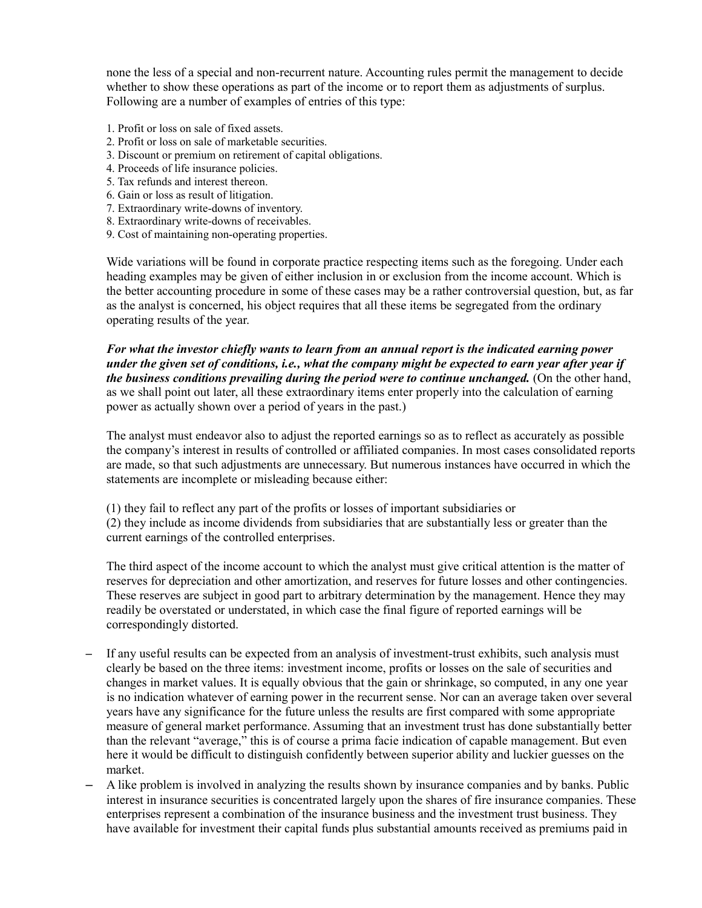none the less of a special and non-recurrent nature. Accounting rules permit the management to decide whether to show these operations as part of the income or to report them as adjustments of surplus. Following are a number of examples of entries of this type:

- 1. Profit or loss on sale of fixed assets.
- 2. Profit or loss on sale of marketable securities.
- 3. Discount or premium on retirement of capital obligations.
- 4. Proceeds of life insurance policies.
- 5. Tax refunds and interest thereon.
- 6. Gain or loss as result of litigation.
- 7. Extraordinary write-downs of inventory.
- 8. Extraordinary write-downs of receivables.
- 9. Cost of maintaining non-operating properties.

Wide variations will be found in corporate practice respecting items such as the foregoing. Under each heading examples may be given of either inclusion in or exclusion from the income account. Which is the better accounting procedure in some of these cases may be a rather controversial question, but, as far as the analyst is concerned, his object requires that all these items be segregated from the ordinary operating results of the year.

*For what the investor chiefly wants to learn from an annual report is the indicated earning power under the given set of conditions, i.e., what the company might be expected to earn year after year if the business conditions prevailing during the period were to continue unchanged.* (On the other hand, as we shall point out later, all these extraordinary items enter properly into the calculation of earning power as actually shown over a period of years in the past.)

The analyst must endeavor also to adjust the reported earnings so as to reflect as accurately as possible the company's interest in results of controlled or affiliated companies. In most cases consolidated reports are made, so that such adjustments are unnecessary. But numerous instances have occurred in which the statements are incomplete or misleading because either:

(1) they fail to reflect any part of the profits or losses of important subsidiaries or

(2) they include as income dividends from subsidiaries that are substantially less or greater than the current earnings of the controlled enterprises.

The third aspect of the income account to which the analyst must give critical attention is the matter of reserves for depreciation and other amortization, and reserves for future losses and other contingencies. These reserves are subject in good part to arbitrary determination by the management. Hence they may readily be overstated or understated, in which case the final figure of reported earnings will be correspondingly distorted.

- If any useful results can be expected from an analysis of investment-trust exhibits, such analysis must clearly be based on the three items: investment income, profits or losses on the sale of securities and changes in market values. It is equally obvious that the gain or shrinkage, so computed, in any one year is no indication whatever of earning power in the recurrent sense. Nor can an average taken over several years have any significance for the future unless the results are first compared with some appropriate measure of general market performance. Assuming that an investment trust has done substantially better than the relevant "average," this is of course a prima facie indication of capable management. But even here it would be difficult to distinguish confidently between superior ability and luckier guesses on the market.
- A like problem is involved in analyzing the results shown by insurance companies and by banks. Public interest in insurance securities is concentrated largely upon the shares of fire insurance companies. These enterprises represent a combination of the insurance business and the investment trust business. They have available for investment their capital funds plus substantial amounts received as premiums paid in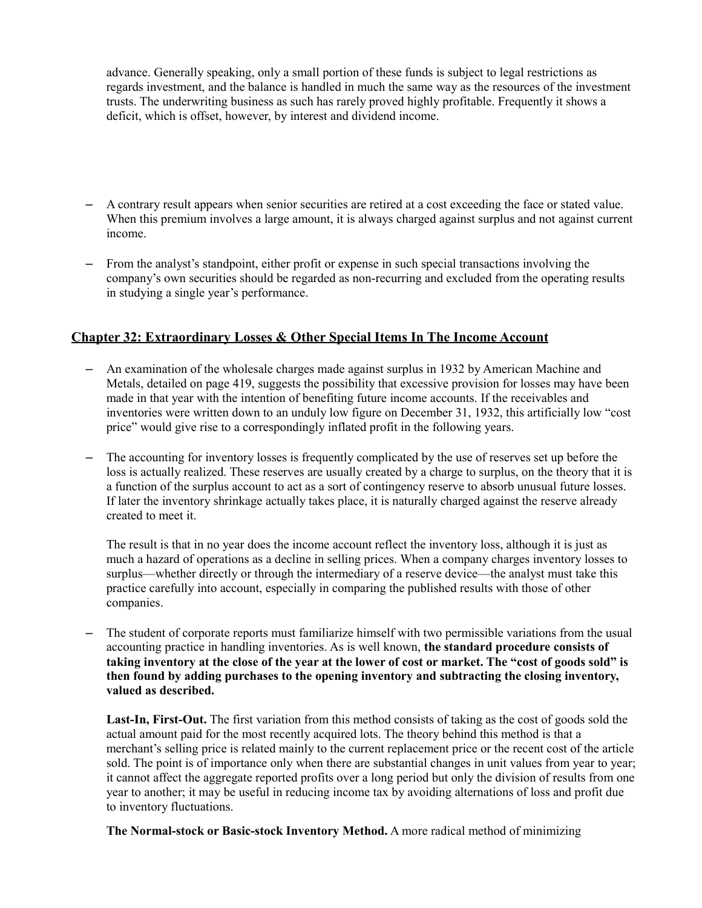advance. Generally speaking, only a small portion of these funds is subject to legal restrictions as regards investment, and the balance is handled in much the same way as the resources of the investment trusts. The underwriting business as such has rarely proved highly profitable. Frequently it shows a deficit, which is offset, however, by interest and dividend income.

- A contrary result appears when senior securities are retired at a cost exceeding the face or stated value. When this premium involves a large amount, it is always charged against surplus and not against current income.
- From the analyst's standpoint, either profit or expense in such special transactions involving the company's own securities should be regarded as non-recurring and excluded from the operating results in studying a single year's performance.

# **Chapter 32: Extraordinary Losses & Other Special Items In The Income Account**

- An examination of the wholesale charges made against surplus in 1932 by American Machine and Metals, detailed on page 419, suggests the possibility that excessive provision for losses may have been made in that year with the intention of benefiting future income accounts. If the receivables and inventories were written down to an unduly low figure on December 31, 1932, this artificially low "cost price" would give rise to a correspondingly inflated profit in the following years.
- The accounting for inventory losses is frequently complicated by the use of reserves set up before the loss is actually realized. These reserves are usually created by a charge to surplus, on the theory that it is a function of the surplus account to act as a sort of contingency reserve to absorb unusual future losses. If later the inventory shrinkage actually takes place, it is naturally charged against the reserve already created to meet it.

The result is that in no year does the income account reflect the inventory loss, although it is just as much a hazard of operations as a decline in selling prices. When a company charges inventory losses to surplus—whether directly or through the intermediary of a reserve device—the analyst must take this practice carefully into account, especially in comparing the published results with those of other companies.

– The student of corporate reports must familiarize himself with two permissible variations from the usual accounting practice in handling inventories. As is well known, **the standard procedure consists of taking inventory at the close of the year at the lower of cost or market. The "cost of goods sold" is then found by adding purchases to the opening inventory and subtracting the closing inventory, valued as described.**

Last-In, First-Out. The first variation from this method consists of taking as the cost of goods sold the actual amount paid for the most recently acquired lots. The theory behind this method is that a merchant's selling price is related mainly to the current replacement price or the recent cost of the article sold. The point is of importance only when there are substantial changes in unit values from year to year; it cannot affect the aggregate reported profits over a long period but only the division of results from one year to another; it may be useful in reducing income tax by avoiding alternations of loss and profit due to inventory fluctuations.

**The Normal-stock or Basic-stock Inventory Method.** A more radical method of minimizing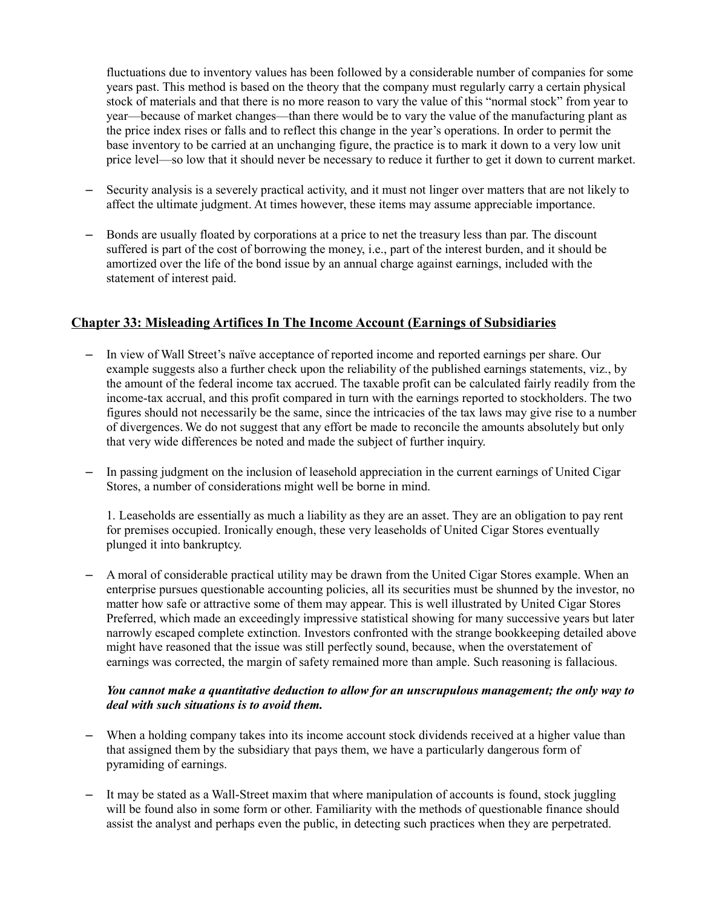fluctuations due to inventory values has been followed by a considerable number of companies for some years past. This method is based on the theory that the company must regularly carry a certain physical stock of materials and that there is no more reason to vary the value of this "normal stock" from year to year—because of market changes—than there would be to vary the value of the manufacturing plant as the price index rises or falls and to reflect this change in the year's operations. In order to permit the base inventory to be carried at an unchanging figure, the practice is to mark it down to a very low unit price level—so low that it should never be necessary to reduce it further to get it down to current market.

- Security analysis is a severely practical activity, and it must not linger over matters that are not likely to affect the ultimate judgment. At times however, these items may assume appreciable importance.
- Bonds are usually floated by corporations at a price to net the treasury less than par. The discount suffered is part of the cost of borrowing the money, i.e., part of the interest burden, and it should be amortized over the life of the bond issue by an annual charge against earnings, included with the statement of interest paid.

#### **Chapter 33: Misleading Artifices In The Income Account (Earnings of Subsidiaries**

- In view of Wall Street's naïve acceptance of reported income and reported earnings per share. Our example suggests also a further check upon the reliability of the published earnings statements, viz., by the amount of the federal income tax accrued. The taxable profit can be calculated fairly readily from the income-tax accrual, and this profit compared in turn with the earnings reported to stockholders. The two figures should not necessarily be the same, since the intricacies of the tax laws may give rise to a number of divergences. We do not suggest that any effort be made to reconcile the amounts absolutely but only that very wide differences be noted and made the subject of further inquiry.
- In passing judgment on the inclusion of leasehold appreciation in the current earnings of United Cigar Stores, a number of considerations might well be borne in mind.

1. Leaseholds are essentially as much a liability as they are an asset. They are an obligation to pay rent for premises occupied. Ironically enough, these very leaseholds of United Cigar Stores eventually plunged it into bankruptcy.

– A moral of considerable practical utility may be drawn from the United Cigar Stores example. When an enterprise pursues questionable accounting policies, all its securities must be shunned by the investor, no matter how safe or attractive some of them may appear. This is well illustrated by United Cigar Stores Preferred, which made an exceedingly impressive statistical showing for many successive years but later narrowly escaped complete extinction. Investors confronted with the strange bookkeeping detailed above might have reasoned that the issue was still perfectly sound, because, when the overstatement of earnings was corrected, the margin of safety remained more than ample. Such reasoning is fallacious.

#### *You cannot make a quantitative deduction to allow for an unscrupulous management; the only way to deal with such situations is to avoid them.*

- When a holding company takes into its income account stock dividends received at a higher value than that assigned them by the subsidiary that pays them, we have a particularly dangerous form of pyramiding of earnings.
- It may be stated as a Wall-Street maxim that where manipulation of accounts is found, stock juggling will be found also in some form or other. Familiarity with the methods of questionable finance should assist the analyst and perhaps even the public, in detecting such practices when they are perpetrated.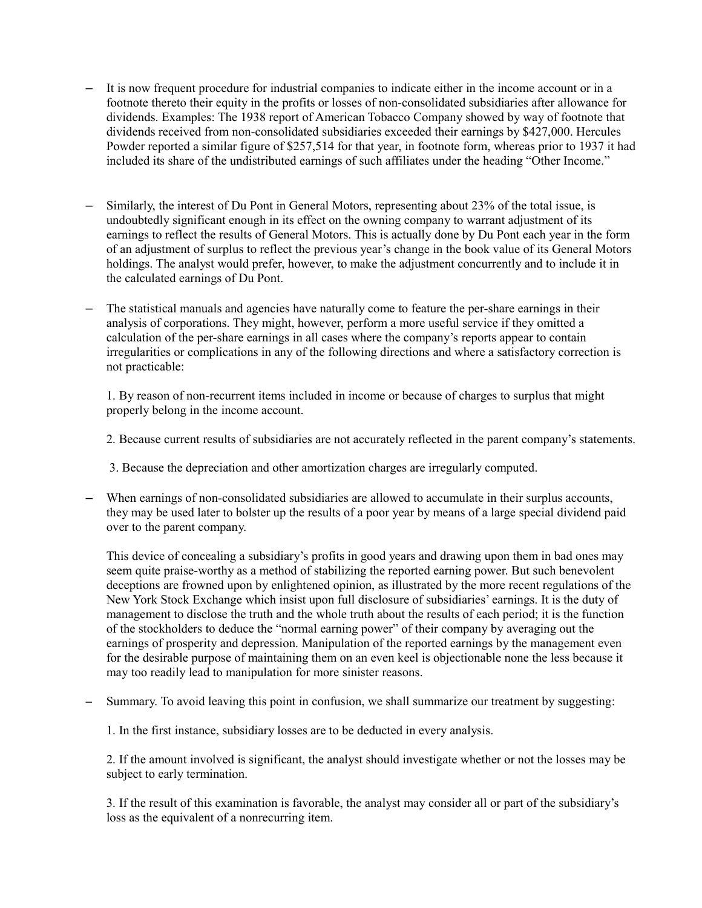- It is now frequent procedure for industrial companies to indicate either in the income account or in a footnote thereto their equity in the profits or losses of non-consolidated subsidiaries after allowance for dividends. Examples: The 1938 report of American Tobacco Company showed by way of footnote that dividends received from non-consolidated subsidiaries exceeded their earnings by \$427,000. Hercules Powder reported a similar figure of \$257,514 for that year, in footnote form, whereas prior to 1937 it had included its share of the undistributed earnings of such affiliates under the heading "Other Income."
- Similarly, the interest of Du Pont in General Motors, representing about 23% of the total issue, is undoubtedly significant enough in its effect on the owning company to warrant adjustment of its earnings to reflect the results of General Motors. This is actually done by Du Pont each year in the form of an adjustment of surplus to reflect the previous year's change in the book value of its General Motors holdings. The analyst would prefer, however, to make the adjustment concurrently and to include it in the calculated earnings of Du Pont.
- The statistical manuals and agencies have naturally come to feature the per-share earnings in their analysis of corporations. They might, however, perform a more useful service if they omitted a calculation of the per-share earnings in all cases where the company's reports appear to contain irregularities or complications in any of the following directions and where a satisfactory correction is not practicable:

1. By reason of non-recurrent items included in income or because of charges to surplus that might properly belong in the income account.

- 2. Because current results of subsidiaries are not accurately reflected in the parent company's statements.
- 3. Because the depreciation and other amortization charges are irregularly computed.
- When earnings of non-consolidated subsidiaries are allowed to accumulate in their surplus accounts, they may be used later to bolster up the results of a poor year by means of a large special dividend paid over to the parent company.

This device of concealing a subsidiary's profits in good years and drawing upon them in bad ones may seem quite praise-worthy as a method of stabilizing the reported earning power. But such benevolent deceptions are frowned upon by enlightened opinion, as illustrated by the more recent regulations of the New York Stock Exchange which insist upon full disclosure of subsidiaries' earnings. It is the duty of management to disclose the truth and the whole truth about the results of each period; it is the function of the stockholders to deduce the "normal earning power" of their company by averaging out the earnings of prosperity and depression. Manipulation of the reported earnings by the management even for the desirable purpose of maintaining them on an even keel is objectionable none the less because it may too readily lead to manipulation for more sinister reasons.

– Summary. To avoid leaving this point in confusion, we shall summarize our treatment by suggesting:

1. In the first instance, subsidiary losses are to be deducted in every analysis.

2. If the amount involved is significant, the analyst should investigate whether or not the losses may be subject to early termination.

3. If the result of this examination is favorable, the analyst may consider all or part of the subsidiary's loss as the equivalent of a nonrecurring item.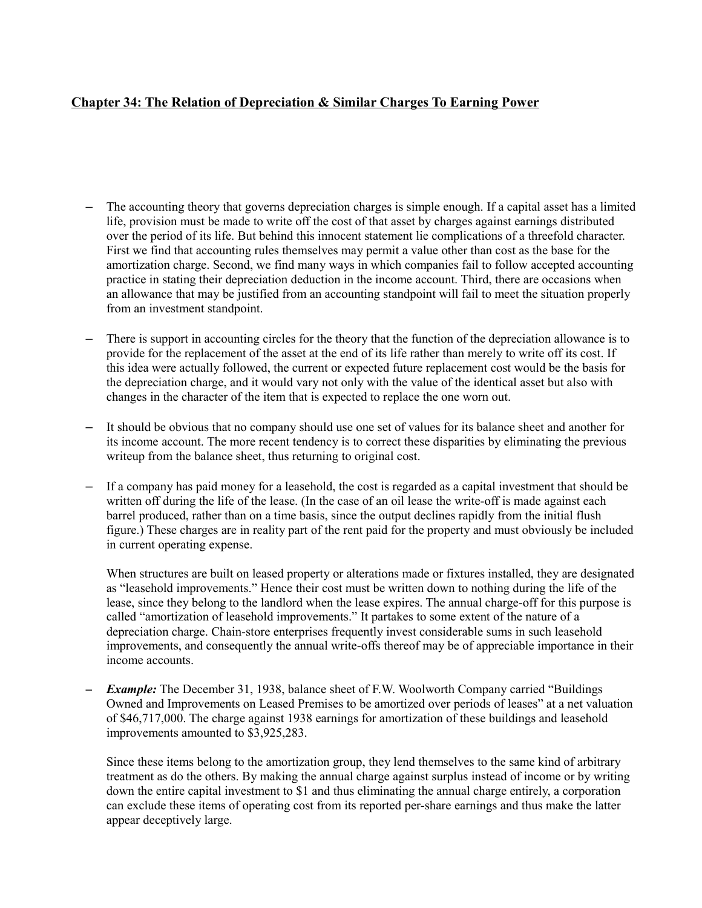## **Chapter 34: The Relation of Depreciation & Similar Charges To Earning Power**

- The accounting theory that governs depreciation charges is simple enough. If a capital asset has a limited life, provision must be made to write off the cost of that asset by charges against earnings distributed over the period of its life. But behind this innocent statement lie complications of a threefold character. First we find that accounting rules themselves may permit a value other than cost as the base for the amortization charge. Second, we find many ways in which companies fail to follow accepted accounting practice in stating their depreciation deduction in the income account. Third, there are occasions when an allowance that may be justified from an accounting standpoint will fail to meet the situation properly from an investment standpoint.
- There is support in accounting circles for the theory that the function of the depreciation allowance is to provide for the replacement of the asset at the end of its life rather than merely to write off its cost. If this idea were actually followed, the current or expected future replacement cost would be the basis for the depreciation charge, and it would vary not only with the value of the identical asset but also with changes in the character of the item that is expected to replace the one worn out.
- It should be obvious that no company should use one set of values for its balance sheet and another for its income account. The more recent tendency is to correct these disparities by eliminating the previous writeup from the balance sheet, thus returning to original cost.
- If a company has paid money for a leasehold, the cost is regarded as a capital investment that should be written off during the life of the lease. (In the case of an oil lease the write-off is made against each barrel produced, rather than on a time basis, since the output declines rapidly from the initial flush figure.) These charges are in reality part of the rent paid for the property and must obviously be included in current operating expense.

When structures are built on leased property or alterations made or fixtures installed, they are designated as "leasehold improvements." Hence their cost must be written down to nothing during the life of the lease, since they belong to the landlord when the lease expires. The annual charge-off for this purpose is called "amortization of leasehold improvements." It partakes to some extent of the nature of a depreciation charge. Chain-store enterprises frequently invest considerable sums in such leasehold improvements, and consequently the annual write-offs thereof may be of appreciable importance in their income accounts.

– *Example:* The December 31, 1938, balance sheet of F.W. Woolworth Company carried "Buildings Owned and Improvements on Leased Premises to be amortized over periods of leases" at a net valuation of \$46,717,000. The charge against 1938 earnings for amortization of these buildings and leasehold improvements amounted to \$3,925,283.

Since these items belong to the amortization group, they lend themselves to the same kind of arbitrary treatment as do the others. By making the annual charge against surplus instead of income or by writing down the entire capital investment to \$1 and thus eliminating the annual charge entirely, a corporation can exclude these items of operating cost from its reported per-share earnings and thus make the latter appear deceptively large.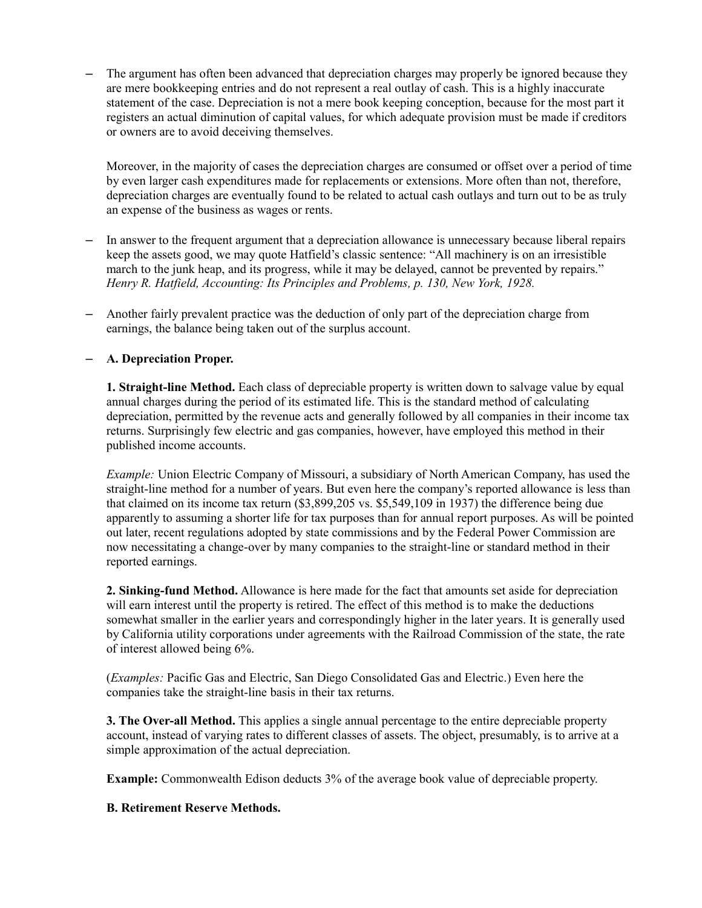– The argument has often been advanced that depreciation charges may properly be ignored because they are mere bookkeeping entries and do not represent a real outlay of cash. This is a highly inaccurate statement of the case. Depreciation is not a mere book keeping conception, because for the most part it registers an actual diminution of capital values, for which adequate provision must be made if creditors or owners are to avoid deceiving themselves.

Moreover, in the majority of cases the depreciation charges are consumed or offset over a period of time by even larger cash expenditures made for replacements or extensions. More often than not, therefore, depreciation charges are eventually found to be related to actual cash outlays and turn out to be as truly an expense of the business as wages or rents.

- In answer to the frequent argument that a depreciation allowance is unnecessary because liberal repairs keep the assets good, we may quote Hatfield's classic sentence: "All machinery is on an irresistible march to the junk heap, and its progress, while it may be delayed, cannot be prevented by repairs." *Henry R. Hatfield, Accounting: Its Principles and Problems, p. 130, New York, 1928.*
- Another fairly prevalent practice was the deduction of only part of the depreciation charge from earnings, the balance being taken out of the surplus account.

#### – **A. Depreciation Proper.**

**1. Straight-line Method.** Each class of depreciable property is written down to salvage value by equal annual charges during the period of its estimated life. This is the standard method of calculating depreciation, permitted by the revenue acts and generally followed by all companies in their income tax returns. Surprisingly few electric and gas companies, however, have employed this method in their published income accounts.

*Example:* Union Electric Company of Missouri, a subsidiary of North American Company, has used the straight-line method for a number of years. But even here the company's reported allowance is less than that claimed on its income tax return (\$3,899,205 vs. \$5,549,109 in 1937) the difference being due apparently to assuming a shorter life for tax purposes than for annual report purposes. As will be pointed out later, recent regulations adopted by state commissions and by the Federal Power Commission are now necessitating a change-over by many companies to the straight-line or standard method in their reported earnings.

**2. Sinking-fund Method.** Allowance is here made for the fact that amounts set aside for depreciation will earn interest until the property is retired. The effect of this method is to make the deductions somewhat smaller in the earlier years and correspondingly higher in the later years. It is generally used by California utility corporations under agreements with the Railroad Commission of the state, the rate of interest allowed being 6%.

(*Examples:* Pacific Gas and Electric, San Diego Consolidated Gas and Electric.) Even here the companies take the straight-line basis in their tax returns.

**3. The Over-all Method.** This applies a single annual percentage to the entire depreciable property account, instead of varying rates to different classes of assets. The object, presumably, is to arrive at a simple approximation of the actual depreciation.

**Example:** Commonwealth Edison deducts 3% of the average book value of depreciable property.

#### **B. Retirement Reserve Methods.**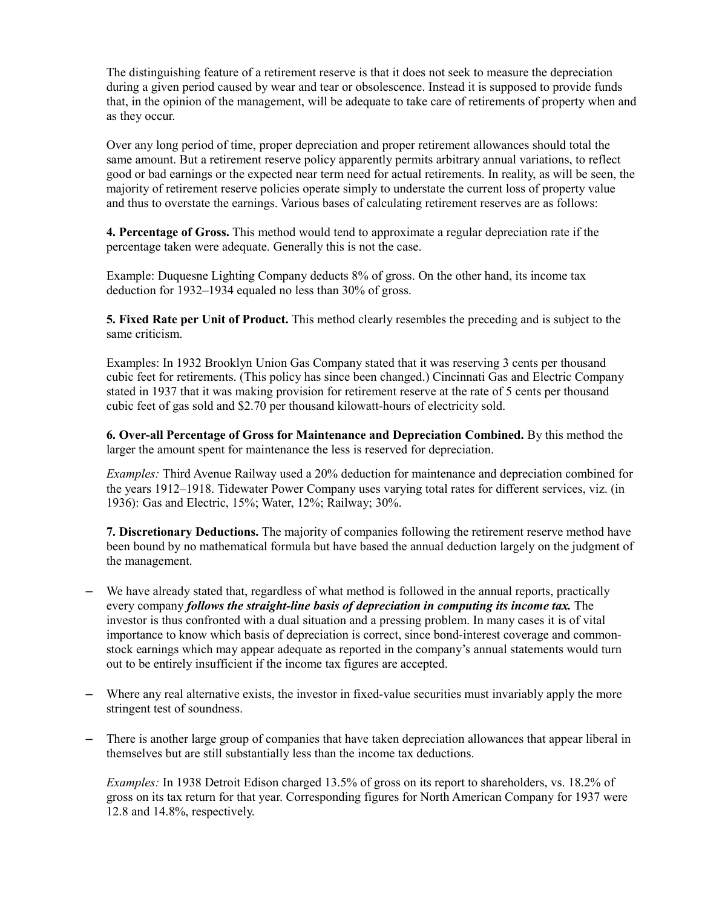The distinguishing feature of a retirement reserve is that it does not seek to measure the depreciation during a given period caused by wear and tear or obsolescence. Instead it is supposed to provide funds that, in the opinion of the management, will be adequate to take care of retirements of property when and as they occur.

Over any long period of time, proper depreciation and proper retirement allowances should total the same amount. But a retirement reserve policy apparently permits arbitrary annual variations, to reflect good or bad earnings or the expected near term need for actual retirements. In reality, as will be seen, the majority of retirement reserve policies operate simply to understate the current loss of property value and thus to overstate the earnings. Various bases of calculating retirement reserves are as follows:

**4. Percentage of Gross.** This method would tend to approximate a regular depreciation rate if the percentage taken were adequate. Generally this is not the case.

Example: Duquesne Lighting Company deducts 8% of gross. On the other hand, its income tax deduction for 1932–1934 equaled no less than 30% of gross.

**5. Fixed Rate per Unit of Product.** This method clearly resembles the preceding and is subject to the same criticism.

Examples: In 1932 Brooklyn Union Gas Company stated that it was reserving 3 cents per thousand cubic feet for retirements. (This policy has since been changed.) Cincinnati Gas and Electric Company stated in 1937 that it was making provision for retirement reserve at the rate of 5 cents per thousand cubic feet of gas sold and \$2.70 per thousand kilowatt-hours of electricity sold.

**6. Over-all Percentage of Gross for Maintenance and Depreciation Combined.** By this method the larger the amount spent for maintenance the less is reserved for depreciation.

*Examples:* Third Avenue Railway used a 20% deduction for maintenance and depreciation combined for the years 1912–1918. Tidewater Power Company uses varying total rates for different services, viz. (in 1936): Gas and Electric, 15%; Water, 12%; Railway; 30%.

**7. Discretionary Deductions.** The majority of companies following the retirement reserve method have been bound by no mathematical formula but have based the annual deduction largely on the judgment of the management.

- We have already stated that, regardless of what method is followed in the annual reports, practically every company *follows the straight-line basis of depreciation in computing its income tax.* The investor is thus confronted with a dual situation and a pressing problem. In many cases it is of vital importance to know which basis of depreciation is correct, since bond-interest coverage and commonstock earnings which may appear adequate as reported in the company's annual statements would turn out to be entirely insufficient if the income tax figures are accepted.
- Where any real alternative exists, the investor in fixed-value securities must invariably apply the more stringent test of soundness.
- There is another large group of companies that have taken depreciation allowances that appear liberal in themselves but are still substantially less than the income tax deductions.

*Examples:* In 1938 Detroit Edison charged 13.5% of gross on its report to shareholders, vs. 18.2% of gross on its tax return for that year. Corresponding figures for North American Company for 1937 were 12.8 and 14.8%, respectively.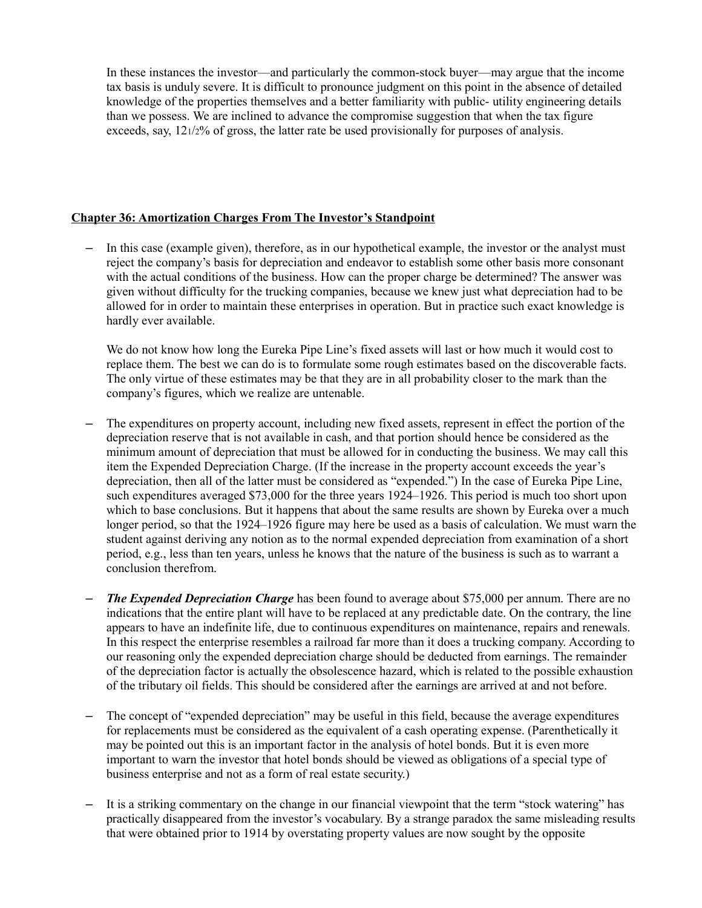In these instances the investor—and particularly the common-stock buyer—may argue that the income tax basis is unduly severe. It is difficult to pronounce judgment on this point in the absence of detailed knowledge of the properties themselves and a better familiarity with public- utility engineering details than we possess. We are inclined to advance the compromise suggestion that when the tax figure exceeds, say, 121/2% of gross, the latter rate be used provisionally for purposes of analysis.

#### **Chapter 36: Amortization Charges From The Investor's Standpoint**

– In this case (example given), therefore, as in our hypothetical example, the investor or the analyst must reject the company's basis for depreciation and endeavor to establish some other basis more consonant with the actual conditions of the business. How can the proper charge be determined? The answer was given without difficulty for the trucking companies, because we knew just what depreciation had to be allowed for in order to maintain these enterprises in operation. But in practice such exact knowledge is hardly ever available.

We do not know how long the Eureka Pipe Line's fixed assets will last or how much it would cost to replace them. The best we can do is to formulate some rough estimates based on the discoverable facts. The only virtue of these estimates may be that they are in all probability closer to the mark than the company's figures, which we realize are untenable.

- The expenditures on property account, including new fixed assets, represent in effect the portion of the depreciation reserve that is not available in cash, and that portion should hence be considered as the minimum amount of depreciation that must be allowed for in conducting the business. We may call this item the Expended Depreciation Charge. (If the increase in the property account exceeds the year's depreciation, then all of the latter must be considered as "expended.") In the case of Eureka Pipe Line, such expenditures averaged \$73,000 for the three years 1924–1926. This period is much too short upon which to base conclusions. But it happens that about the same results are shown by Eureka over a much longer period, so that the 1924–1926 figure may here be used as a basis of calculation. We must warn the student against deriving any notion as to the normal expended depreciation from examination of a short period, e.g., less than ten years, unless he knows that the nature of the business is such as to warrant a conclusion therefrom.
- *The Expended Depreciation Charge* has been found to average about \$75,000 per annum. There are no indications that the entire plant will have to be replaced at any predictable date. On the contrary, the line appears to have an indefinite life, due to continuous expenditures on maintenance, repairs and renewals. In this respect the enterprise resembles a railroad far more than it does a trucking company. According to our reasoning only the expended depreciation charge should be deducted from earnings. The remainder of the depreciation factor is actually the obsolescence hazard, which is related to the possible exhaustion of the tributary oil fields. This should be considered after the earnings are arrived at and not before.
- The concept of "expended depreciation" may be useful in this field, because the average expenditures for replacements must be considered as the equivalent of a cash operating expense. (Parenthetically it may be pointed out this is an important factor in the analysis of hotel bonds. But it is even more important to warn the investor that hotel bonds should be viewed as obligations of a special type of business enterprise and not as a form of real estate security.)
- It is a striking commentary on the change in our financial viewpoint that the term "stock watering" has practically disappeared from the investor's vocabulary. By a strange paradox the same misleading results that were obtained prior to 1914 by overstating property values are now sought by the opposite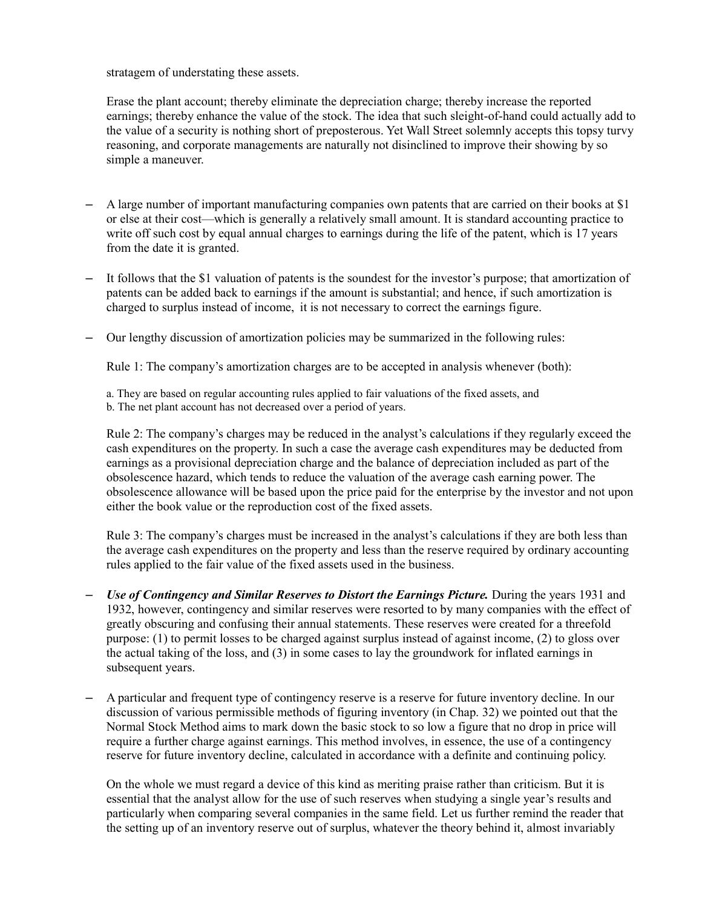stratagem of understating these assets.

Erase the plant account; thereby eliminate the depreciation charge; thereby increase the reported earnings; thereby enhance the value of the stock. The idea that such sleight-of-hand could actually add to the value of a security is nothing short of preposterous. Yet Wall Street solemnly accepts this topsy turvy reasoning, and corporate managements are naturally not disinclined to improve their showing by so simple a maneuver.

- A large number of important manufacturing companies own patents that are carried on their books at \$1 or else at their cost—which is generally a relatively small amount. It is standard accounting practice to write off such cost by equal annual charges to earnings during the life of the patent, which is 17 years from the date it is granted.
- It follows that the \$1 valuation of patents is the soundest for the investor's purpose; that amortization of patents can be added back to earnings if the amount is substantial; and hence, if such amortization is charged to surplus instead of income, it is not necessary to correct the earnings figure.
- Our lengthy discussion of amortization policies may be summarized in the following rules:

Rule 1: The company's amortization charges are to be accepted in analysis whenever (both):

a. They are based on regular accounting rules applied to fair valuations of the fixed assets, and b. The net plant account has not decreased over a period of years.

Rule 2: The company's charges may be reduced in the analyst's calculations if they regularly exceed the cash expenditures on the property. In such a case the average cash expenditures may be deducted from earnings as a provisional depreciation charge and the balance of depreciation included as part of the obsolescence hazard, which tends to reduce the valuation of the average cash earning power. The obsolescence allowance will be based upon the price paid for the enterprise by the investor and not upon either the book value or the reproduction cost of the fixed assets.

Rule 3: The company's charges must be increased in the analyst's calculations if they are both less than the average cash expenditures on the property and less than the reserve required by ordinary accounting rules applied to the fair value of the fixed assets used in the business.

- *Use of Contingency and Similar Reserves to Distort the Earnings Picture.* During the years 1931 and 1932, however, contingency and similar reserves were resorted to by many companies with the effect of greatly obscuring and confusing their annual statements. These reserves were created for a threefold purpose: (1) to permit losses to be charged against surplus instead of against income, (2) to gloss over the actual taking of the loss, and (3) in some cases to lay the groundwork for inflated earnings in subsequent years.
- A particular and frequent type of contingency reserve is a reserve for future inventory decline. In our discussion of various permissible methods of figuring inventory (in Chap. 32) we pointed out that the Normal Stock Method aims to mark down the basic stock to so low a figure that no drop in price will require a further charge against earnings. This method involves, in essence, the use of a contingency reserve for future inventory decline, calculated in accordance with a definite and continuing policy.

On the whole we must regard a device of this kind as meriting praise rather than criticism. But it is essential that the analyst allow for the use of such reserves when studying a single year's results and particularly when comparing several companies in the same field. Let us further remind the reader that the setting up of an inventory reserve out of surplus, whatever the theory behind it, almost invariably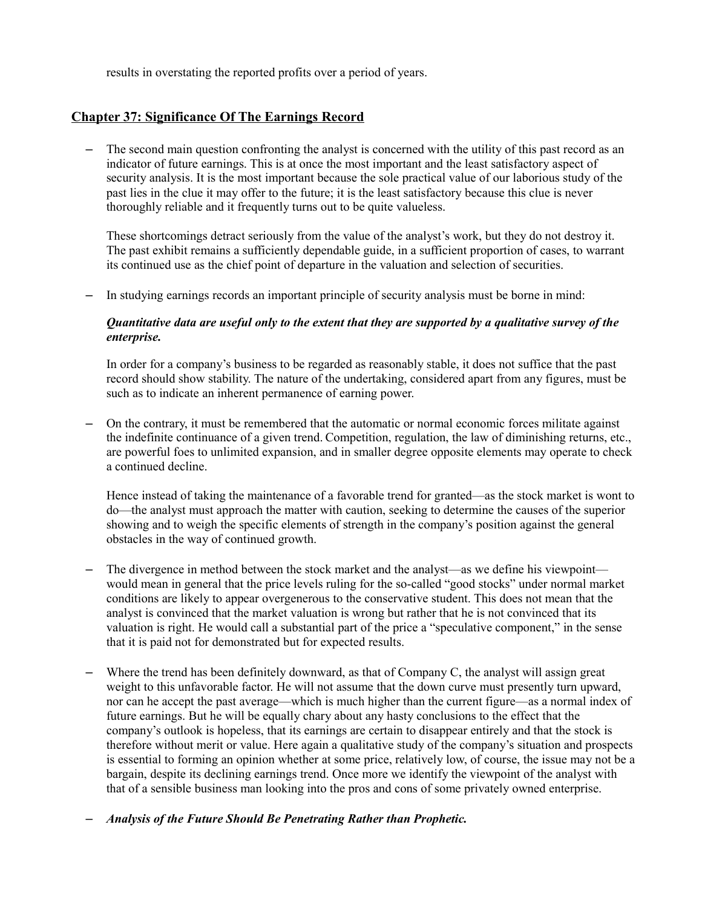results in overstating the reported profits over a period of years.

## **Chapter 37: Significance Of The Earnings Record**

– The second main question confronting the analyst is concerned with the utility of this past record as an indicator of future earnings. This is at once the most important and the least satisfactory aspect of security analysis. It is the most important because the sole practical value of our laborious study of the past lies in the clue it may offer to the future; it is the least satisfactory because this clue is never thoroughly reliable and it frequently turns out to be quite valueless.

These shortcomings detract seriously from the value of the analyst's work, but they do not destroy it. The past exhibit remains a sufficiently dependable guide, in a sufficient proportion of cases, to warrant its continued use as the chief point of departure in the valuation and selection of securities.

– In studying earnings records an important principle of security analysis must be borne in mind:

### *Quantitative data are useful only to the extent that they are supported by a qualitative survey of the enterprise.*

In order for a company's business to be regarded as reasonably stable, it does not suffice that the past record should show stability. The nature of the undertaking, considered apart from any figures, must be such as to indicate an inherent permanence of earning power.

– On the contrary, it must be remembered that the automatic or normal economic forces militate against the indefinite continuance of a given trend. Competition, regulation, the law of diminishing returns, etc., are powerful foes to unlimited expansion, and in smaller degree opposite elements may operate to check a continued decline.

Hence instead of taking the maintenance of a favorable trend for granted—as the stock market is wont to do—the analyst must approach the matter with caution, seeking to determine the causes of the superior showing and to weigh the specific elements of strength in the company's position against the general obstacles in the way of continued growth.

- The divergence in method between the stock market and the analyst—as we define his viewpoint would mean in general that the price levels ruling for the so-called "good stocks" under normal market conditions are likely to appear overgenerous to the conservative student. This does not mean that the analyst is convinced that the market valuation is wrong but rather that he is not convinced that its valuation is right. He would call a substantial part of the price a "speculative component," in the sense that it is paid not for demonstrated but for expected results.
- Where the trend has been definitely downward, as that of Company C, the analyst will assign great weight to this unfavorable factor. He will not assume that the down curve must presently turn upward, nor can he accept the past average—which is much higher than the current figure—as a normal index of future earnings. But he will be equally chary about any hasty conclusions to the effect that the company's outlook is hopeless, that its earnings are certain to disappear entirely and that the stock is therefore without merit or value. Here again a qualitative study of the company's situation and prospects is essential to forming an opinion whether at some price, relatively low, of course, the issue may not be a bargain, despite its declining earnings trend. Once more we identify the viewpoint of the analyst with that of a sensible business man looking into the pros and cons of some privately owned enterprise.

#### – *Analysis of the Future Should Be Penetrating Rather than Prophetic.*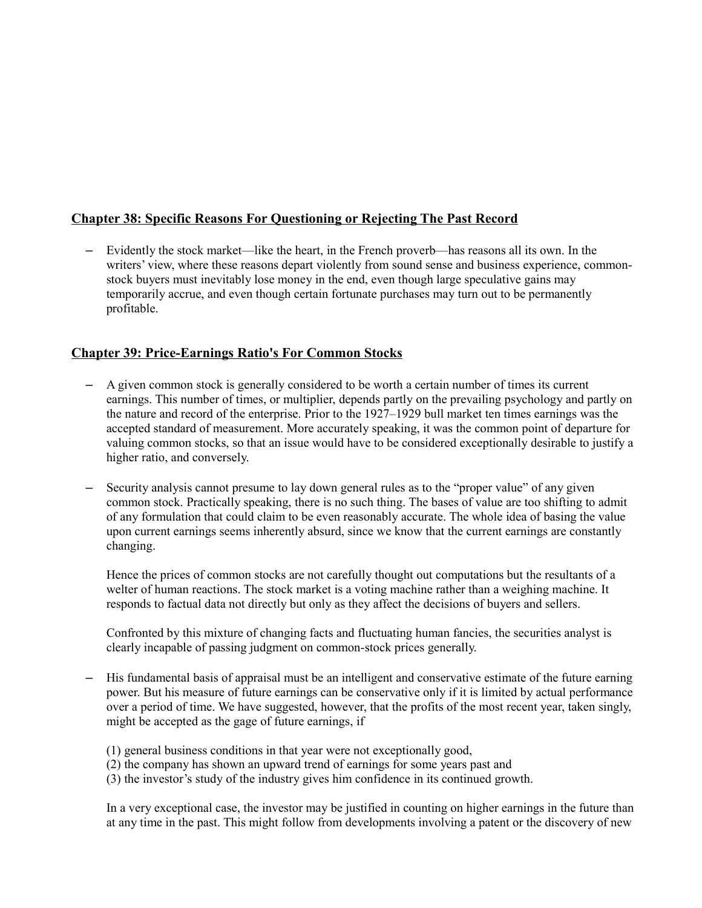## **Chapter 38: Specific Reasons For Questioning or Rejecting The Past Record**

– Evidently the stock market—like the heart, in the French proverb—has reasons all its own. In the writers' view, where these reasons depart violently from sound sense and business experience, commonstock buyers must inevitably lose money in the end, even though large speculative gains may temporarily accrue, and even though certain fortunate purchases may turn out to be permanently profitable.

# **Chapter 39: Price-Earnings Ratio's For Common Stocks**

- A given common stock is generally considered to be worth a certain number of times its current earnings. This number of times, or multiplier, depends partly on the prevailing psychology and partly on the nature and record of the enterprise. Prior to the 1927–1929 bull market ten times earnings was the accepted standard of measurement. More accurately speaking, it was the common point of departure for valuing common stocks, so that an issue would have to be considered exceptionally desirable to justify a higher ratio, and conversely.
- Security analysis cannot presume to lay down general rules as to the "proper value" of any given common stock. Practically speaking, there is no such thing. The bases of value are too shifting to admit of any formulation that could claim to be even reasonably accurate. The whole idea of basing the value upon current earnings seems inherently absurd, since we know that the current earnings are constantly changing.

Hence the prices of common stocks are not carefully thought out computations but the resultants of a welter of human reactions. The stock market is a voting machine rather than a weighing machine. It responds to factual data not directly but only as they affect the decisions of buyers and sellers.

Confronted by this mixture of changing facts and fluctuating human fancies, the securities analyst is clearly incapable of passing judgment on common-stock prices generally.

- His fundamental basis of appraisal must be an intelligent and conservative estimate of the future earning power. But his measure of future earnings can be conservative only if it is limited by actual performance over a period of time. We have suggested, however, that the profits of the most recent year, taken singly, might be accepted as the gage of future earnings, if
	- (1) general business conditions in that year were not exceptionally good,
	- (2) the company has shown an upward trend of earnings for some years past and
	- (3) the investor's study of the industry gives him confidence in its continued growth.

In a very exceptional case, the investor may be justified in counting on higher earnings in the future than at any time in the past. This might follow from developments involving a patent or the discovery of new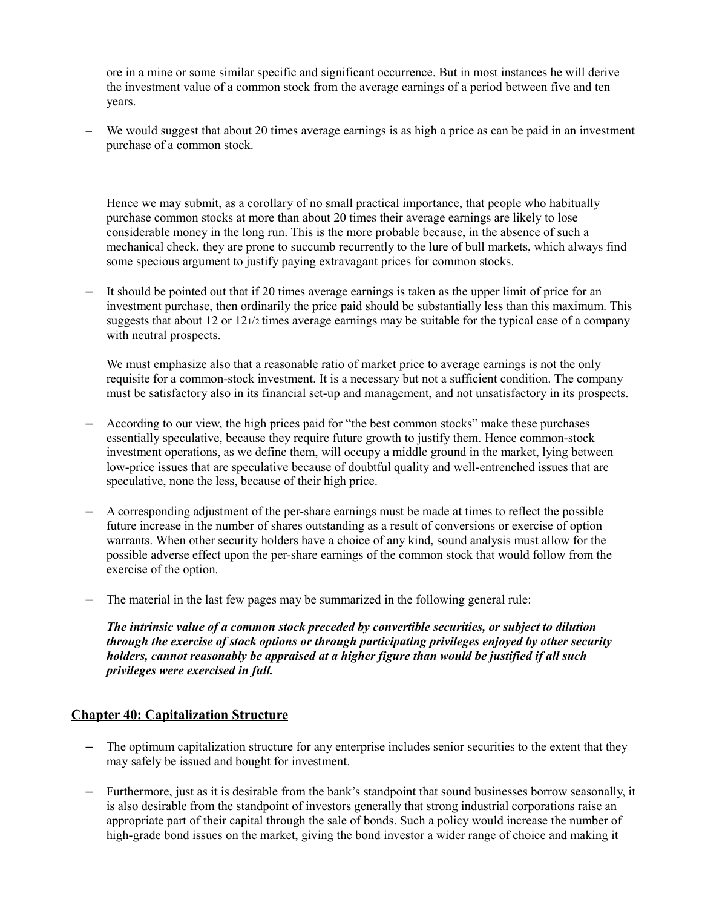ore in a mine or some similar specific and significant occurrence. But in most instances he will derive the investment value of a common stock from the average earnings of a period between five and ten years.

– We would suggest that about 20 times average earnings is as high a price as can be paid in an investment purchase of a common stock.

Hence we may submit, as a corollary of no small practical importance, that people who habitually purchase common stocks at more than about 20 times their average earnings are likely to lose considerable money in the long run. This is the more probable because, in the absence of such a mechanical check, they are prone to succumb recurrently to the lure of bull markets, which always find some specious argument to justify paying extravagant prices for common stocks.

– It should be pointed out that if 20 times average earnings is taken as the upper limit of price for an investment purchase, then ordinarily the price paid should be substantially less than this maximum. This suggests that about 12 or 121/2 times average earnings may be suitable for the typical case of a company with neutral prospects.

We must emphasize also that a reasonable ratio of market price to average earnings is not the only requisite for a common-stock investment. It is a necessary but not a sufficient condition. The company must be satisfactory also in its financial set-up and management, and not unsatisfactory in its prospects.

- According to our view, the high prices paid for "the best common stocks" make these purchases essentially speculative, because they require future growth to justify them. Hence common-stock investment operations, as we define them, will occupy a middle ground in the market, lying between low-price issues that are speculative because of doubtful quality and well-entrenched issues that are speculative, none the less, because of their high price.
- A corresponding adjustment of the per-share earnings must be made at times to reflect the possible future increase in the number of shares outstanding as a result of conversions or exercise of option warrants. When other security holders have a choice of any kind, sound analysis must allow for the possible adverse effect upon the per-share earnings of the common stock that would follow from the exercise of the option.
- The material in the last few pages may be summarized in the following general rule:

*The intrinsic value of a common stock preceded by convertible securities, or subject to dilution through the exercise of stock options or through participating privileges enjoyed by other security holders, cannot reasonably be appraised at a higher figure than would be justified if all such privileges were exercised in full.*

### **Chapter 40: Capitalization Structure**

- The optimum capitalization structure for any enterprise includes senior securities to the extent that they may safely be issued and bought for investment.
- Furthermore, just as it is desirable from the bank's standpoint that sound businesses borrow seasonally, it is also desirable from the standpoint of investors generally that strong industrial corporations raise an appropriate part of their capital through the sale of bonds. Such a policy would increase the number of high-grade bond issues on the market, giving the bond investor a wider range of choice and making it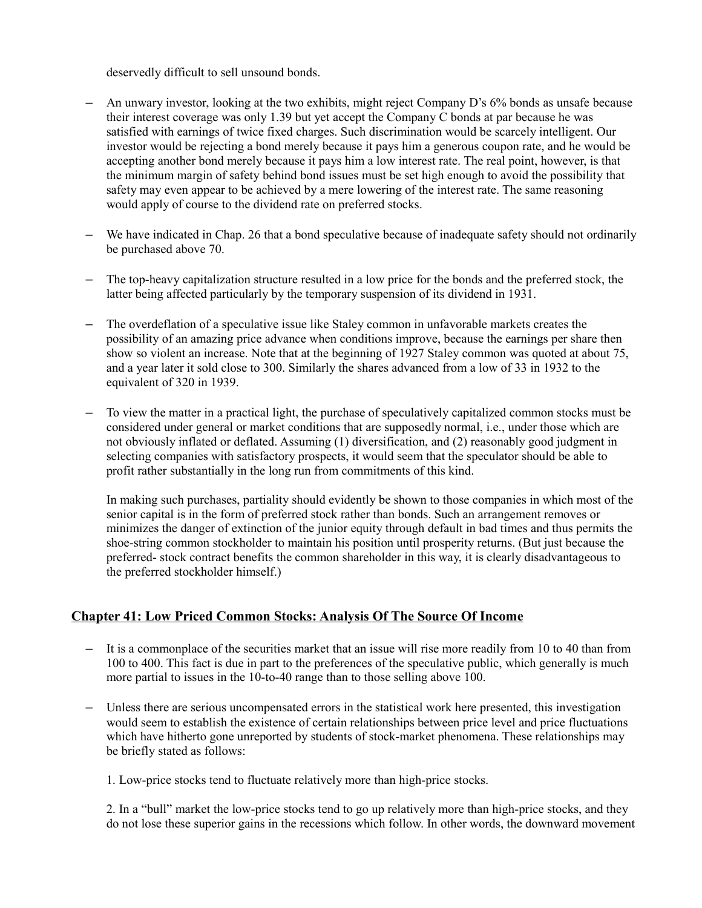deservedly difficult to sell unsound bonds.

- An unwary investor, looking at the two exhibits, might reject Company D's 6% bonds as unsafe because their interest coverage was only 1.39 but yet accept the Company C bonds at par because he was satisfied with earnings of twice fixed charges. Such discrimination would be scarcely intelligent. Our investor would be rejecting a bond merely because it pays him a generous coupon rate, and he would be accepting another bond merely because it pays him a low interest rate. The real point, however, is that the minimum margin of safety behind bond issues must be set high enough to avoid the possibility that safety may even appear to be achieved by a mere lowering of the interest rate. The same reasoning would apply of course to the dividend rate on preferred stocks.
- We have indicated in Chap. 26 that a bond speculative because of inadequate safety should not ordinarily be purchased above 70.
- The top-heavy capitalization structure resulted in a low price for the bonds and the preferred stock, the latter being affected particularly by the temporary suspension of its dividend in 1931.
- The overdeflation of a speculative issue like Staley common in unfavorable markets creates the possibility of an amazing price advance when conditions improve, because the earnings per share then show so violent an increase. Note that at the beginning of 1927 Staley common was quoted at about 75, and a year later it sold close to 300. Similarly the shares advanced from a low of 33 in 1932 to the equivalent of 320 in 1939.
- To view the matter in a practical light, the purchase of speculatively capitalized common stocks must be considered under general or market conditions that are supposedly normal, i.e., under those which are not obviously inflated or deflated. Assuming (1) diversification, and (2) reasonably good judgment in selecting companies with satisfactory prospects, it would seem that the speculator should be able to profit rather substantially in the long run from commitments of this kind.

In making such purchases, partiality should evidently be shown to those companies in which most of the senior capital is in the form of preferred stock rather than bonds. Such an arrangement removes or minimizes the danger of extinction of the junior equity through default in bad times and thus permits the shoe-string common stockholder to maintain his position until prosperity returns. (But just because the preferred- stock contract benefits the common shareholder in this way, it is clearly disadvantageous to the preferred stockholder himself.)

### **Chapter 41: Low Priced Common Stocks: Analysis Of The Source Of Income**

- It is a commonplace of the securities market that an issue will rise more readily from 10 to 40 than from 100 to 400. This fact is due in part to the preferences of the speculative public, which generally is much more partial to issues in the 10-to-40 range than to those selling above 100.
- Unless there are serious uncompensated errors in the statistical work here presented, this investigation would seem to establish the existence of certain relationships between price level and price fluctuations which have hitherto gone unreported by students of stock-market phenomena. These relationships may be briefly stated as follows:

1. Low-price stocks tend to fluctuate relatively more than high-price stocks.

2. In a "bull" market the low-price stocks tend to go up relatively more than high-price stocks, and they do not lose these superior gains in the recessions which follow. In other words, the downward movement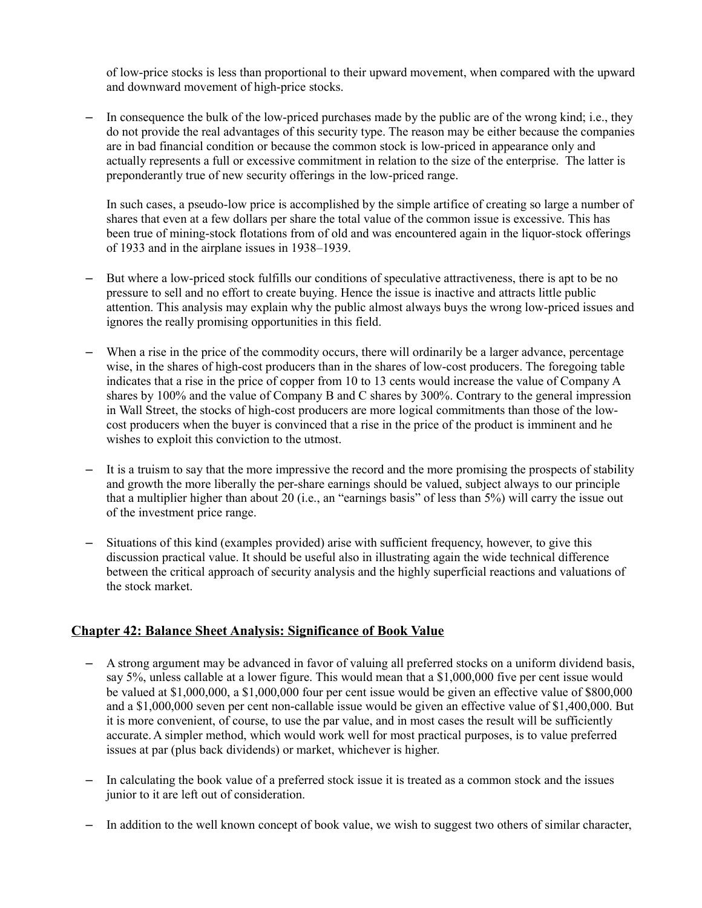of low-price stocks is less than proportional to their upward movement, when compared with the upward and downward movement of high-price stocks.

– In consequence the bulk of the low-priced purchases made by the public are of the wrong kind; i.e., they do not provide the real advantages of this security type. The reason may be either because the companies are in bad financial condition or because the common stock is low-priced in appearance only and actually represents a full or excessive commitment in relation to the size of the enterprise. The latter is preponderantly true of new security offerings in the low-priced range.

In such cases, a pseudo-low price is accomplished by the simple artifice of creating so large a number of shares that even at a few dollars per share the total value of the common issue is excessive. This has been true of mining-stock flotations from of old and was encountered again in the liquor-stock offerings of 1933 and in the airplane issues in 1938–1939.

- But where a low-priced stock fulfills our conditions of speculative attractiveness, there is apt to be no pressure to sell and no effort to create buying. Hence the issue is inactive and attracts little public attention. This analysis may explain why the public almost always buys the wrong low-priced issues and ignores the really promising opportunities in this field.
- When a rise in the price of the commodity occurs, there will ordinarily be a larger advance, percentage wise, in the shares of high-cost producers than in the shares of low-cost producers. The foregoing table indicates that a rise in the price of copper from 10 to 13 cents would increase the value of Company A shares by 100% and the value of Company B and C shares by 300%. Contrary to the general impression in Wall Street, the stocks of high-cost producers are more logical commitments than those of the lowcost producers when the buyer is convinced that a rise in the price of the product is imminent and he wishes to exploit this conviction to the utmost.
- It is a truism to say that the more impressive the record and the more promising the prospects of stability and growth the more liberally the per-share earnings should be valued, subject always to our principle that a multiplier higher than about 20 (i.e., an "earnings basis" of less than 5%) will carry the issue out of the investment price range.
- Situations of this kind (examples provided) arise with sufficient frequency, however, to give this discussion practical value. It should be useful also in illustrating again the wide technical difference between the critical approach of security analysis and the highly superficial reactions and valuations of the stock market.

### **Chapter 42: Balance Sheet Analysis: Significance of Book Value**

- A strong argument may be advanced in favor of valuing all preferred stocks on a uniform dividend basis, say 5%, unless callable at a lower figure. This would mean that a \$1,000,000 five per cent issue would be valued at \$1,000,000, a \$1,000,000 four per cent issue would be given an effective value of \$800,000 and a \$1,000,000 seven per cent non-callable issue would be given an effective value of \$1,400,000. But it is more convenient, of course, to use the par value, and in most cases the result will be sufficiently accurate.A simpler method, which would work well for most practical purposes, is to value preferred issues at par (plus back dividends) or market, whichever is higher.
- In calculating the book value of a preferred stock issue it is treated as a common stock and the issues junior to it are left out of consideration.
- In addition to the well known concept of book value, we wish to suggest two others of similar character,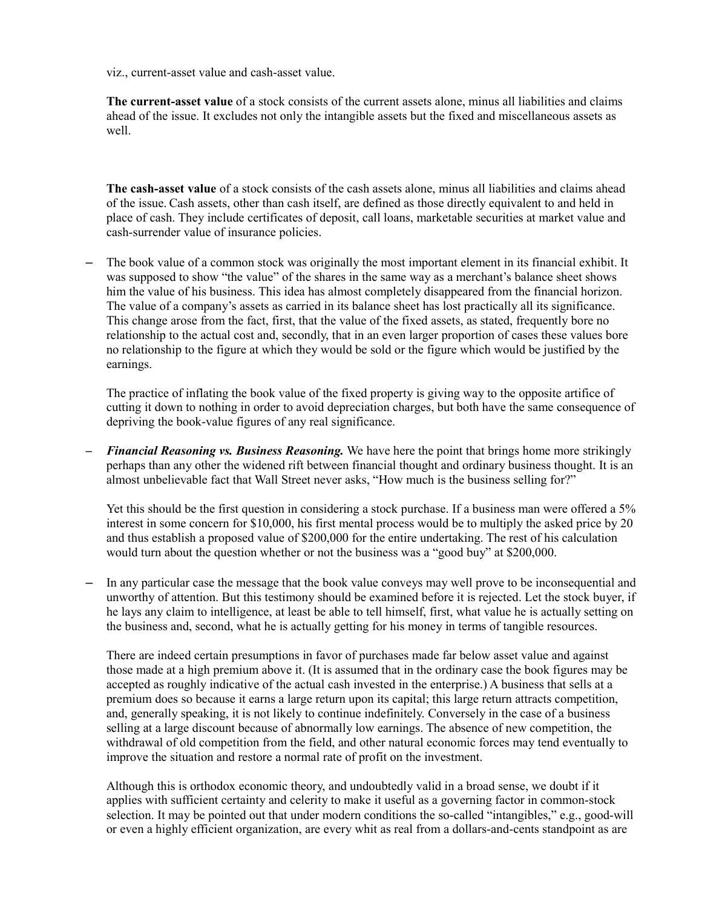viz., current-asset value and cash-asset value.

**The current-asset value** of a stock consists of the current assets alone, minus all liabilities and claims ahead of the issue. It excludes not only the intangible assets but the fixed and miscellaneous assets as well.

**The cash-asset value** of a stock consists of the cash assets alone, minus all liabilities and claims ahead of the issue. Cash assets, other than cash itself, are defined as those directly equivalent to and held in place of cash. They include certificates of deposit, call loans, marketable securities at market value and cash-surrender value of insurance policies.

– The book value of a common stock was originally the most important element in its financial exhibit. It was supposed to show "the value" of the shares in the same way as a merchant's balance sheet shows him the value of his business. This idea has almost completely disappeared from the financial horizon. The value of a company's assets as carried in its balance sheet has lost practically all its significance. This change arose from the fact, first, that the value of the fixed assets, as stated, frequently bore no relationship to the actual cost and, secondly, that in an even larger proportion of cases these values bore no relationship to the figure at which they would be sold or the figure which would be justified by the earnings.

The practice of inflating the book value of the fixed property is giving way to the opposite artifice of cutting it down to nothing in order to avoid depreciation charges, but both have the same consequence of depriving the book-value figures of any real significance.

– *Financial Reasoning vs. Business Reasoning.* We have here the point that brings home more strikingly perhaps than any other the widened rift between financial thought and ordinary business thought. It is an almost unbelievable fact that Wall Street never asks, "How much is the business selling for?"

Yet this should be the first question in considering a stock purchase. If a business man were offered a 5% interest in some concern for \$10,000, his first mental process would be to multiply the asked price by 20 and thus establish a proposed value of \$200,000 for the entire undertaking. The rest of his calculation would turn about the question whether or not the business was a "good buy" at \$200,000.

– In any particular case the message that the book value conveys may well prove to be inconsequential and unworthy of attention. But this testimony should be examined before it is rejected. Let the stock buyer, if he lays any claim to intelligence, at least be able to tell himself, first, what value he is actually setting on the business and, second, what he is actually getting for his money in terms of tangible resources.

There are indeed certain presumptions in favor of purchases made far below asset value and against those made at a high premium above it. (It is assumed that in the ordinary case the book figures may be accepted as roughly indicative of the actual cash invested in the enterprise.) A business that sells at a premium does so because it earns a large return upon its capital; this large return attracts competition, and, generally speaking, it is not likely to continue indefinitely. Conversely in the case of a business selling at a large discount because of abnormally low earnings. The absence of new competition, the withdrawal of old competition from the field, and other natural economic forces may tend eventually to improve the situation and restore a normal rate of profit on the investment.

Although this is orthodox economic theory, and undoubtedly valid in a broad sense, we doubt if it applies with sufficient certainty and celerity to make it useful as a governing factor in common-stock selection. It may be pointed out that under modern conditions the so-called "intangibles," e.g., good-will or even a highly efficient organization, are every whit as real from a dollars-and-cents standpoint as are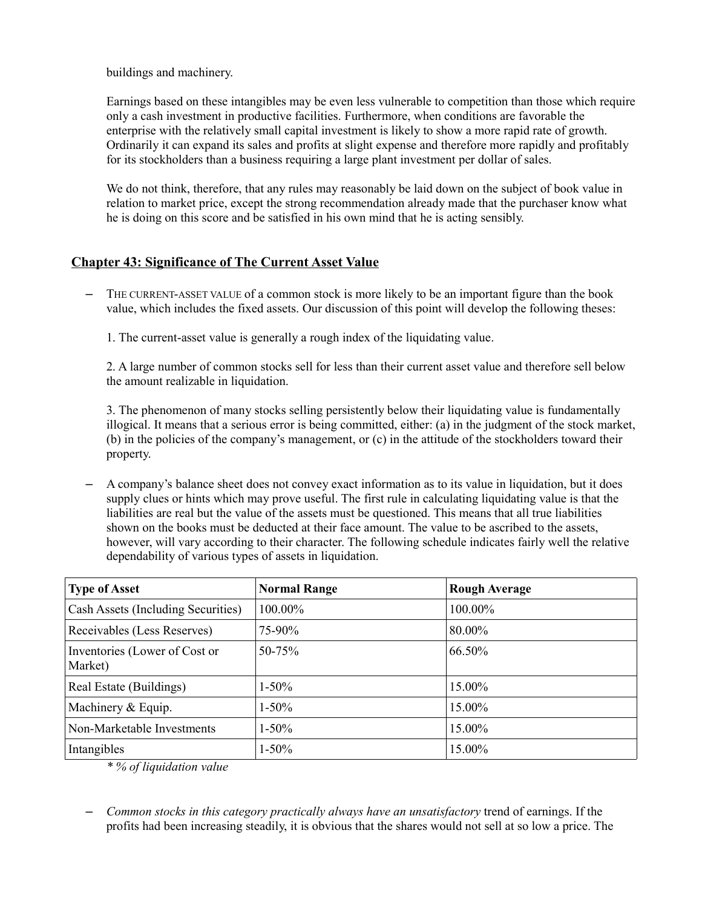buildings and machinery.

Earnings based on these intangibles may be even less vulnerable to competition than those which require only a cash investment in productive facilities. Furthermore, when conditions are favorable the enterprise with the relatively small capital investment is likely to show a more rapid rate of growth. Ordinarily it can expand its sales and profits at slight expense and therefore more rapidly and profitably for its stockholders than a business requiring a large plant investment per dollar of sales.

We do not think, therefore, that any rules may reasonably be laid down on the subject of book value in relation to market price, except the strong recommendation already made that the purchaser know what he is doing on this score and be satisfied in his own mind that he is acting sensibly.

# **Chapter 43: Significance of The Current Asset Value**

- THE CURRENT-ASSET VALUE of a common stock is more likely to be an important figure than the book value, which includes the fixed assets. Our discussion of this point will develop the following theses:
	- 1. The current-asset value is generally a rough index of the liquidating value.

2. A large number of common stocks sell for less than their current asset value and therefore sell below the amount realizable in liquidation.

3. The phenomenon of many stocks selling persistently below their liquidating value is fundamentally illogical. It means that a serious error is being committed, either: (a) in the judgment of the stock market, (b) in the policies of the company's management, or (c) in the attitude of the stockholders toward their property.

– A company's balance sheet does not convey exact information as to its value in liquidation, but it does supply clues or hints which may prove useful. The first rule in calculating liquidating value is that the liabilities are real but the value of the assets must be questioned. This means that all true liabilities shown on the books must be deducted at their face amount. The value to be ascribed to the assets, however, will vary according to their character. The following schedule indicates fairly well the relative dependability of various types of assets in liquidation.

| <b>Type of Asset</b>                     | <b>Normal Range</b> | <b>Rough Average</b> |
|------------------------------------------|---------------------|----------------------|
| Cash Assets (Including Securities)       | 100.00%             | 100.00%              |
| Receivables (Less Reserves)              | $75 - 90\%$         | 80.00%               |
| Inventories (Lower of Cost or<br>Market) | $50 - 75%$          | 66.50%               |
| Real Estate (Buildings)                  | $1 - 50\%$          | 15.00%               |
| Machinery & Equip.                       | $1 - 50\%$          | 15.00%               |
| Non-Marketable Investments               | $1 - 50\%$          | 15.00%               |
| Intangibles                              | $1 - 50\%$          | 15.00%               |

*\* % of liquidation value*

– *Common stocks in this category practically always have an unsatisfactory* trend of earnings. If the profits had been increasing steadily, it is obvious that the shares would not sell at so low a price. The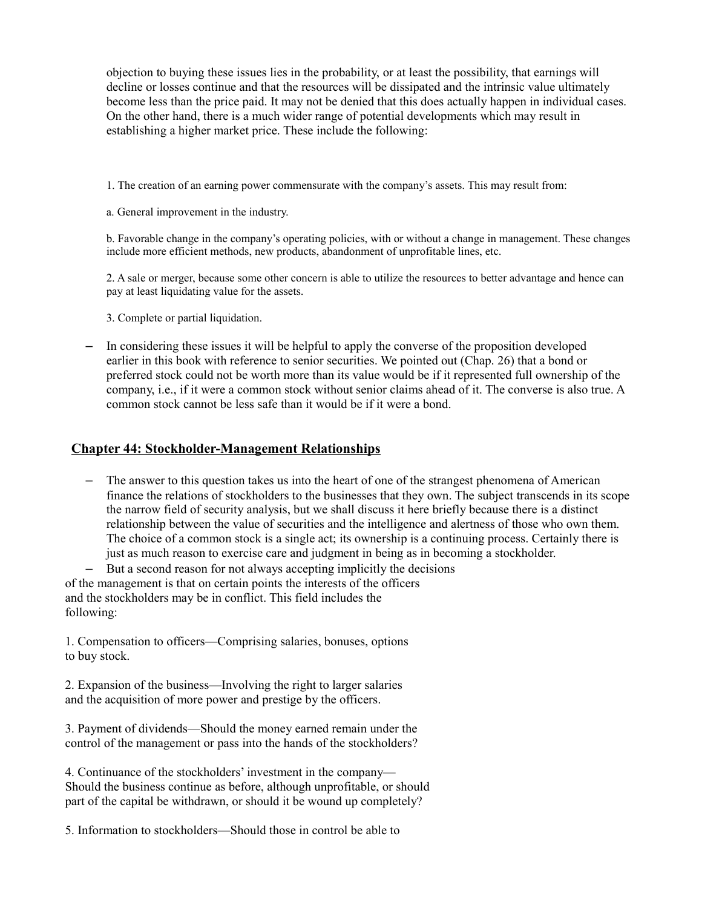objection to buying these issues lies in the probability, or at least the possibility, that earnings will decline or losses continue and that the resources will be dissipated and the intrinsic value ultimately become less than the price paid. It may not be denied that this does actually happen in individual cases. On the other hand, there is a much wider range of potential developments which may result in establishing a higher market price. These include the following:

- 1. The creation of an earning power commensurate with the company's assets. This may result from:
- a. General improvement in the industry.

b. Favorable change in the company's operating policies, with or without a change in management. These changes include more efficient methods, new products, abandonment of unprofitable lines, etc.

2. A sale or merger, because some other concern is able to utilize the resources to better advantage and hence can pay at least liquidating value for the assets.

- 3. Complete or partial liquidation.
- In considering these issues it will be helpful to apply the converse of the proposition developed earlier in this book with reference to senior securities. We pointed out (Chap. 26) that a bond or preferred stock could not be worth more than its value would be if it represented full ownership of the company, i.e., if it were a common stock without senior claims ahead of it. The converse is also true. A common stock cannot be less safe than it would be if it were a bond.

### **Chapter 44: Stockholder-Management Relationships**

– The answer to this question takes us into the heart of one of the strangest phenomena of American finance the relations of stockholders to the businesses that they own. The subject transcends in its scope the narrow field of security analysis, but we shall discuss it here briefly because there is a distinct relationship between the value of securities and the intelligence and alertness of those who own them. The choice of a common stock is a single act; its ownership is a continuing process. Certainly there is just as much reason to exercise care and judgment in being as in becoming a stockholder.

– But a second reason for not always accepting implicitly the decisions of the management is that on certain points the interests of the officers and the stockholders may be in conflict. This field includes the following:

1. Compensation to officers—Comprising salaries, bonuses, options to buy stock.

2. Expansion of the business—Involving the right to larger salaries and the acquisition of more power and prestige by the officers.

3. Payment of dividends—Should the money earned remain under the control of the management or pass into the hands of the stockholders?

4. Continuance of the stockholders' investment in the company— Should the business continue as before, although unprofitable, or should part of the capital be withdrawn, or should it be wound up completely?

5. Information to stockholders—Should those in control be able to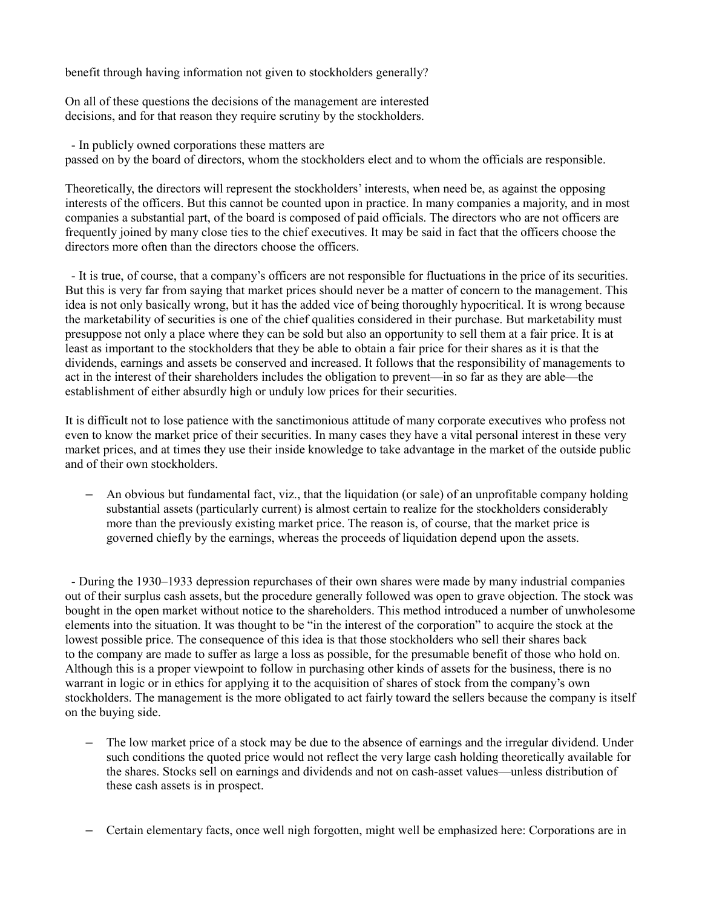benefit through having information not given to stockholders generally?

On all of these questions the decisions of the management are interested decisions, and for that reason they require scrutiny by the stockholders.

 - In publicly owned corporations these matters are passed on by the board of directors, whom the stockholders elect and to whom the officials are responsible.

Theoretically, the directors will represent the stockholders' interests, when need be, as against the opposing interests of the officers. But this cannot be counted upon in practice. In many companies a majority, and in most companies a substantial part, of the board is composed of paid officials. The directors who are not officers are frequently joined by many close ties to the chief executives. It may be said in fact that the officers choose the directors more often than the directors choose the officers.

 - It is true, of course, that a company's officers are not responsible for fluctuations in the price of its securities. But this is very far from saying that market prices should never be a matter of concern to the management. This idea is not only basically wrong, but it has the added vice of being thoroughly hypocritical. It is wrong because the marketability of securities is one of the chief qualities considered in their purchase. But marketability must presuppose not only a place where they can be sold but also an opportunity to sell them at a fair price. It is at least as important to the stockholders that they be able to obtain a fair price for their shares as it is that the dividends, earnings and assets be conserved and increased. It follows that the responsibility of managements to act in the interest of their shareholders includes the obligation to prevent—in so far as they are able—the establishment of either absurdly high or unduly low prices for their securities.

It is difficult not to lose patience with the sanctimonious attitude of many corporate executives who profess not even to know the market price of their securities. In many cases they have a vital personal interest in these very market prices, and at times they use their inside knowledge to take advantage in the market of the outside public and of their own stockholders.

– An obvious but fundamental fact, viz., that the liquidation (or sale) of an unprofitable company holding substantial assets (particularly current) is almost certain to realize for the stockholders considerably more than the previously existing market price. The reason is, of course, that the market price is governed chiefly by the earnings, whereas the proceeds of liquidation depend upon the assets.

 - During the 1930–1933 depression repurchases of their own shares were made by many industrial companies out of their surplus cash assets, but the procedure generally followed was open to grave objection. The stock was bought in the open market without notice to the shareholders. This method introduced a number of unwholesome elements into the situation. It was thought to be "in the interest of the corporation" to acquire the stock at the lowest possible price. The consequence of this idea is that those stockholders who sell their shares back to the company are made to suffer as large a loss as possible, for the presumable benefit of those who hold on. Although this is a proper viewpoint to follow in purchasing other kinds of assets for the business, there is no warrant in logic or in ethics for applying it to the acquisition of shares of stock from the company's own stockholders. The management is the more obligated to act fairly toward the sellers because the company is itself on the buying side.

- The low market price of a stock may be due to the absence of earnings and the irregular dividend. Under such conditions the quoted price would not reflect the very large cash holding theoretically available for the shares. Stocks sell on earnings and dividends and not on cash-asset values—unless distribution of these cash assets is in prospect.
- Certain elementary facts, once well nigh forgotten, might well be emphasized here: Corporations are in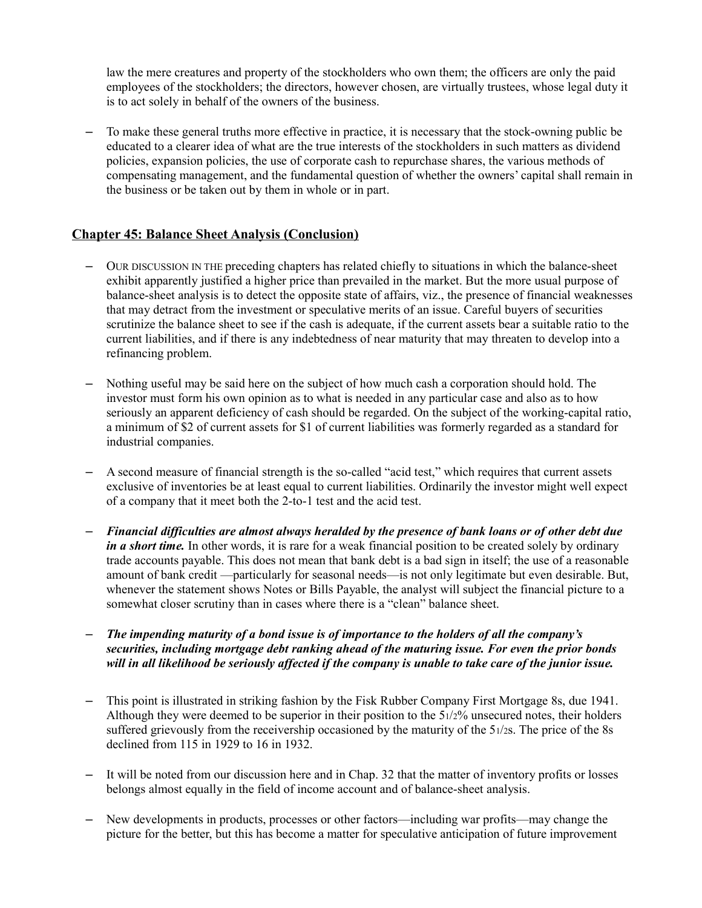law the mere creatures and property of the stockholders who own them; the officers are only the paid employees of the stockholders; the directors, however chosen, are virtually trustees, whose legal duty it is to act solely in behalf of the owners of the business.

– To make these general truths more effective in practice, it is necessary that the stock-owning public be educated to a clearer idea of what are the true interests of the stockholders in such matters as dividend policies, expansion policies, the use of corporate cash to repurchase shares, the various methods of compensating management, and the fundamental question of whether the owners' capital shall remain in the business or be taken out by them in whole or in part.

# **Chapter 45: Balance Sheet Analysis (Conclusion)**

- OUR DISCUSSION IN THE preceding chapters has related chiefly to situations in which the balance-sheet exhibit apparently justified a higher price than prevailed in the market. But the more usual purpose of balance-sheet analysis is to detect the opposite state of affairs, viz., the presence of financial weaknesses that may detract from the investment or speculative merits of an issue. Careful buyers of securities scrutinize the balance sheet to see if the cash is adequate, if the current assets bear a suitable ratio to the current liabilities, and if there is any indebtedness of near maturity that may threaten to develop into a refinancing problem.
- Nothing useful may be said here on the subject of how much cash a corporation should hold. The investor must form his own opinion as to what is needed in any particular case and also as to how seriously an apparent deficiency of cash should be regarded. On the subject of the working-capital ratio, a minimum of \$2 of current assets for \$1 of current liabilities was formerly regarded as a standard for industrial companies.
- A second measure of financial strength is the so-called "acid test," which requires that current assets exclusive of inventories be at least equal to current liabilities. Ordinarily the investor might well expect of a company that it meet both the 2-to-1 test and the acid test.
- *Financial difficulties are almost always heralded by the presence of bank loans or of other debt due in a short time.* In other words, it is rare for a weak financial position to be created solely by ordinary trade accounts payable. This does not mean that bank debt is a bad sign in itself; the use of a reasonable amount of bank credit —particularly for seasonal needs—is not only legitimate but even desirable. But, whenever the statement shows Notes or Bills Payable, the analyst will subject the financial picture to a somewhat closer scrutiny than in cases where there is a "clean" balance sheet.
- *The impending maturity of a bond issue is of importance to the holders of all the company's securities, including mortgage debt ranking ahead of the maturing issue. For even the prior bonds will in all likelihood be seriously affected if the company is unable to take care of the junior issue.*
- This point is illustrated in striking fashion by the Fisk Rubber Company First Mortgage 8s, due 1941. Although they were deemed to be superior in their position to the 51/2% unsecured notes, their holders suffered grievously from the receivership occasioned by the maturity of the 51/2s. The price of the 8s declined from 115 in 1929 to 16 in 1932.
- It will be noted from our discussion here and in Chap. 32 that the matter of inventory profits or losses belongs almost equally in the field of income account and of balance-sheet analysis.
- New developments in products, processes or other factors—including war profits—may change the picture for the better, but this has become a matter for speculative anticipation of future improvement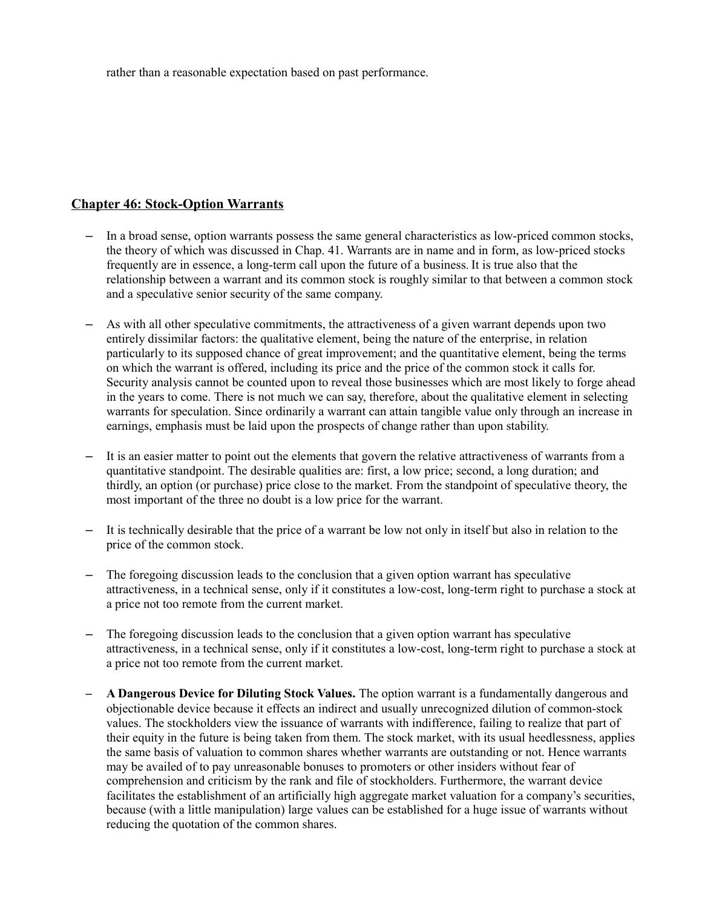rather than a reasonable expectation based on past performance.

### **Chapter 46: Stock-Option Warrants**

- In a broad sense, option warrants possess the same general characteristics as low-priced common stocks, the theory of which was discussed in Chap. 41. Warrants are in name and in form, as low-priced stocks frequently are in essence, a long-term call upon the future of a business. It is true also that the relationship between a warrant and its common stock is roughly similar to that between a common stock and a speculative senior security of the same company.
- As with all other speculative commitments, the attractiveness of a given warrant depends upon two entirely dissimilar factors: the qualitative element, being the nature of the enterprise, in relation particularly to its supposed chance of great improvement; and the quantitative element, being the terms on which the warrant is offered, including its price and the price of the common stock it calls for. Security analysis cannot be counted upon to reveal those businesses which are most likely to forge ahead in the years to come. There is not much we can say, therefore, about the qualitative element in selecting warrants for speculation. Since ordinarily a warrant can attain tangible value only through an increase in earnings, emphasis must be laid upon the prospects of change rather than upon stability.
- It is an easier matter to point out the elements that govern the relative attractiveness of warrants from a quantitative standpoint. The desirable qualities are: first, a low price; second, a long duration; and thirdly, an option (or purchase) price close to the market. From the standpoint of speculative theory, the most important of the three no doubt is a low price for the warrant.
- It is technically desirable that the price of a warrant be low not only in itself but also in relation to the price of the common stock.
- The foregoing discussion leads to the conclusion that a given option warrant has speculative attractiveness, in a technical sense, only if it constitutes a low-cost, long-term right to purchase a stock at a price not too remote from the current market.
- The foregoing discussion leads to the conclusion that a given option warrant has speculative attractiveness, in a technical sense, only if it constitutes a low-cost, long-term right to purchase a stock at a price not too remote from the current market.
- **A Dangerous Device for Diluting Stock Values.** The option warrant is a fundamentally dangerous and objectionable device because it effects an indirect and usually unrecognized dilution of common-stock values. The stockholders view the issuance of warrants with indifference, failing to realize that part of their equity in the future is being taken from them. The stock market, with its usual heedlessness, applies the same basis of valuation to common shares whether warrants are outstanding or not. Hence warrants may be availed of to pay unreasonable bonuses to promoters or other insiders without fear of comprehension and criticism by the rank and file of stockholders. Furthermore, the warrant device facilitates the establishment of an artificially high aggregate market valuation for a company's securities, because (with a little manipulation) large values can be established for a huge issue of warrants without reducing the quotation of the common shares.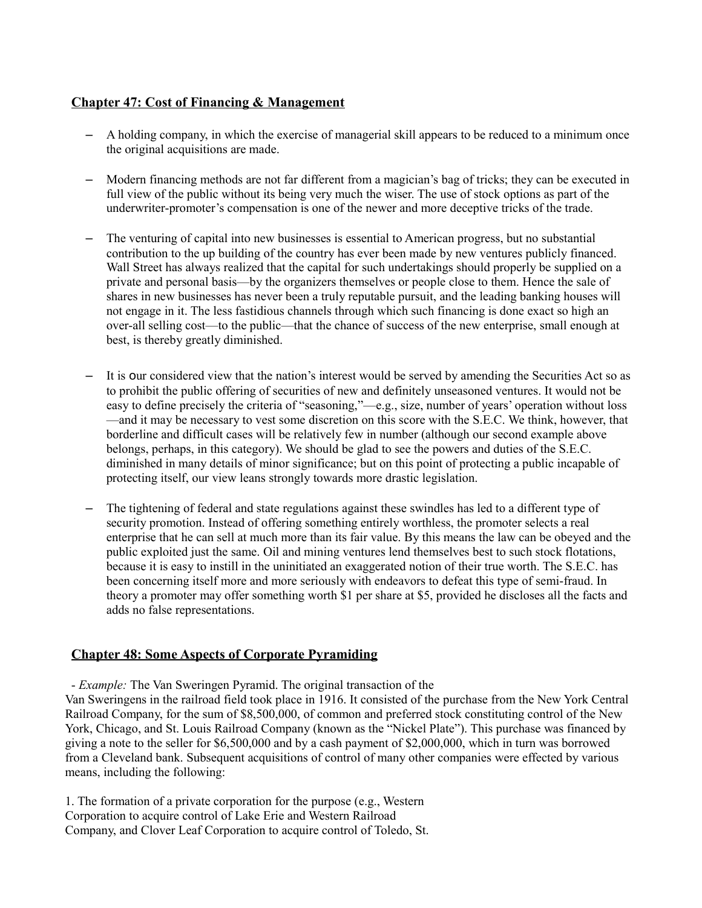## **Chapter 47: Cost of Financing & Management**

- A holding company, in which the exercise of managerial skill appears to be reduced to a minimum once the original acquisitions are made.
- Modern financing methods are not far different from a magician's bag of tricks; they can be executed in full view of the public without its being very much the wiser. The use of stock options as part of the underwriter-promoter's compensation is one of the newer and more deceptive tricks of the trade.
- The venturing of capital into new businesses is essential to American progress, but no substantial contribution to the up building of the country has ever been made by new ventures publicly financed. Wall Street has always realized that the capital for such undertakings should properly be supplied on a private and personal basis—by the organizers themselves or people close to them. Hence the sale of shares in new businesses has never been a truly reputable pursuit, and the leading banking houses will not engage in it. The less fastidious channels through which such financing is done exact so high an over-all selling cost—to the public—that the chance of success of the new enterprise, small enough at best, is thereby greatly diminished.
- It is our considered view that the nation's interest would be served by amending the Securities Act so as to prohibit the public offering of securities of new and definitely unseasoned ventures. It would not be easy to define precisely the criteria of "seasoning,"—e.g., size, number of years' operation without loss —and it may be necessary to vest some discretion on this score with the S.E.C. We think, however, that borderline and difficult cases will be relatively few in number (although our second example above belongs, perhaps, in this category). We should be glad to see the powers and duties of the S.E.C. diminished in many details of minor significance; but on this point of protecting a public incapable of protecting itself, our view leans strongly towards more drastic legislation.
- The tightening of federal and state regulations against these swindles has led to a different type of security promotion. Instead of offering something entirely worthless, the promoter selects a real enterprise that he can sell at much more than its fair value. By this means the law can be obeyed and the public exploited just the same. Oil and mining ventures lend themselves best to such stock flotations, because it is easy to instill in the uninitiated an exaggerated notion of their true worth. The S.E.C. has been concerning itself more and more seriously with endeavors to defeat this type of semi-fraud. In theory a promoter may offer something worth \$1 per share at \$5, provided he discloses all the facts and adds no false representations.

# **Chapter 48: Some Aspects of Corporate Pyramiding**

 - *Example:* The Van Sweringen Pyramid. The original transaction of the Van Sweringens in the railroad field took place in 1916. It consisted of the purchase from the New York Central Railroad Company, for the sum of \$8,500,000, of common and preferred stock constituting control of the New York, Chicago, and St. Louis Railroad Company (known as the "Nickel Plate"). This purchase was financed by giving a note to the seller for \$6,500,000 and by a cash payment of \$2,000,000, which in turn was borrowed from a Cleveland bank. Subsequent acquisitions of control of many other companies were effected by various means, including the following:

1. The formation of a private corporation for the purpose (e.g., Western Corporation to acquire control of Lake Erie and Western Railroad Company, and Clover Leaf Corporation to acquire control of Toledo, St.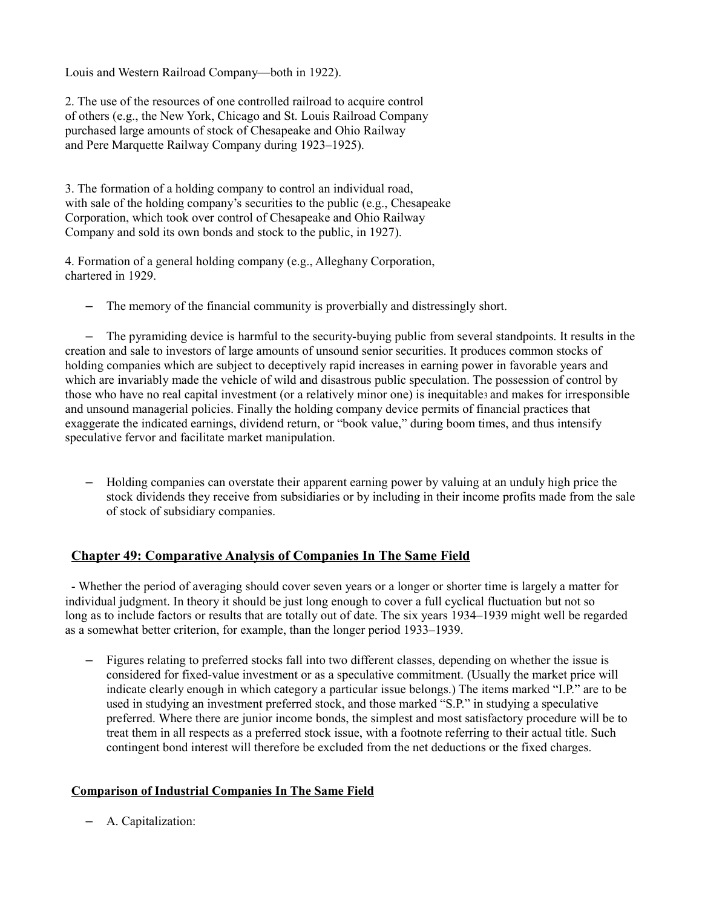Louis and Western Railroad Company—both in 1922).

2. The use of the resources of one controlled railroad to acquire control of others (e.g., the New York, Chicago and St. Louis Railroad Company purchased large amounts of stock of Chesapeake and Ohio Railway and Pere Marquette Railway Company during 1923–1925).

3. The formation of a holding company to control an individual road, with sale of the holding company's securities to the public (e.g., Chesapeake Corporation, which took over control of Chesapeake and Ohio Railway Company and sold its own bonds and stock to the public, in 1927).

4. Formation of a general holding company (e.g., Alleghany Corporation, chartered in 1929.

– The memory of the financial community is proverbially and distressingly short.

– The pyramiding device is harmful to the security-buying public from several standpoints. It results in the creation and sale to investors of large amounts of unsound senior securities. It produces common stocks of holding companies which are subject to deceptively rapid increases in earning power in favorable years and which are invariably made the vehicle of wild and disastrous public speculation. The possession of control by those who have no real capital investment (or a relatively minor one) is inequitable3 and makes for irresponsible and unsound managerial policies. Finally the holding company device permits of financial practices that exaggerate the indicated earnings, dividend return, or "book value," during boom times, and thus intensify speculative fervor and facilitate market manipulation.

– Holding companies can overstate their apparent earning power by valuing at an unduly high price the stock dividends they receive from subsidiaries or by including in their income profits made from the sale of stock of subsidiary companies.

# **Chapter 49: Comparative Analysis of Companies In The Same Field**

 - Whether the period of averaging should cover seven years or a longer or shorter time is largely a matter for individual judgment. In theory it should be just long enough to cover a full cyclical fluctuation but not so long as to include factors or results that are totally out of date. The six years 1934–1939 might well be regarded as a somewhat better criterion, for example, than the longer period 1933–1939.

– Figures relating to preferred stocks fall into two different classes, depending on whether the issue is considered for fixed-value investment or as a speculative commitment. (Usually the market price will indicate clearly enough in which category a particular issue belongs.) The items marked "I.P." are to be used in studying an investment preferred stock, and those marked "S.P." in studying a speculative preferred. Where there are junior income bonds, the simplest and most satisfactory procedure will be to treat them in all respects as a preferred stock issue, with a footnote referring to their actual title. Such contingent bond interest will therefore be excluded from the net deductions or the fixed charges.

### **Comparison of Industrial Companies In The Same Field**

– A. Capitalization: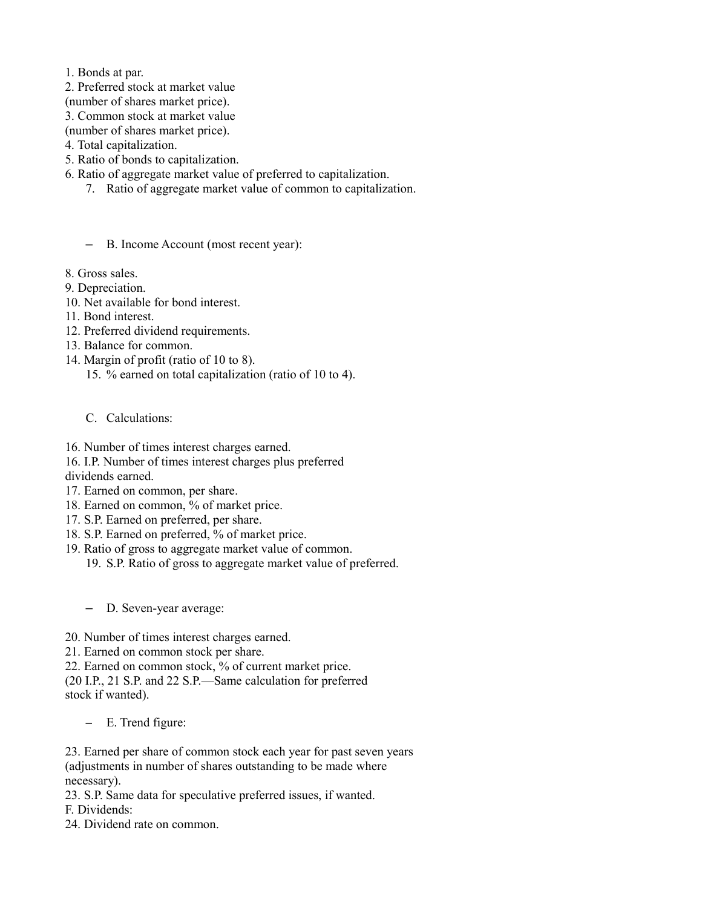- 1. Bonds at par.
- 2. Preferred stock at market value

(number of shares market price).

3. Common stock at market value

- (number of shares market price).
- 4. Total capitalization.
- 5. Ratio of bonds to capitalization.
- 6. Ratio of aggregate market value of preferred to capitalization.
	- 7. Ratio of aggregate market value of common to capitalization.
	- B. Income Account (most recent year):
- 8. Gross sales.
- 9. Depreciation.
- 10. Net available for bond interest.
- 11. Bond interest.
- 12. Preferred dividend requirements.
- 13. Balance for common.
- 14. Margin of profit (ratio of 10 to 8).
	- 15. % earned on total capitalization (ratio of 10 to 4).
	- C. Calculations:
- 16. Number of times interest charges earned.
- 16. I.P. Number of times interest charges plus preferred dividends earned.
- 17. Earned on common, per share.
- 18. Earned on common, % of market price.
- 17. S.P. Earned on preferred, per share.
- 18. S.P. Earned on preferred, % of market price.
- 19. Ratio of gross to aggregate market value of common.
	- 19. S.P. Ratio of gross to aggregate market value of preferred.
	- D. Seven-year average:
- 20. Number of times interest charges earned.
- 21. Earned on common stock per share.
- 22. Earned on common stock, % of current market price.
- (20 I.P., 21 S.P. and 22 S.P.—Same calculation for preferred stock if wanted).
	- E. Trend figure:
- 23. Earned per share of common stock each year for past seven years (adjustments in number of shares outstanding to be made where necessary).
- 23. S.P. Same data for speculative preferred issues, if wanted.

F. Dividends:

24. Dividend rate on common.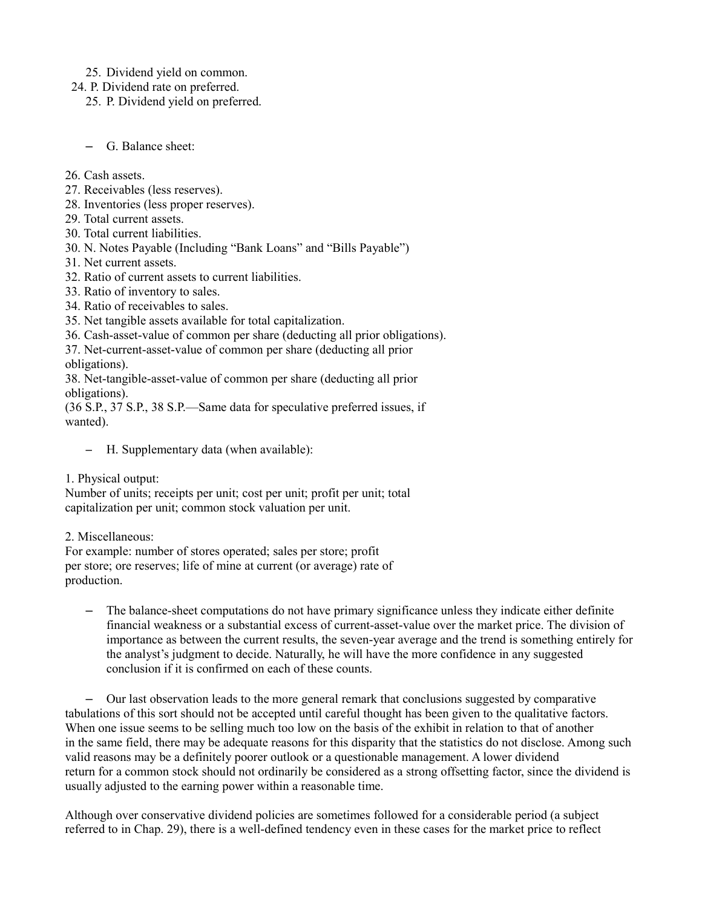25. Dividend yield on common.

24. P. Dividend rate on preferred.

25. P. Dividend yield on preferred.

– G. Balance sheet:

26. Cash assets.

27. Receivables (less reserves).

28. Inventories (less proper reserves).

29. Total current assets.

30. Total current liabilities.

30. N. Notes Payable (Including "Bank Loans" and "Bills Payable")

31. Net current assets.

32. Ratio of current assets to current liabilities.

33. Ratio of inventory to sales.

34. Ratio of receivables to sales.

35. Net tangible assets available for total capitalization.

36. Cash-asset-value of common per share (deducting all prior obligations).

37. Net-current-asset-value of common per share (deducting all prior obligations).

38. Net-tangible-asset-value of common per share (deducting all prior obligations).

(36 S.P., 37 S.P., 38 S.P.—Same data for speculative preferred issues, if wanted).

– H. Supplementary data (when available):

1. Physical output:

Number of units; receipts per unit; cost per unit; profit per unit; total capitalization per unit; common stock valuation per unit.

2. Miscellaneous:

For example: number of stores operated; sales per store; profit per store; ore reserves; life of mine at current (or average) rate of production.

– The balance-sheet computations do not have primary significance unless they indicate either definite financial weakness or a substantial excess of current-asset-value over the market price. The division of importance as between the current results, the seven-year average and the trend is something entirely for the analyst's judgment to decide. Naturally, he will have the more confidence in any suggested conclusion if it is confirmed on each of these counts.

– Our last observation leads to the more general remark that conclusions suggested by comparative tabulations of this sort should not be accepted until careful thought has been given to the qualitative factors. When one issue seems to be selling much too low on the basis of the exhibit in relation to that of another in the same field, there may be adequate reasons for this disparity that the statistics do not disclose. Among such valid reasons may be a definitely poorer outlook or a questionable management. A lower dividend return for a common stock should not ordinarily be considered as a strong offsetting factor, since the dividend is usually adjusted to the earning power within a reasonable time.

Although over conservative dividend policies are sometimes followed for a considerable period (a subject referred to in Chap. 29), there is a well-defined tendency even in these cases for the market price to reflect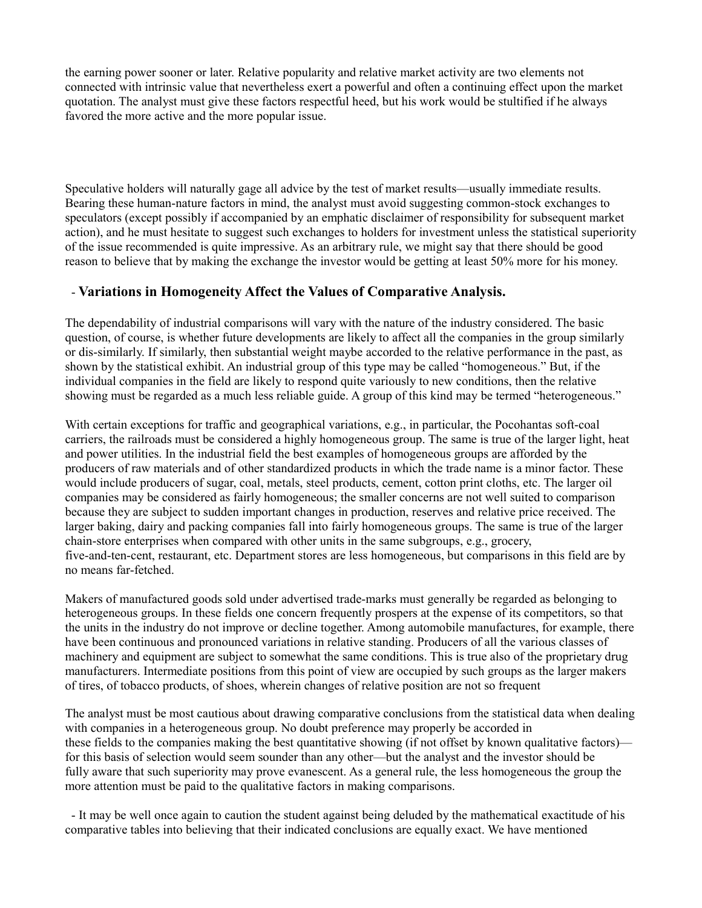the earning power sooner or later. Relative popularity and relative market activity are two elements not connected with intrinsic value that nevertheless exert a powerful and often a continuing effect upon the market quotation. The analyst must give these factors respectful heed, but his work would be stultified if he always favored the more active and the more popular issue.

Speculative holders will naturally gage all advice by the test of market results—usually immediate results. Bearing these human-nature factors in mind, the analyst must avoid suggesting common-stock exchanges to speculators (except possibly if accompanied by an emphatic disclaimer of responsibility for subsequent market action), and he must hesitate to suggest such exchanges to holders for investment unless the statistical superiority of the issue recommended is quite impressive. As an arbitrary rule, we might say that there should be good reason to believe that by making the exchange the investor would be getting at least 50% more for his money.

### - **Variations in Homogeneity Affect the Values of Comparative Analysis.**

The dependability of industrial comparisons will vary with the nature of the industry considered. The basic question, of course, is whether future developments are likely to affect all the companies in the group similarly or dis-similarly. If similarly, then substantial weight maybe accorded to the relative performance in the past, as shown by the statistical exhibit. An industrial group of this type may be called "homogeneous." But, if the individual companies in the field are likely to respond quite variously to new conditions, then the relative showing must be regarded as a much less reliable guide. A group of this kind may be termed "heterogeneous."

With certain exceptions for traffic and geographical variations, e.g., in particular, the Pocohantas soft-coal carriers, the railroads must be considered a highly homogeneous group. The same is true of the larger light, heat and power utilities. In the industrial field the best examples of homogeneous groups are afforded by the producers of raw materials and of other standardized products in which the trade name is a minor factor. These would include producers of sugar, coal, metals, steel products, cement, cotton print cloths, etc. The larger oil companies may be considered as fairly homogeneous; the smaller concerns are not well suited to comparison because they are subject to sudden important changes in production, reserves and relative price received. The larger baking, dairy and packing companies fall into fairly homogeneous groups. The same is true of the larger chain-store enterprises when compared with other units in the same subgroups, e.g., grocery, five-and-ten-cent, restaurant, etc. Department stores are less homogeneous, but comparisons in this field are by no means far-fetched.

Makers of manufactured goods sold under advertised trade-marks must generally be regarded as belonging to heterogeneous groups. In these fields one concern frequently prospers at the expense of its competitors, so that the units in the industry do not improve or decline together. Among automobile manufactures, for example, there have been continuous and pronounced variations in relative standing. Producers of all the various classes of machinery and equipment are subject to somewhat the same conditions. This is true also of the proprietary drug manufacturers. Intermediate positions from this point of view are occupied by such groups as the larger makers of tires, of tobacco products, of shoes, wherein changes of relative position are not so frequent

The analyst must be most cautious about drawing comparative conclusions from the statistical data when dealing with companies in a heterogeneous group. No doubt preference may properly be accorded in these fields to the companies making the best quantitative showing (if not offset by known qualitative factors) for this basis of selection would seem sounder than any other—but the analyst and the investor should be fully aware that such superiority may prove evanescent. As a general rule, the less homogeneous the group the more attention must be paid to the qualitative factors in making comparisons.

 - It may be well once again to caution the student against being deluded by the mathematical exactitude of his comparative tables into believing that their indicated conclusions are equally exact. We have mentioned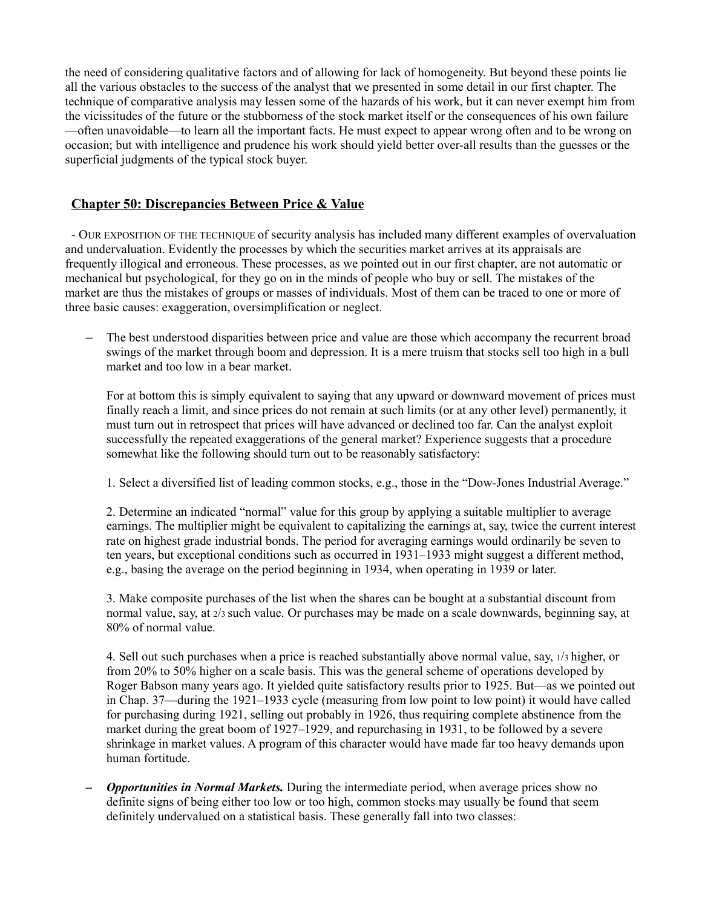the need of considering qualitative factors and of allowing for lack of homogeneity. But beyond these points lie all the various obstacles to the success of the analyst that we presented in some detail in our first chapter. The technique of comparative analysis may lessen some of the hazards of his work, but it can never exempt him from the vicissitudes of the future or the stubborness of the stock market itself or the consequences of his own failure —often unavoidable—to learn all the important facts. He must expect to appear wrong often and to be wrong on occasion; but with intelligence and prudence his work should yield better over-all results than the guesses or the superficial judgments of the typical stock buyer.

### **Chapter 50: Discrepancies Between Price & Value**

 - OUR EXPOSITION OF THE TECHNIQUE of security analysis has included many different examples of overvaluation and undervaluation. Evidently the processes by which the securities market arrives at its appraisals are frequently illogical and erroneous. These processes, as we pointed out in our first chapter, are not automatic or mechanical but psychological, for they go on in the minds of people who buy or sell. The mistakes of the market are thus the mistakes of groups or masses of individuals. Most of them can be traced to one or more of three basic causes: exaggeration, oversimplification or neglect.

– The best understood disparities between price and value are those which accompany the recurrent broad swings of the market through boom and depression. It is a mere truism that stocks sell too high in a bull market and too low in a bear market.

For at bottom this is simply equivalent to saying that any upward or downward movement of prices must finally reach a limit, and since prices do not remain at such limits (or at any other level) permanently, it must turn out in retrospect that prices will have advanced or declined too far. Can the analyst exploit successfully the repeated exaggerations of the general market? Experience suggests that a procedure somewhat like the following should turn out to be reasonably satisfactory:

1. Select a diversified list of leading common stocks, e.g., those in the "Dow-Jones Industrial Average."

2. Determine an indicated "normal" value for this group by applying a suitable multiplier to average earnings. The multiplier might be equivalent to capitalizing the earnings at, say, twice the current interest rate on highest grade industrial bonds. The period for averaging earnings would ordinarily be seven to ten years, but exceptional conditions such as occurred in 1931–1933 might suggest a different method, e.g., basing the average on the period beginning in 1934, when operating in 1939 or later.

3. Make composite purchases of the list when the shares can be bought at a substantial discount from normal value, say, at 2/3 such value. Or purchases may be made on a scale downwards, beginning say, at 80% of normal value.

4. Sell out such purchases when a price is reached substantially above normal value, say, 1/3 higher, or from 20% to 50% higher on a scale basis. This was the general scheme of operations developed by Roger Babson many years ago. It yielded quite satisfactory results prior to 1925. But—as we pointed out in Chap. 37—during the 1921–1933 cycle (measuring from low point to low point) it would have called for purchasing during 1921, selling out probably in 1926, thus requiring complete abstinence from the market during the great boom of 1927–1929, and repurchasing in 1931, to be followed by a severe shrinkage in market values. A program of this character would have made far too heavy demands upon human fortitude.

– *Opportunities in Normal Markets.* During the intermediate period, when average prices show no definite signs of being either too low or too high, common stocks may usually be found that seem definitely undervalued on a statistical basis. These generally fall into two classes: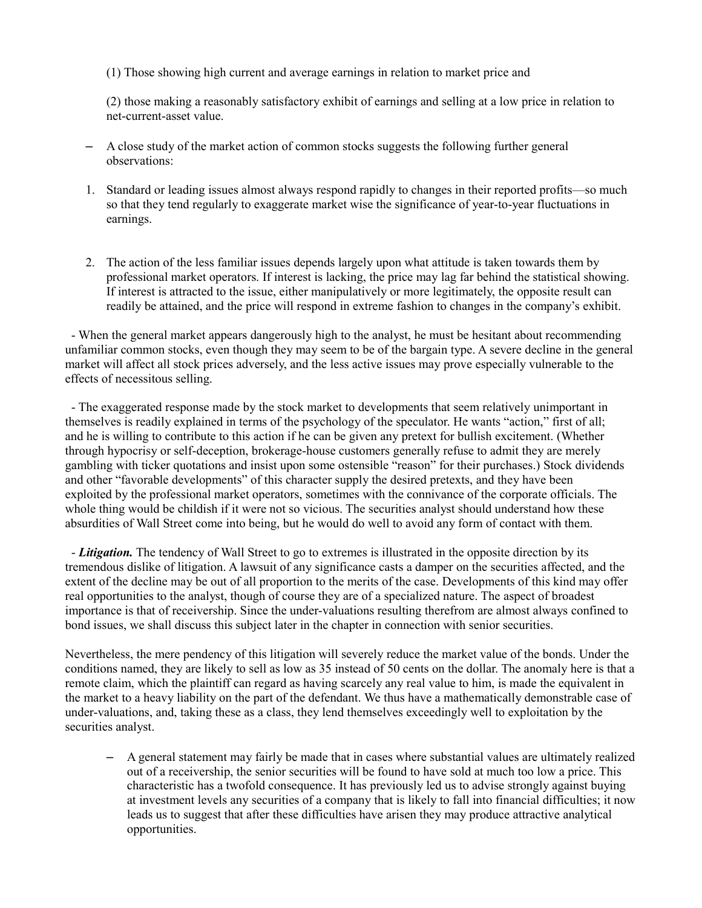(1) Those showing high current and average earnings in relation to market price and

(2) those making a reasonably satisfactory exhibit of earnings and selling at a low price in relation to net-current-asset value.

- A close study of the market action of common stocks suggests the following further general observations:
- 1. Standard or leading issues almost always respond rapidly to changes in their reported profits—so much so that they tend regularly to exaggerate market wise the significance of year-to-year fluctuations in earnings.
- 2. The action of the less familiar issues depends largely upon what attitude is taken towards them by professional market operators. If interest is lacking, the price may lag far behind the statistical showing. If interest is attracted to the issue, either manipulatively or more legitimately, the opposite result can readily be attained, and the price will respond in extreme fashion to changes in the company's exhibit.

 - When the general market appears dangerously high to the analyst, he must be hesitant about recommending unfamiliar common stocks, even though they may seem to be of the bargain type. A severe decline in the general market will affect all stock prices adversely, and the less active issues may prove especially vulnerable to the effects of necessitous selling.

 - The exaggerated response made by the stock market to developments that seem relatively unimportant in themselves is readily explained in terms of the psychology of the speculator. He wants "action," first of all; and he is willing to contribute to this action if he can be given any pretext for bullish excitement. (Whether through hypocrisy or self-deception, brokerage-house customers generally refuse to admit they are merely gambling with ticker quotations and insist upon some ostensible "reason" for their purchases.) Stock dividends and other "favorable developments" of this character supply the desired pretexts, and they have been exploited by the professional market operators, sometimes with the connivance of the corporate officials. The whole thing would be childish if it were not so vicious. The securities analyst should understand how these absurdities of Wall Street come into being, but he would do well to avoid any form of contact with them.

 - *Litigation.* The tendency of Wall Street to go to extremes is illustrated in the opposite direction by its tremendous dislike of litigation. A lawsuit of any significance casts a damper on the securities affected, and the extent of the decline may be out of all proportion to the merits of the case. Developments of this kind may offer real opportunities to the analyst, though of course they are of a specialized nature. The aspect of broadest importance is that of receivership. Since the under-valuations resulting therefrom are almost always confined to bond issues, we shall discuss this subject later in the chapter in connection with senior securities.

Nevertheless, the mere pendency of this litigation will severely reduce the market value of the bonds. Under the conditions named, they are likely to sell as low as 35 instead of 50 cents on the dollar. The anomaly here is that a remote claim, which the plaintiff can regard as having scarcely any real value to him, is made the equivalent in the market to a heavy liability on the part of the defendant. We thus have a mathematically demonstrable case of under-valuations, and, taking these as a class, they lend themselves exceedingly well to exploitation by the securities analyst.

– A general statement may fairly be made that in cases where substantial values are ultimately realized out of a receivership, the senior securities will be found to have sold at much too low a price. This characteristic has a twofold consequence. It has previously led us to advise strongly against buying at investment levels any securities of a company that is likely to fall into financial difficulties; it now leads us to suggest that after these difficulties have arisen they may produce attractive analytical opportunities.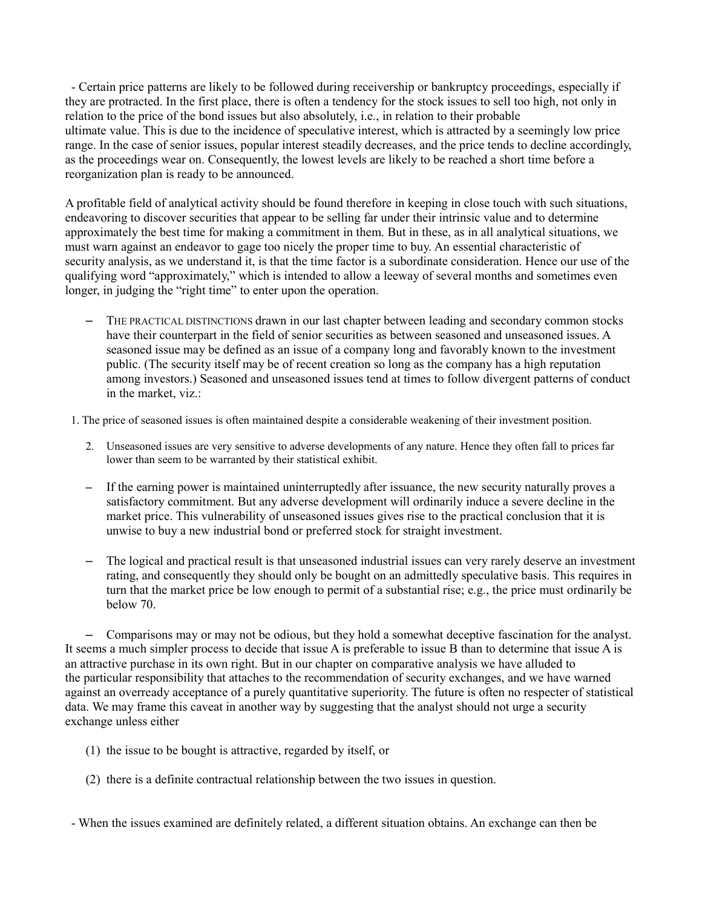- Certain price patterns are likely to be followed during receivership or bankruptcy proceedings, especially if they are protracted. In the first place, there is often a tendency for the stock issues to sell too high, not only in relation to the price of the bond issues but also absolutely, i.e., in relation to their probable ultimate value. This is due to the incidence of speculative interest, which is attracted by a seemingly low price range. In the case of senior issues, popular interest steadily decreases, and the price tends to decline accordingly, as the proceedings wear on. Consequently, the lowest levels are likely to be reached a short time before a reorganization plan is ready to be announced.

A profitable field of analytical activity should be found therefore in keeping in close touch with such situations, endeavoring to discover securities that appear to be selling far under their intrinsic value and to determine approximately the best time for making a commitment in them. But in these, as in all analytical situations, we must warn against an endeavor to gage too nicely the proper time to buy. An essential characteristic of security analysis, as we understand it, is that the time factor is a subordinate consideration. Hence our use of the qualifying word "approximately," which is intended to allow a leeway of several months and sometimes even longer, in judging the "right time" to enter upon the operation.

– THE PRACTICAL DISTINCTIONS drawn in our last chapter between leading and secondary common stocks have their counterpart in the field of senior securities as between seasoned and unseasoned issues. A seasoned issue may be defined as an issue of a company long and favorably known to the investment public. (The security itself may be of recent creation so long as the company has a high reputation among investors.) Seasoned and unseasoned issues tend at times to follow divergent patterns of conduct in the market, viz.:

1. The price of seasoned issues is often maintained despite a considerable weakening of their investment position.

- 2. Unseasoned issues are very sensitive to adverse developments of any nature. Hence they often fall to prices far lower than seem to be warranted by their statistical exhibit.
- If the earning power is maintained uninterruptedly after issuance, the new security naturally proves a satisfactory commitment. But any adverse development will ordinarily induce a severe decline in the market price. This vulnerability of unseasoned issues gives rise to the practical conclusion that it is unwise to buy a new industrial bond or preferred stock for straight investment.
- The logical and practical result is that unseasoned industrial issues can very rarely deserve an investment rating, and consequently they should only be bought on an admittedly speculative basis. This requires in turn that the market price be low enough to permit of a substantial rise; e.g., the price must ordinarily be below 70.

– Comparisons may or may not be odious, but they hold a somewhat deceptive fascination for the analyst. It seems a much simpler process to decide that issue A is preferable to issue B than to determine that issue A is an attractive purchase in its own right. But in our chapter on comparative analysis we have alluded to the particular responsibility that attaches to the recommendation of security exchanges, and we have warned against an overready acceptance of a purely quantitative superiority. The future is often no respecter of statistical data. We may frame this caveat in another way by suggesting that the analyst should not urge a security exchange unless either

- (1) the issue to be bought is attractive, regarded by itself, or
- (2) there is a definite contractual relationship between the two issues in question.

- When the issues examined are definitely related, a different situation obtains. An exchange can then be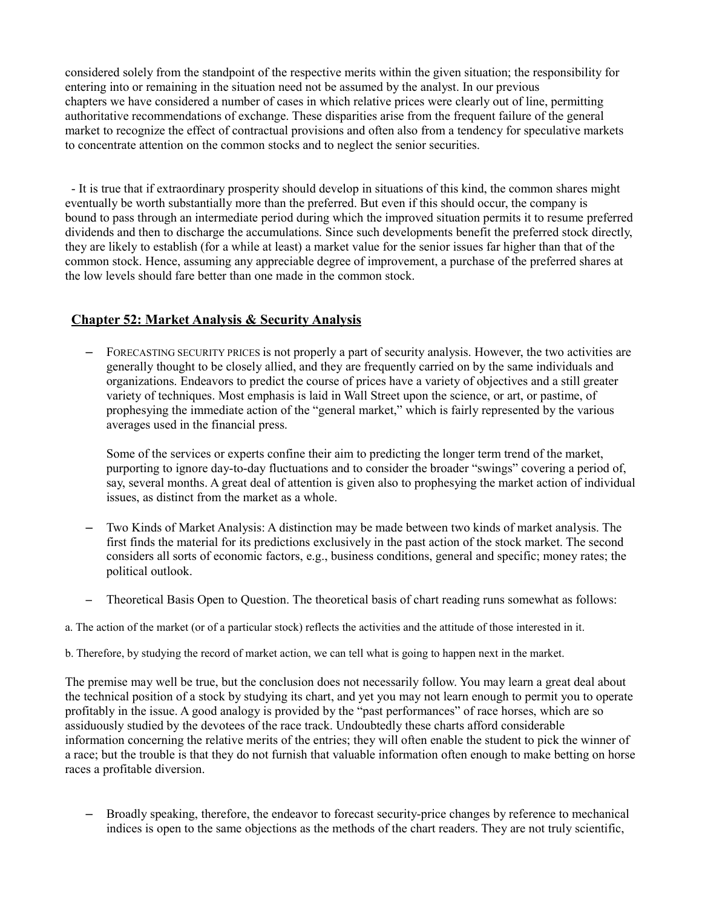considered solely from the standpoint of the respective merits within the given situation; the responsibility for entering into or remaining in the situation need not be assumed by the analyst. In our previous chapters we have considered a number of cases in which relative prices were clearly out of line, permitting authoritative recommendations of exchange. These disparities arise from the frequent failure of the general market to recognize the effect of contractual provisions and often also from a tendency for speculative markets to concentrate attention on the common stocks and to neglect the senior securities.

 - It is true that if extraordinary prosperity should develop in situations of this kind, the common shares might eventually be worth substantially more than the preferred. But even if this should occur, the company is bound to pass through an intermediate period during which the improved situation permits it to resume preferred dividends and then to discharge the accumulations. Since such developments benefit the preferred stock directly, they are likely to establish (for a while at least) a market value for the senior issues far higher than that of the common stock. Hence, assuming any appreciable degree of improvement, a purchase of the preferred shares at the low levels should fare better than one made in the common stock.

### **Chapter 52: Market Analysis & Security Analysis**

– FORECASTING SECURITY PRICES is not properly a part of security analysis. However, the two activities are generally thought to be closely allied, and they are frequently carried on by the same individuals and organizations. Endeavors to predict the course of prices have a variety of objectives and a still greater variety of techniques. Most emphasis is laid in Wall Street upon the science, or art, or pastime, of prophesying the immediate action of the "general market," which is fairly represented by the various averages used in the financial press.

Some of the services or experts confine their aim to predicting the longer term trend of the market, purporting to ignore day-to-day fluctuations and to consider the broader "swings" covering a period of, say, several months. A great deal of attention is given also to prophesying the market action of individual issues, as distinct from the market as a whole.

- Two Kinds of Market Analysis: A distinction may be made between two kinds of market analysis. The first finds the material for its predictions exclusively in the past action of the stock market. The second considers all sorts of economic factors, e.g., business conditions, general and specific; money rates; the political outlook.
- Theoretical Basis Open to Question. The theoretical basis of chart reading runs somewhat as follows:
- a. The action of the market (or of a particular stock) reflects the activities and the attitude of those interested in it.

b. Therefore, by studying the record of market action, we can tell what is going to happen next in the market.

The premise may well be true, but the conclusion does not necessarily follow. You may learn a great deal about the technical position of a stock by studying its chart, and yet you may not learn enough to permit you to operate profitably in the issue. A good analogy is provided by the "past performances" of race horses, which are so assiduously studied by the devotees of the race track. Undoubtedly these charts afford considerable information concerning the relative merits of the entries; they will often enable the student to pick the winner of a race; but the trouble is that they do not furnish that valuable information often enough to make betting on horse races a profitable diversion.

– Broadly speaking, therefore, the endeavor to forecast security-price changes by reference to mechanical indices is open to the same objections as the methods of the chart readers. They are not truly scientific,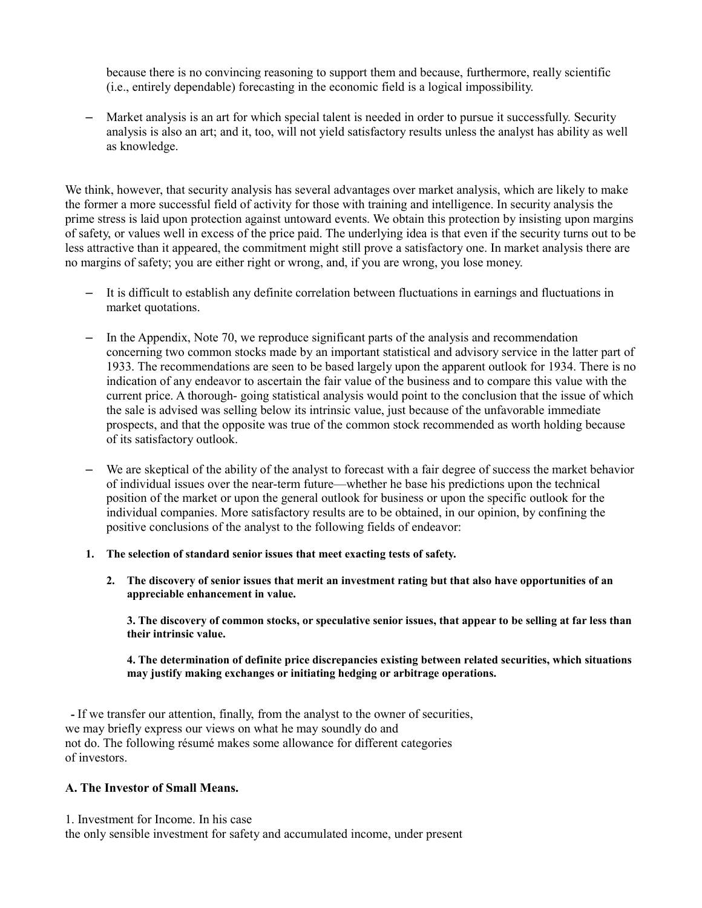because there is no convincing reasoning to support them and because, furthermore, really scientific (i.e., entirely dependable) forecasting in the economic field is a logical impossibility.

– Market analysis is an art for which special talent is needed in order to pursue it successfully. Security analysis is also an art; and it, too, will not yield satisfactory results unless the analyst has ability as well as knowledge.

We think, however, that security analysis has several advantages over market analysis, which are likely to make the former a more successful field of activity for those with training and intelligence. In security analysis the prime stress is laid upon protection against untoward events. We obtain this protection by insisting upon margins of safety, or values well in excess of the price paid. The underlying idea is that even if the security turns out to be less attractive than it appeared, the commitment might still prove a satisfactory one. In market analysis there are no margins of safety; you are either right or wrong, and, if you are wrong, you lose money.

- It is difficult to establish any definite correlation between fluctuations in earnings and fluctuations in market quotations.
- In the Appendix, Note 70, we reproduce significant parts of the analysis and recommendation concerning two common stocks made by an important statistical and advisory service in the latter part of 1933. The recommendations are seen to be based largely upon the apparent outlook for 1934. There is no indication of any endeavor to ascertain the fair value of the business and to compare this value with the current price. A thorough- going statistical analysis would point to the conclusion that the issue of which the sale is advised was selling below its intrinsic value, just because of the unfavorable immediate prospects, and that the opposite was true of the common stock recommended as worth holding because of its satisfactory outlook.
- We are skeptical of the ability of the analyst to forecast with a fair degree of success the market behavior of individual issues over the near-term future—whether he base his predictions upon the technical position of the market or upon the general outlook for business or upon the specific outlook for the individual companies. More satisfactory results are to be obtained, in our opinion, by confining the positive conclusions of the analyst to the following fields of endeavor:
- **1. The selection of standard senior issues that meet exacting tests of safety.**
	- **2. The discovery of senior issues that merit an investment rating but that also have opportunities of an appreciable enhancement in value.**

**3. The discovery of common stocks, or speculative senior issues, that appear to be selling at far less than their intrinsic value.**

**4. The determination of definite price discrepancies existing between related securities, which situations may justify making exchanges or initiating hedging or arbitrage operations.**

 **-** If we transfer our attention, finally, from the analyst to the owner of securities, we may briefly express our views on what he may soundly do and not do. The following résumé makes some allowance for different categories of investors.

#### **A. The Investor of Small Means.**

1. Investment for Income. In his case

the only sensible investment for safety and accumulated income, under present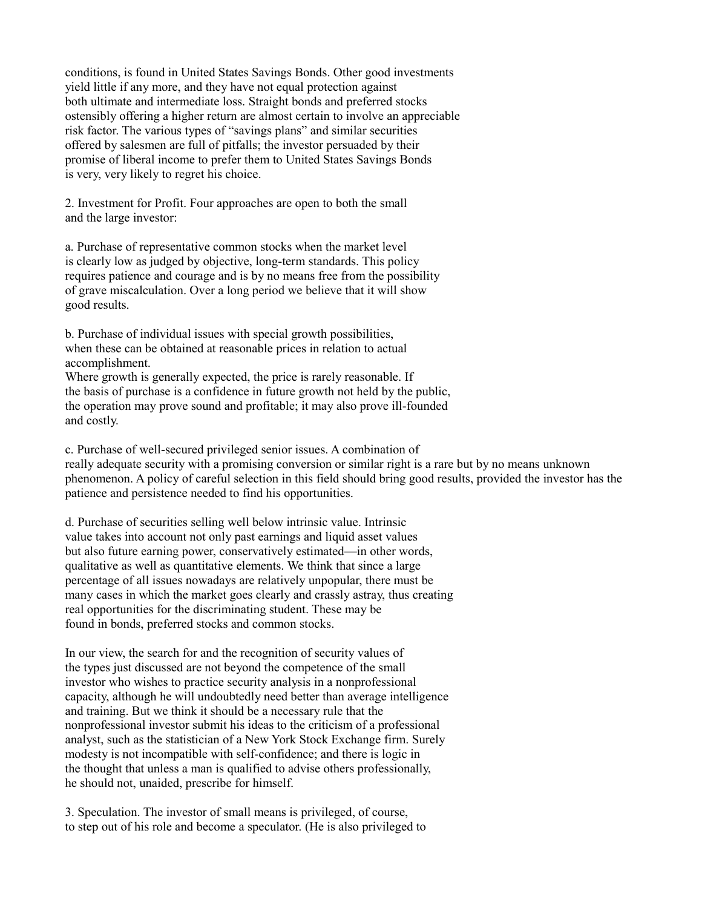conditions, is found in United States Savings Bonds. Other good investments yield little if any more, and they have not equal protection against both ultimate and intermediate loss. Straight bonds and preferred stocks ostensibly offering a higher return are almost certain to involve an appreciable risk factor. The various types of "savings plans" and similar securities offered by salesmen are full of pitfalls; the investor persuaded by their promise of liberal income to prefer them to United States Savings Bonds is very, very likely to regret his choice.

2. Investment for Profit. Four approaches are open to both the small and the large investor:

a. Purchase of representative common stocks when the market level is clearly low as judged by objective, long-term standards. This policy requires patience and courage and is by no means free from the possibility of grave miscalculation. Over a long period we believe that it will show good results.

b. Purchase of individual issues with special growth possibilities, when these can be obtained at reasonable prices in relation to actual accomplishment.

Where growth is generally expected, the price is rarely reasonable. If the basis of purchase is a confidence in future growth not held by the public, the operation may prove sound and profitable; it may also prove ill-founded and costly.

c. Purchase of well-secured privileged senior issues. A combination of really adequate security with a promising conversion or similar right is a rare but by no means unknown phenomenon. A policy of careful selection in this field should bring good results, provided the investor has the patience and persistence needed to find his opportunities.

d. Purchase of securities selling well below intrinsic value. Intrinsic value takes into account not only past earnings and liquid asset values but also future earning power, conservatively estimated—in other words, qualitative as well as quantitative elements. We think that since a large percentage of all issues nowadays are relatively unpopular, there must be many cases in which the market goes clearly and crassly astray, thus creating real opportunities for the discriminating student. These may be found in bonds, preferred stocks and common stocks.

In our view, the search for and the recognition of security values of the types just discussed are not beyond the competence of the small investor who wishes to practice security analysis in a nonprofessional capacity, although he will undoubtedly need better than average intelligence and training. But we think it should be a necessary rule that the nonprofessional investor submit his ideas to the criticism of a professional analyst, such as the statistician of a New York Stock Exchange firm. Surely modesty is not incompatible with self-confidence; and there is logic in the thought that unless a man is qualified to advise others professionally, he should not, unaided, prescribe for himself.

3. Speculation. The investor of small means is privileged, of course, to step out of his role and become a speculator. (He is also privileged to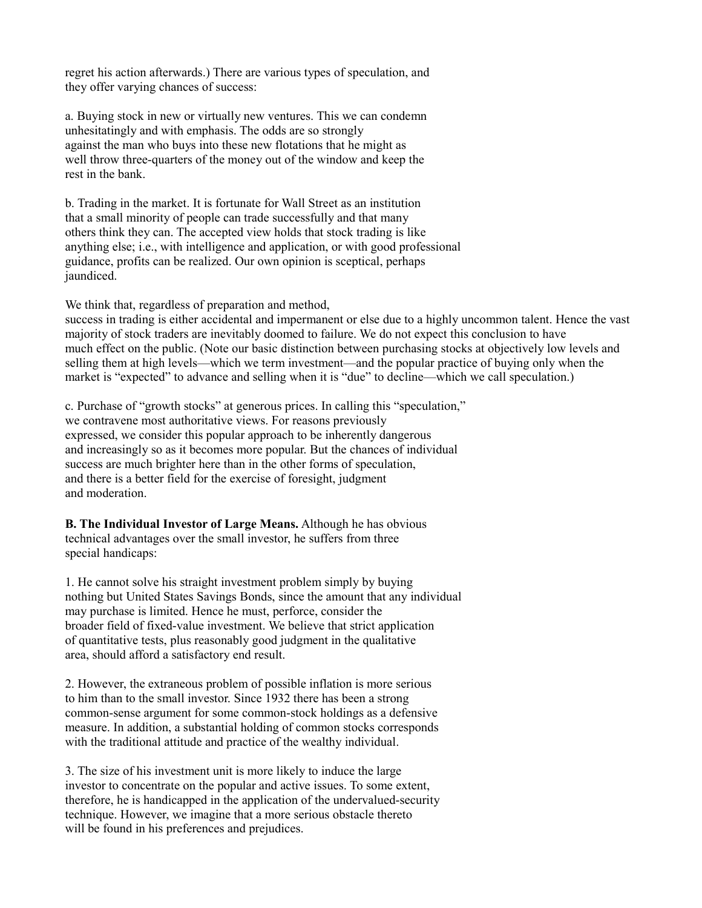regret his action afterwards.) There are various types of speculation, and they offer varying chances of success:

a. Buying stock in new or virtually new ventures. This we can condemn unhesitatingly and with emphasis. The odds are so strongly against the man who buys into these new flotations that he might as well throw three-quarters of the money out of the window and keep the rest in the bank.

b. Trading in the market. It is fortunate for Wall Street as an institution that a small minority of people can trade successfully and that many others think they can. The accepted view holds that stock trading is like anything else; i.e., with intelligence and application, or with good professional guidance, profits can be realized. Our own opinion is sceptical, perhaps jaundiced.

We think that, regardless of preparation and method,

success in trading is either accidental and impermanent or else due to a highly uncommon talent. Hence the vast majority of stock traders are inevitably doomed to failure. We do not expect this conclusion to have much effect on the public. (Note our basic distinction between purchasing stocks at objectively low levels and selling them at high levels—which we term investment—and the popular practice of buying only when the market is "expected" to advance and selling when it is "due" to decline—which we call speculation.)

c. Purchase of "growth stocks" at generous prices. In calling this "speculation," we contravene most authoritative views. For reasons previously expressed, we consider this popular approach to be inherently dangerous and increasingly so as it becomes more popular. But the chances of individual success are much brighter here than in the other forms of speculation, and there is a better field for the exercise of foresight, judgment and moderation.

**B. The Individual Investor of Large Means.** Although he has obvious technical advantages over the small investor, he suffers from three special handicaps:

1. He cannot solve his straight investment problem simply by buying nothing but United States Savings Bonds, since the amount that any individual may purchase is limited. Hence he must, perforce, consider the broader field of fixed-value investment. We believe that strict application of quantitative tests, plus reasonably good judgment in the qualitative area, should afford a satisfactory end result.

2. However, the extraneous problem of possible inflation is more serious to him than to the small investor. Since 1932 there has been a strong common-sense argument for some common-stock holdings as a defensive measure. In addition, a substantial holding of common stocks corresponds with the traditional attitude and practice of the wealthy individual.

3. The size of his investment unit is more likely to induce the large investor to concentrate on the popular and active issues. To some extent, therefore, he is handicapped in the application of the undervalued-security technique. However, we imagine that a more serious obstacle thereto will be found in his preferences and prejudices.